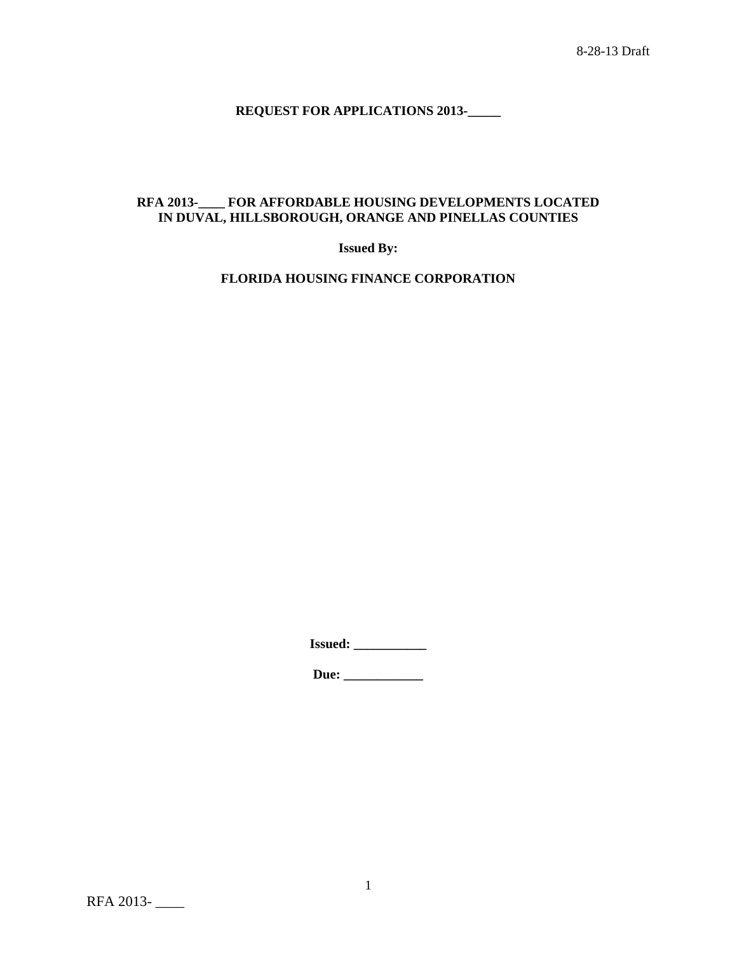**REQUEST FOR APPLICATIONS 2013-\_\_\_\_\_**

# **RFA 2013-\_\_\_\_ FOR AFFORDABLE HOUSING DEVELOPMENTS LOCATED IN DUVAL, HILLSBOROUGH, ORANGE AND PINELLAS COUNTIES**

**Issued By:**

**FLORIDA HOUSING FINANCE CORPORATION**

**Issued: \_\_\_\_\_\_\_\_\_\_\_**

**Due: \_\_\_\_\_\_\_\_\_\_\_\_**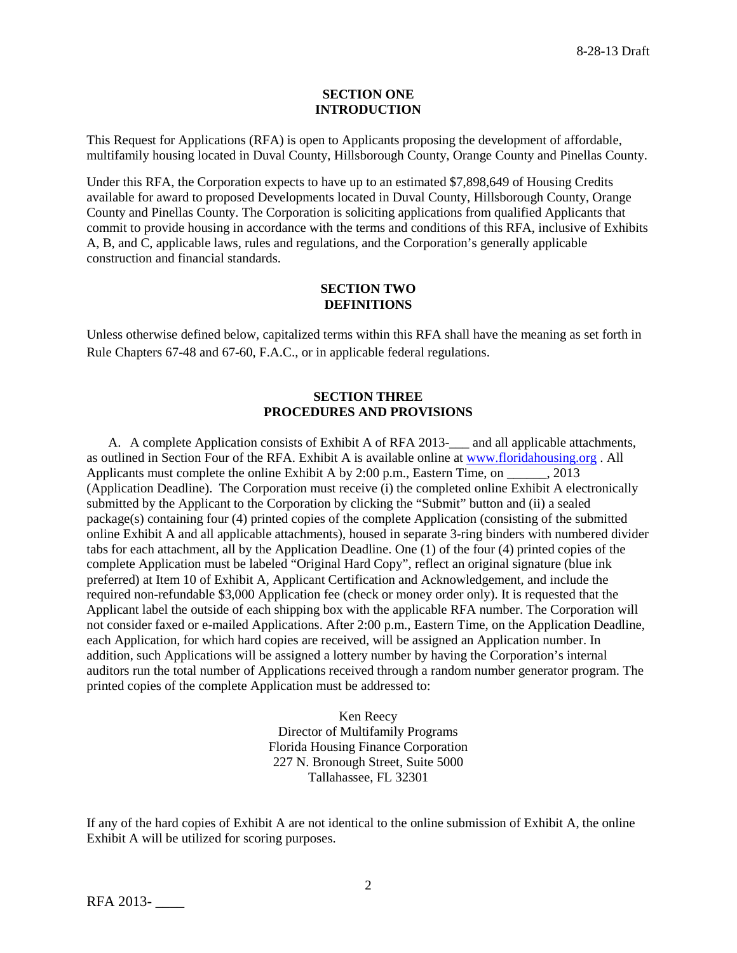#### **SECTION ONE INTRODUCTION**

This Request for Applications (RFA) is open to Applicants proposing the development of affordable, multifamily housing located in Duval County, Hillsborough County, Orange County and Pinellas County.

Under this RFA, the Corporation expects to have up to an estimated \$7,898,649 of Housing Credits available for award to proposed Developments located in Duval County, Hillsborough County, Orange County and Pinellas County. The Corporation is soliciting applications from qualified Applicants that commit to provide housing in accordance with the terms and conditions of this RFA, inclusive of Exhibits A, B, and C, applicable laws, rules and regulations, and the Corporation's generally applicable construction and financial standards.

#### **SECTION TWO DEFINITIONS**

Unless otherwise defined below, capitalized terms within this RFA shall have the meaning as set forth in Rule Chapters 67-48 and 67-60, F.A.C., or in applicable federal regulations.

### **SECTION THREE PROCEDURES AND PROVISIONS**

A. A complete Application consists of Exhibit A of RFA 2013-\_\_\_ and all applicable attachments, as outlined in Section Four of the RFA. Exhibit A is available online at [www.floridahousing.org](http://www.floridahousing.org/) . All Applicants must complete the online Exhibit A by 2:00 p.m., Eastern Time, on  $\qquad \qquad$  2013 (Application Deadline). The Corporation must receive (i) the completed online Exhibit A electronically submitted by the Applicant to the Corporation by clicking the "Submit" button and (ii) a sealed package(s) containing four (4) printed copies of the complete Application (consisting of the submitted online Exhibit A and all applicable attachments), housed in separate 3-ring binders with numbered divider tabs for each attachment, all by the Application Deadline. One (1) of the four (4) printed copies of the complete Application must be labeled "Original Hard Copy", reflect an original signature (blue ink preferred) at Item 10 of Exhibit A, Applicant Certification and Acknowledgement, and include the required non-refundable \$3,000 Application fee (check or money order only). It is requested that the Applicant label the outside of each shipping box with the applicable RFA number. The Corporation will not consider faxed or e-mailed Applications. After 2:00 p.m., Eastern Time, on the Application Deadline, each Application, for which hard copies are received, will be assigned an Application number. In addition, such Applications will be assigned a lottery number by having the Corporation's internal auditors run the total number of Applications received through a random number generator program. The printed copies of the complete Application must be addressed to:

> Ken Reecy Director of Multifamily Programs Florida Housing Finance Corporation 227 N. Bronough Street, Suite 5000 Tallahassee, FL 32301

If any of the hard copies of Exhibit A are not identical to the online submission of Exhibit A, the online Exhibit A will be utilized for scoring purposes.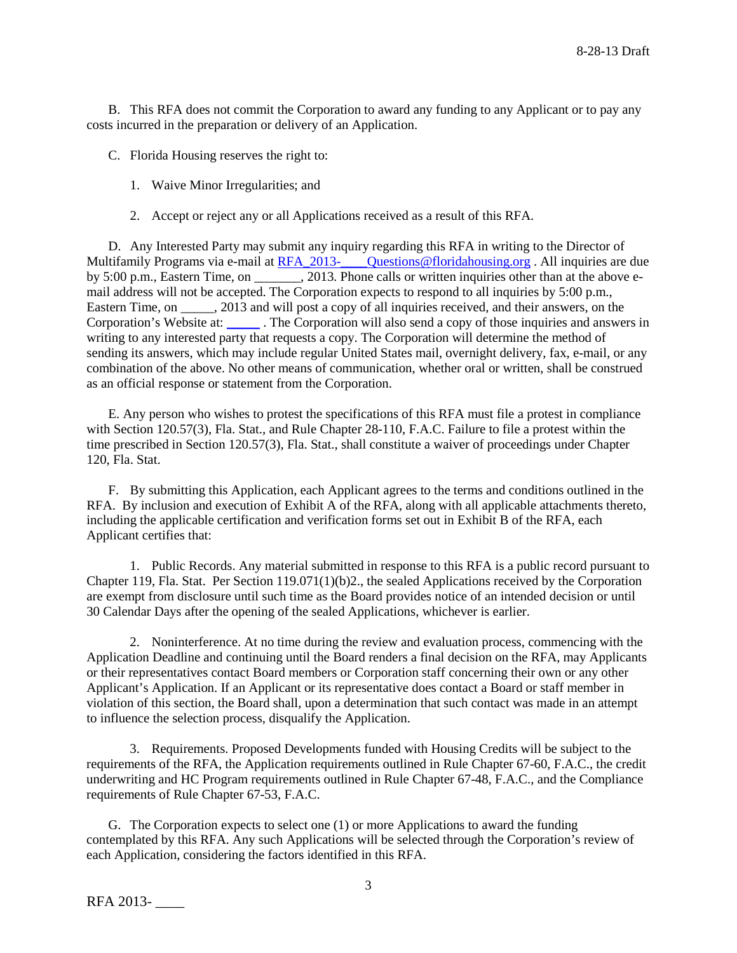B. This RFA does not commit the Corporation to award any funding to any Applicant or to pay any costs incurred in the preparation or delivery of an Application.

C. Florida Housing reserves the right to:

- 1. Waive Minor Irregularities; and
- 2. Accept or reject any or all Applications received as a result of this RFA.

D. Any Interested Party may submit any inquiry regarding this RFA in writing to the Director of Multifamily Programs via e-mail at RFA\_2013-\_\_\_\_\_Questions@floridahousing.org. All inquiries are due by 5:00 p.m., Eastern Time, on \_\_\_\_\_\_\_, 2013. Phone calls or written inquiries other than at the above email address will not be accepted. The Corporation expects to respond to all inquiries by 5:00 p.m., Eastern Time, on . 2013 and will post a copy of all inquiries received, and their answers, on the Corporation's Website at: [\\_\\_\\_\\_\\_](http://apps.floridahousing.org/StandAlone/FHFC_ECM/ContentPage.aspx?PAGE=0394) . The Corporation will also send a copy of those inquiries and answers in writing to any interested party that requests a copy. The Corporation will determine the method of sending its answers, which may include regular United States mail, overnight delivery, fax, e-mail, or any combination of the above. No other means of communication, whether oral or written, shall be construed as an official response or statement from the Corporation.

E. Any person who wishes to protest the specifications of this RFA must file a protest in compliance with Section 120.57(3), Fla. Stat., and Rule Chapter 28-110, F.A.C. Failure to file a protest within the time prescribed in Section 120.57(3), Fla. Stat., shall constitute a waiver of proceedings under Chapter 120, Fla. Stat.

F. By submitting this Application, each Applicant agrees to the terms and conditions outlined in the RFA. By inclusion and execution of Exhibit A of the RFA, along with all applicable attachments thereto, including the applicable certification and verification forms set out in Exhibit B of the RFA, each Applicant certifies that:

1. Public Records. Any material submitted in response to this RFA is a public record pursuant to Chapter 119, Fla. Stat. Per Section 119.071(1)(b)2., the sealed Applications received by the Corporation are exempt from disclosure until such time as the Board provides notice of an intended decision or until 30 Calendar Days after the opening of the sealed Applications, whichever is earlier.

2. Noninterference. At no time during the review and evaluation process, commencing with the Application Deadline and continuing until the Board renders a final decision on the RFA, may Applicants or their representatives contact Board members or Corporation staff concerning their own or any other Applicant's Application. If an Applicant or its representative does contact a Board or staff member in violation of this section, the Board shall, upon a determination that such contact was made in an attempt to influence the selection process, disqualify the Application.

3. Requirements. Proposed Developments funded with Housing Credits will be subject to the requirements of the RFA, the Application requirements outlined in Rule Chapter 67-60, F.A.C., the credit underwriting and HC Program requirements outlined in Rule Chapter 67-48, F.A.C., and the Compliance requirements of Rule Chapter 67-53, F.A.C.

G. The Corporation expects to select one (1) or more Applications to award the funding contemplated by this RFA. Any such Applications will be selected through the Corporation's review of each Application, considering the factors identified in this RFA.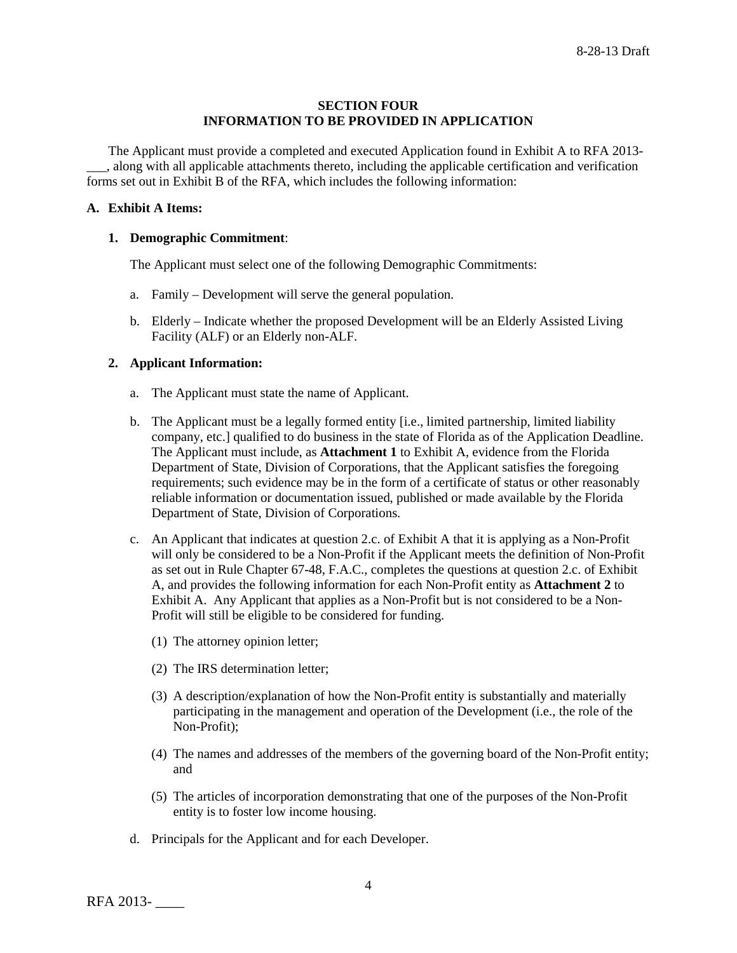### **SECTION FOUR INFORMATION TO BE PROVIDED IN APPLICATION**

The Applicant must provide a completed and executed Application found in Exhibit A to RFA 2013- \_\_\_, along with all applicable attachments thereto, including the applicable certification and verification forms set out in Exhibit B of the RFA, which includes the following information:

# **A. Exhibit A Items:**

#### **1. Demographic Commitment**:

The Applicant must select one of the following Demographic Commitments:

- a. Family Development will serve the general population.
- b. Elderly Indicate whether the proposed Development will be an Elderly Assisted Living Facility (ALF) or an Elderly non-ALF.

#### **2. Applicant Information:**

- a. The Applicant must state the name of Applicant.
- b. The Applicant must be a legally formed entity [i.e., limited partnership, limited liability company, etc.] qualified to do business in the state of Florida as of the Application Deadline. The Applicant must include, as **Attachment 1** to Exhibit A, evidence from the Florida Department of State, Division of Corporations, that the Applicant satisfies the foregoing requirements; such evidence may be in the form of a certificate of status or other reasonably reliable information or documentation issued, published or made available by the Florida Department of State, Division of Corporations.
- c. An Applicant that indicates at question 2.c. of Exhibit A that it is applying as a Non-Profit will only be considered to be a Non-Profit if the Applicant meets the definition of Non-Profit as set out in Rule Chapter 67-48, F.A.C., completes the questions at question 2.c. of Exhibit A, and provides the following information for each Non-Profit entity as **Attachment 2** to Exhibit A. Any Applicant that applies as a Non-Profit but is not considered to be a Non-Profit will still be eligible to be considered for funding.
	- (1) The attorney opinion letter;
	- (2) The IRS determination letter;
	- (3) A description/explanation of how the Non-Profit entity is substantially and materially participating in the management and operation of the Development (i.e., the role of the Non-Profit);
	- (4) The names and addresses of the members of the governing board of the Non-Profit entity; and
	- (5) The articles of incorporation demonstrating that one of the purposes of the Non-Profit entity is to foster low income housing.
- d. Principals for the Applicant and for each Developer.

RFA 2013- \_\_\_\_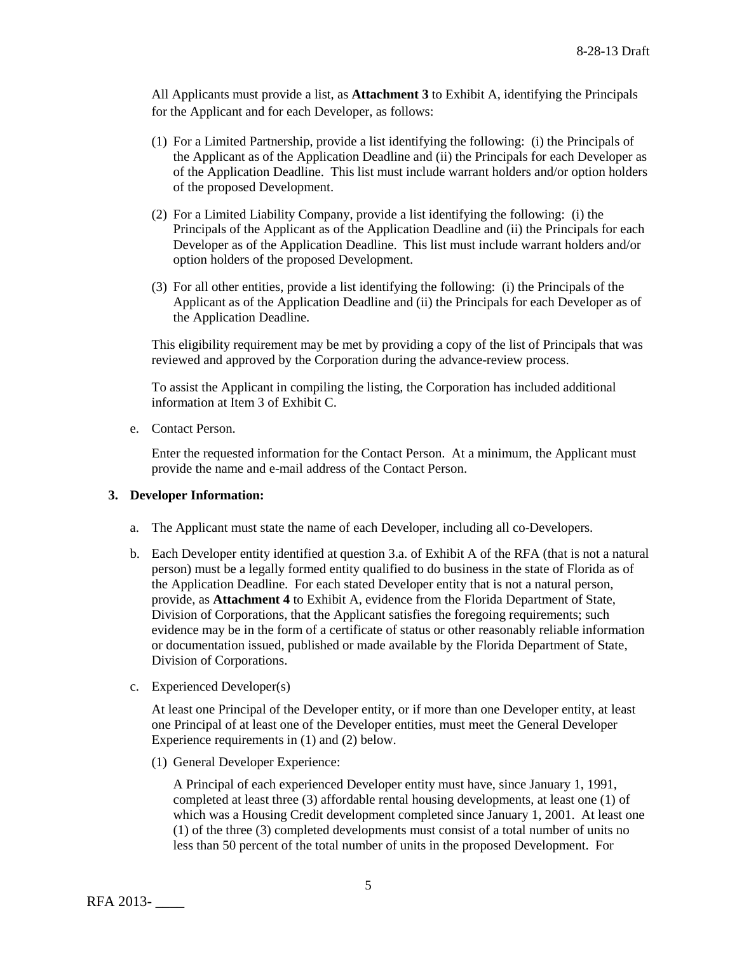All Applicants must provide a list, as **Attachment 3** to Exhibit A, identifying the Principals for the Applicant and for each Developer, as follows:

- (1) For a Limited Partnership, provide a list identifying the following: (i) the Principals of the Applicant as of the Application Deadline and (ii) the Principals for each Developer as of the Application Deadline. This list must include warrant holders and/or option holders of the proposed Development.
- (2) For a Limited Liability Company, provide a list identifying the following: (i) the Principals of the Applicant as of the Application Deadline and (ii) the Principals for each Developer as of the Application Deadline. This list must include warrant holders and/or option holders of the proposed Development.
- (3) For all other entities, provide a list identifying the following: (i) the Principals of the Applicant as of the Application Deadline and (ii) the Principals for each Developer as of the Application Deadline.

This eligibility requirement may be met by providing a copy of the list of Principals that was reviewed and approved by the Corporation during the advance-review process.

To assist the Applicant in compiling the listing, the Corporation has included additional information at Item 3 of Exhibit C.

e. Contact Person.

Enter the requested information for the Contact Person. At a minimum, the Applicant must provide the name and e-mail address of the Contact Person.

#### **3. Developer Information:**

- a. The Applicant must state the name of each Developer, including all co-Developers.
- b. Each Developer entity identified at question 3.a. of Exhibit A of the RFA (that is not a natural person) must be a legally formed entity qualified to do business in the state of Florida as of the Application Deadline. For each stated Developer entity that is not a natural person, provide, as **Attachment 4** to Exhibit A, evidence from the Florida Department of State, Division of Corporations, that the Applicant satisfies the foregoing requirements; such evidence may be in the form of a certificate of status or other reasonably reliable information or documentation issued, published or made available by the Florida Department of State, Division of Corporations.
- c. Experienced Developer(s)

At least one Principal of the Developer entity, or if more than one Developer entity, at least one Principal of at least one of the Developer entities, must meet the General Developer Experience requirements in (1) and (2) below.

(1) General Developer Experience:

A Principal of each experienced Developer entity must have, since January 1, 1991, completed at least three (3) affordable rental housing developments, at least one (1) of which was a Housing Credit development completed since January 1, 2001. At least one (1) of the three (3) completed developments must consist of a total number of units no less than 50 percent of the total number of units in the proposed Development. For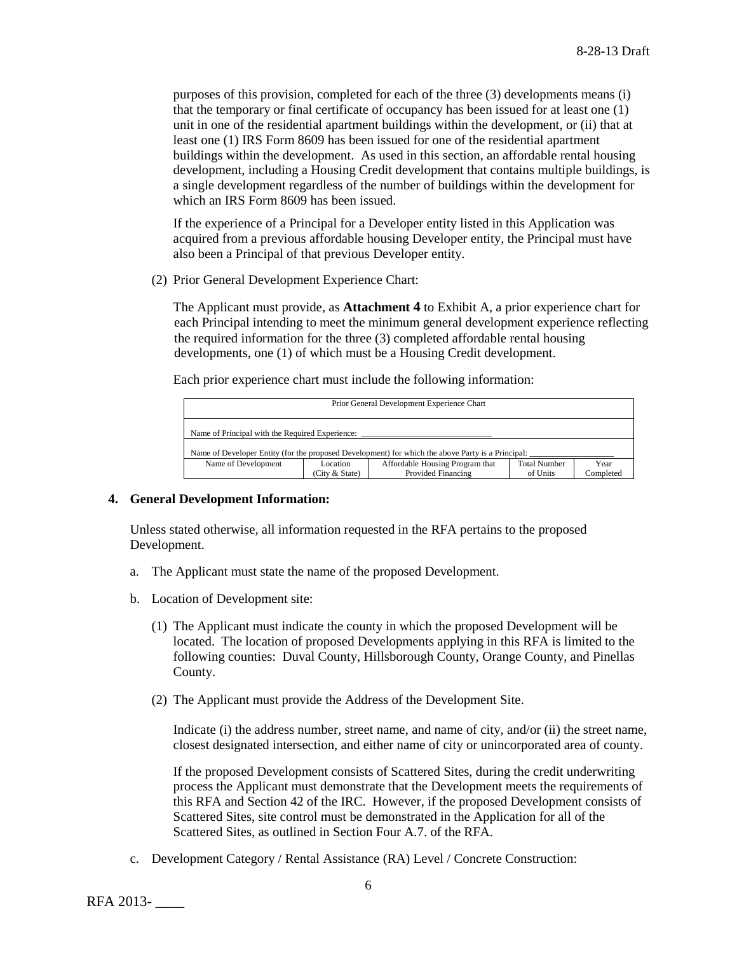purposes of this provision, completed for each of the three (3) developments means (i) that the temporary or final certificate of occupancy has been issued for at least one (1) unit in one of the residential apartment buildings within the development, or (ii) that at least one (1) IRS Form 8609 has been issued for one of the residential apartment buildings within the development. As used in this section, an affordable rental housing development, including a Housing Credit development that contains multiple buildings, is a single development regardless of the number of buildings within the development for which an IRS Form 8609 has been issued.

If the experience of a Principal for a Developer entity listed in this Application was acquired from a previous affordable housing Developer entity, the Principal must have also been a Principal of that previous Developer entity.

(2) Prior General Development Experience Chart:

The Applicant must provide, as **Attachment 4** to Exhibit A, a prior experience chart for each Principal intending to meet the minimum general development experience reflecting the required information for the three (3) completed affordable rental housing developments, one (1) of which must be a Housing Credit development.

Each prior experience chart must include the following information:

| Prior General Development Experience Chart                                                                                                                         |  |  |  |  |  |
|--------------------------------------------------------------------------------------------------------------------------------------------------------------------|--|--|--|--|--|
| Name of Principal with the Required Experience:                                                                                                                    |  |  |  |  |  |
| Name of Developer Entity (for the proposed Development) for which the above Party is a Principal:                                                                  |  |  |  |  |  |
| Affordable Housing Program that<br><b>Total Number</b><br>Name of Development<br>Location<br>Year<br>Provided Financing<br>Completed<br>(City & State)<br>of Units |  |  |  |  |  |

#### **4. General Development Information:**

Unless stated otherwise, all information requested in the RFA pertains to the proposed Development.

- a. The Applicant must state the name of the proposed Development.
- b. Location of Development site:
	- (1) The Applicant must indicate the county in which the proposed Development will be located. The location of proposed Developments applying in this RFA is limited to the following counties: Duval County, Hillsborough County, Orange County, and Pinellas County.
	- (2) The Applicant must provide the Address of the Development Site.

Indicate (i) the address number, street name, and name of city, and/or (ii) the street name, closest designated intersection, and either name of city or unincorporated area of county.

If the proposed Development consists of Scattered Sites, during the credit underwriting process the Applicant must demonstrate that the Development meets the requirements of this RFA and Section 42 of the IRC. However, if the proposed Development consists of Scattered Sites, site control must be demonstrated in the Application for all of the Scattered Sites, as outlined in Section Four A.7. of the RFA.

c. Development Category / Rental Assistance (RA) Level / Concrete Construction: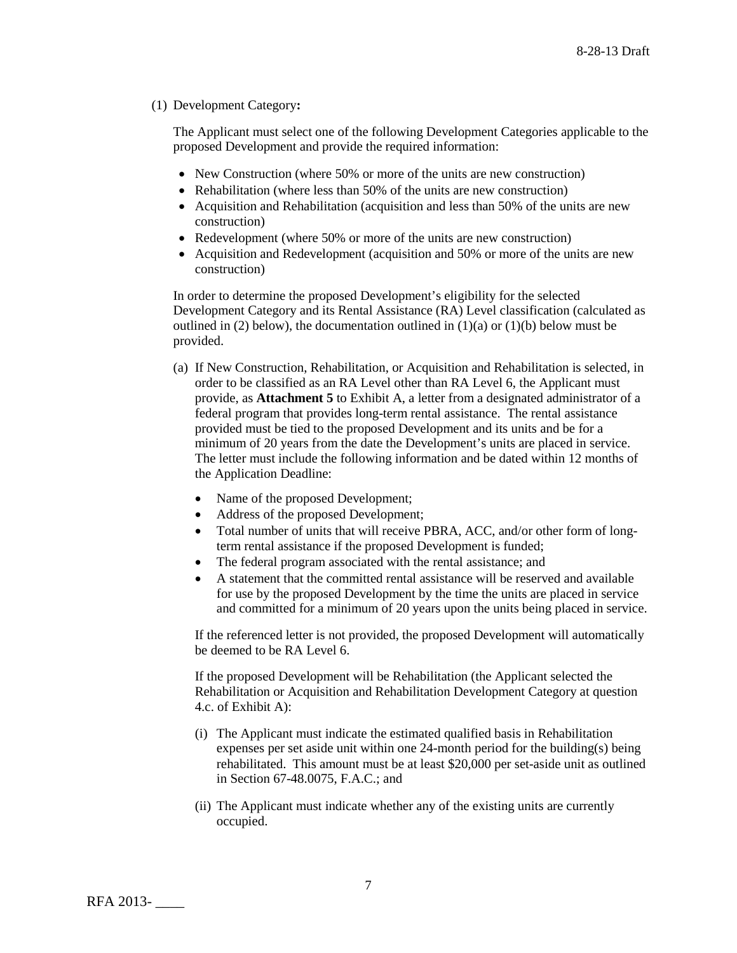### (1) Development Category**:**

The Applicant must select one of the following Development Categories applicable to the proposed Development and provide the required information:

- New Construction (where 50% or more of the units are new construction)
- Rehabilitation (where less than 50% of the units are new construction)
- Acquisition and Rehabilitation (acquisition and less than 50% of the units are new construction)
- Redevelopment (where 50% or more of the units are new construction)
- Acquisition and Redevelopment (acquisition and 50% or more of the units are new construction)

In order to determine the proposed Development's eligibility for the selected Development Category and its Rental Assistance (RA) Level classification (calculated as outlined in (2) below), the documentation outlined in  $(1)(a)$  or  $(1)(b)$  below must be provided.

- (a) If New Construction, Rehabilitation, or Acquisition and Rehabilitation is selected, in order to be classified as an RA Level other than RA Level 6, the Applicant must provide, as **Attachment 5** to Exhibit A, a letter from a designated administrator of a federal program that provides long-term rental assistance. The rental assistance provided must be tied to the proposed Development and its units and be for a minimum of 20 years from the date the Development's units are placed in service. The letter must include the following information and be dated within 12 months of the Application Deadline:
	- Name of the proposed Development;
	- Address of the proposed Development;
	- Total number of units that will receive PBRA, ACC, and/or other form of longterm rental assistance if the proposed Development is funded;
	- The federal program associated with the rental assistance; and
	- A statement that the committed rental assistance will be reserved and available for use by the proposed Development by the time the units are placed in service and committed for a minimum of 20 years upon the units being placed in service.

If the referenced letter is not provided, the proposed Development will automatically be deemed to be RA Level 6.

If the proposed Development will be Rehabilitation (the Applicant selected the Rehabilitation or Acquisition and Rehabilitation Development Category at question 4.c. of Exhibit A):

- (i) The Applicant must indicate the estimated qualified basis in Rehabilitation expenses per set aside unit within one 24-month period for the building(s) being rehabilitated. This amount must be at least \$20,000 per set-aside unit as outlined in Section 67-48.0075, F.A.C.; and
- (ii) The Applicant must indicate whether any of the existing units are currently occupied.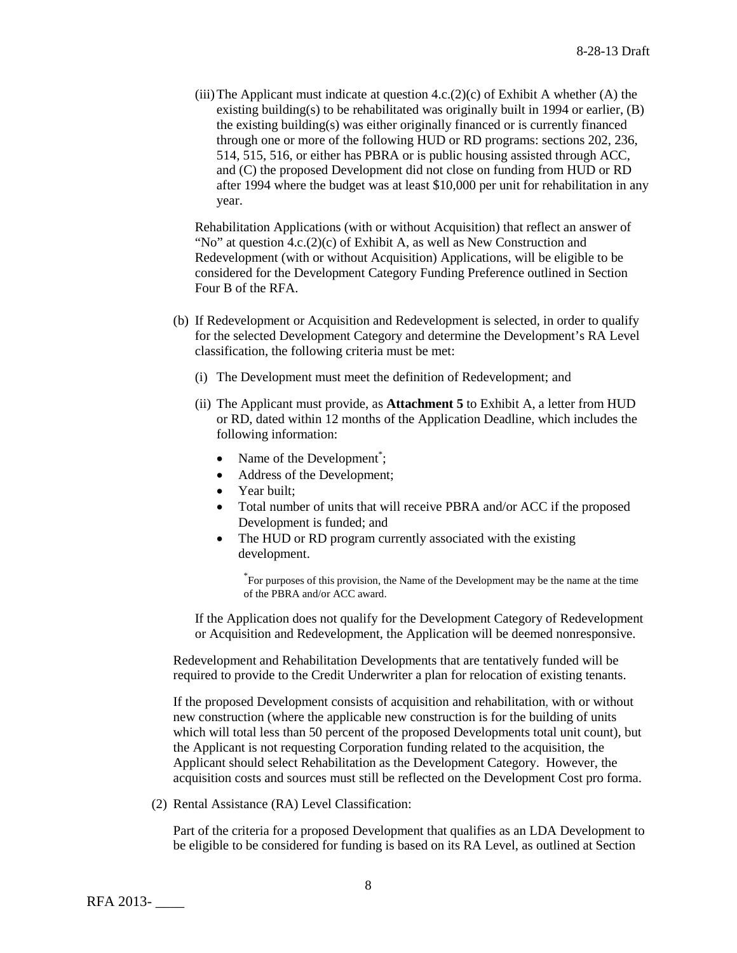(iii) The Applicant must indicate at question  $4.c.(2)(c)$  of Exhibit A whether (A) the existing building(s) to be rehabilitated was originally built in 1994 or earlier,  $(B)$ the existing building(s) was either originally financed or is currently financed through one or more of the following HUD or RD programs: sections 202, 236, 514, 515, 516, or either has PBRA or is public housing assisted through ACC, and (C) the proposed Development did not close on funding from HUD or RD after 1994 where the budget was at least \$10,000 per unit for rehabilitation in any year.

Rehabilitation Applications (with or without Acquisition) that reflect an answer of "No" at question  $4.c.(2)(c)$  of Exhibit A, as well as New Construction and Redevelopment (with or without Acquisition) Applications, will be eligible to be considered for the Development Category Funding Preference outlined in Section Four B of the RFA.

- (b) If Redevelopment or Acquisition and Redevelopment is selected, in order to qualify for the selected Development Category and determine the Development's RA Level classification, the following criteria must be met:
	- (i) The Development must meet the definition of Redevelopment; and
	- (ii) The Applicant must provide, as **Attachment 5** to Exhibit A, a letter from HUD or RD, dated within 12 months of the Application Deadline, which includes the following information:
		- Name of the Development<sup>\*</sup>;
		- Address of the Development;
		- Year built;
		- Total number of units that will receive PBRA and/or ACC if the proposed Development is funded; and
		- The HUD or RD program currently associated with the existing development.

\* For purposes of this provision, the Name of the Development may be the name at the time of the PBRA and/or ACC award.

If the Application does not qualify for the Development Category of Redevelopment or Acquisition and Redevelopment, the Application will be deemed nonresponsive.

Redevelopment and Rehabilitation Developments that are tentatively funded will be required to provide to the Credit Underwriter a plan for relocation of existing tenants.

If the proposed Development consists of acquisition and rehabilitation, with or without new construction (where the applicable new construction is for the building of units which will total less than 50 percent of the proposed Developments total unit count), but the Applicant is not requesting Corporation funding related to the acquisition, the Applicant should select Rehabilitation as the Development Category. However, the acquisition costs and sources must still be reflected on the Development Cost pro forma.

(2) Rental Assistance (RA) Level Classification:

Part of the criteria for a proposed Development that qualifies as an LDA Development to be eligible to be considered for funding is based on its RA Level, as outlined at Section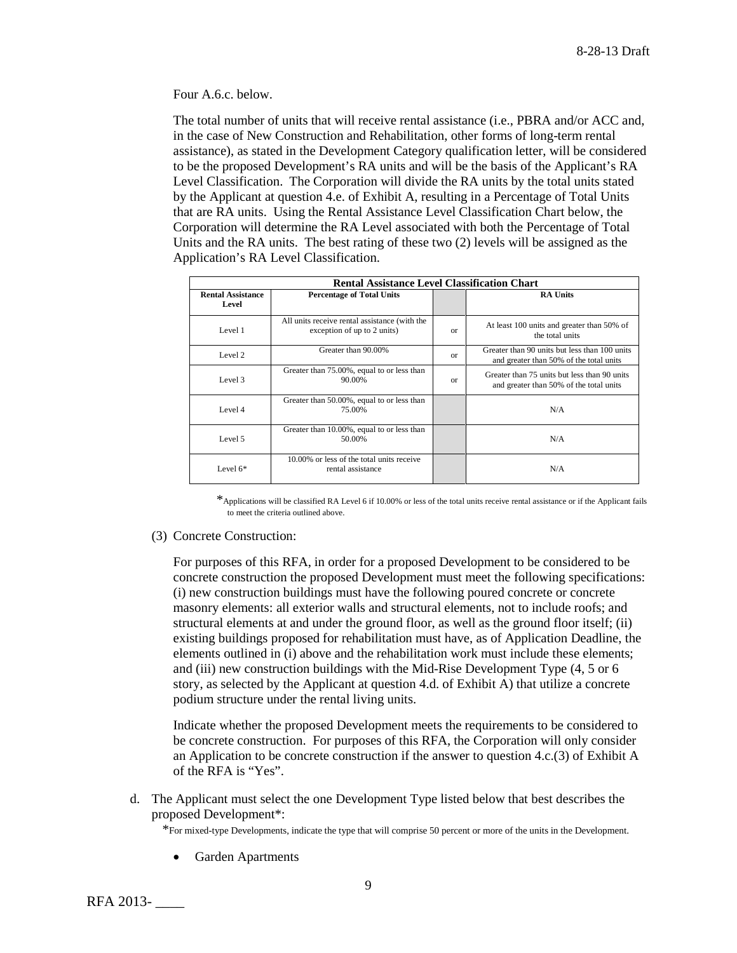Four A.6.c. below.

The total number of units that will receive rental assistance (i.e., PBRA and/or ACC and, in the case of New Construction and Rehabilitation, other forms of long-term rental assistance), as stated in the Development Category qualification letter, will be considered to be the proposed Development's RA units and will be the basis of the Applicant's RA Level Classification. The Corporation will divide the RA units by the total units stated by the Applicant at question 4.e. of Exhibit A, resulting in a Percentage of Total Units that are RA units. Using the Rental Assistance Level Classification Chart below, the Corporation will determine the RA Level associated with both the Percentage of Total Units and the RA units. The best rating of these two (2) levels will be assigned as the Application's RA Level Classification.

| <b>Rental Assistance Level Classification Chart</b> |                                                                              |          |                                                                                          |
|-----------------------------------------------------|------------------------------------------------------------------------------|----------|------------------------------------------------------------------------------------------|
| <b>Rental Assistance</b><br>Level                   | <b>Percentage of Total Units</b>                                             |          | <b>RA Units</b>                                                                          |
| Level 1                                             | All units receive rental assistance (with the<br>exception of up to 2 units) | $\alpha$ | At least 100 units and greater than 50% of<br>the total units                            |
| Level 2                                             | Greater than 90.00%                                                          | $\alpha$ | Greater than 90 units but less than 100 units<br>and greater than 50% of the total units |
| Level 3                                             | Greater than 75.00%, equal to or less than<br>90.00%                         | $\alpha$ | Greater than 75 units but less than 90 units<br>and greater than 50% of the total units  |
| Level 4                                             | Greater than 50.00%, equal to or less than<br>75.00%                         |          | N/A                                                                                      |
| Level 5                                             | Greater than 10.00%, equal to or less than<br>50.00%                         |          | N/A                                                                                      |
| Level $6*$                                          | 10,00% or less of the total units receive<br>rental assistance               |          | N/A                                                                                      |

\*Applications will be classified RA Level 6 if 10.00% or less of the total units receive rental assistance or if the Applicant fails to meet the criteria outlined above.

(3) Concrete Construction:

For purposes of this RFA, in order for a proposed Development to be considered to be concrete construction the proposed Development must meet the following specifications: (i) new construction buildings must have the following poured concrete or concrete masonry elements: all exterior walls and structural elements, not to include roofs; and structural elements at and under the ground floor, as well as the ground floor itself; (ii) existing buildings proposed for rehabilitation must have, as of Application Deadline, the elements outlined in (i) above and the rehabilitation work must include these elements; and (iii) new construction buildings with the Mid-Rise Development Type (4, 5 or 6 story, as selected by the Applicant at question 4.d. of Exhibit A) that utilize a concrete podium structure under the rental living units.

Indicate whether the proposed Development meets the requirements to be considered to be concrete construction. For purposes of this RFA, the Corporation will only consider an Application to be concrete construction if the answer to question 4.c.(3) of Exhibit A of the RFA is "Yes".

d. The Applicant must select the one Development Type listed below that best describes the proposed Development\*:

\*For mixed-type Developments, indicate the type that will comprise 50 percent or more of the units in the Development.

• Garden Apartments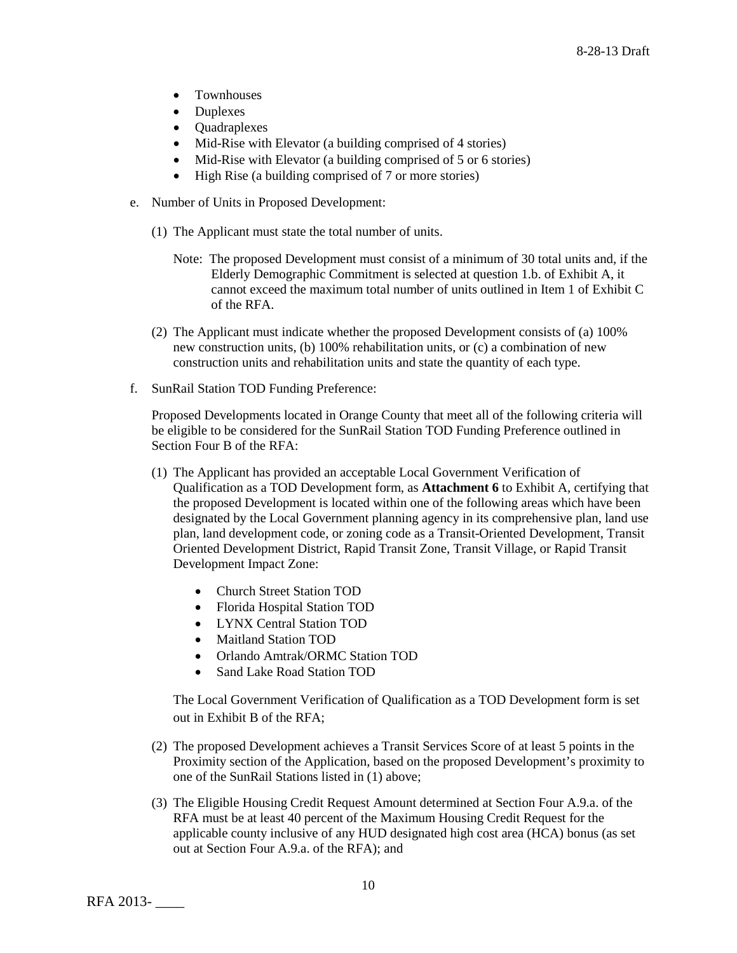- Townhouses
- Duplexes
- Quadraplexes
- Mid-Rise with Elevator (a building comprised of 4 stories)
- Mid-Rise with Elevator (a building comprised of 5 or 6 stories)
- High Rise (a building comprised of 7 or more stories)
- e. Number of Units in Proposed Development:
	- (1) The Applicant must state the total number of units.
		- Note: The proposed Development must consist of a minimum of 30 total units and, if the Elderly Demographic Commitment is selected at question 1.b. of Exhibit A, it cannot exceed the maximum total number of units outlined in Item 1 of Exhibit C of the RFA.
	- (2) The Applicant must indicate whether the proposed Development consists of (a) 100% new construction units, (b) 100% rehabilitation units, or (c) a combination of new construction units and rehabilitation units and state the quantity of each type.
- f. SunRail Station TOD Funding Preference:

Proposed Developments located in Orange County that meet all of the following criteria will be eligible to be considered for the SunRail Station TOD Funding Preference outlined in Section Four B of the RFA:

- (1) The Applicant has provided an acceptable Local Government Verification of Qualification as a TOD Development form, as **Attachment 6** to Exhibit A, certifying that the proposed Development is located within one of the following areas which have been designated by the Local Government planning agency in its comprehensive plan, land use plan, land development code, or zoning code as a Transit-Oriented Development, Transit Oriented Development District, Rapid Transit Zone, Transit Village, or Rapid Transit Development Impact Zone:
	- Church Street Station TOD
	- Florida Hospital Station TOD
	- LYNX Central Station TOD
	- Maitland Station TOD
	- Orlando Amtrak/ORMC Station TOD
	- Sand Lake Road Station TOD

The Local Government Verification of Qualification as a TOD Development form is set out in Exhibit B of the RFA;

- (2) The proposed Development achieves a Transit Services Score of at least 5 points in the Proximity section of the Application, based on the proposed Development's proximity to one of the SunRail Stations listed in (1) above;
- (3) The Eligible Housing Credit Request Amount determined at Section Four A.9.a. of the RFA must be at least 40 percent of the Maximum Housing Credit Request for the applicable county inclusive of any HUD designated high cost area (HCA) bonus (as set out at Section Four A.9.a. of the RFA); and

RFA 2013- \_\_\_\_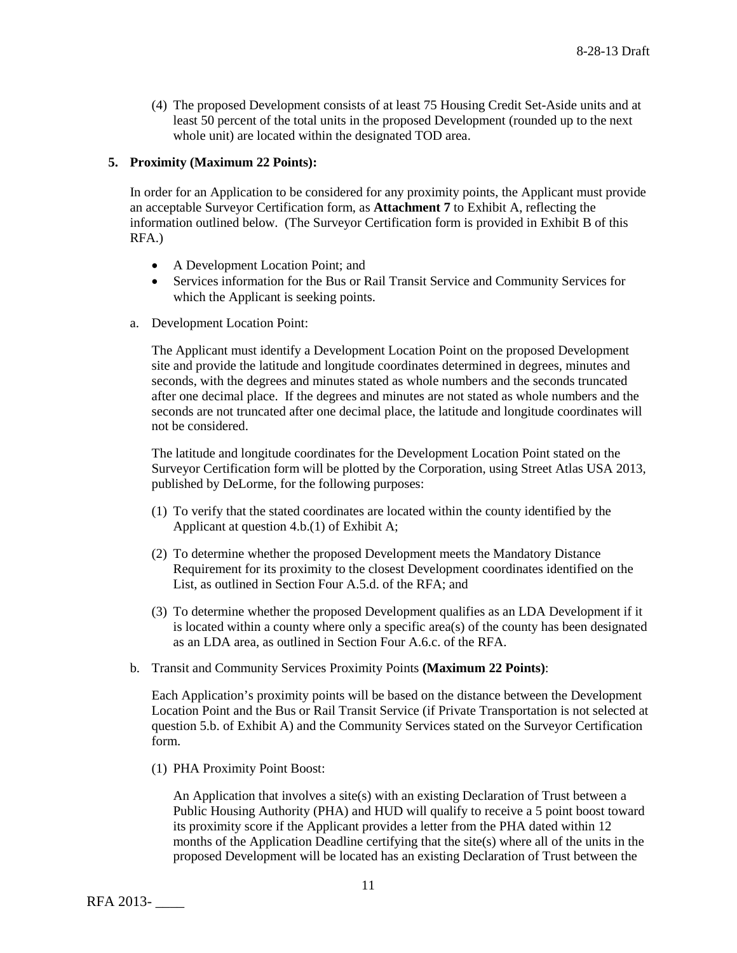(4) The proposed Development consists of at least 75 Housing Credit Set-Aside units and at least 50 percent of the total units in the proposed Development (rounded up to the next whole unit) are located within the designated TOD area.

### **5. Proximity (Maximum 22 Points):**

In order for an Application to be considered for any proximity points, the Applicant must provide an acceptable Surveyor Certification form, as **Attachment 7** to Exhibit A, reflecting the information outlined below. (The Surveyor Certification form is provided in Exhibit B of this RFA.)

- A Development Location Point; and
- Services information for the Bus or Rail Transit Service and Community Services for which the Applicant is seeking points.
- a. Development Location Point:

The Applicant must identify a Development Location Point on the proposed Development site and provide the latitude and longitude coordinates determined in degrees, minutes and seconds, with the degrees and minutes stated as whole numbers and the seconds truncated after one decimal place. If the degrees and minutes are not stated as whole numbers and the seconds are not truncated after one decimal place, the latitude and longitude coordinates will not be considered.

The latitude and longitude coordinates for the Development Location Point stated on the Surveyor Certification form will be plotted by the Corporation, using Street Atlas USA 2013, published by DeLorme, for the following purposes:

- (1) To verify that the stated coordinates are located within the county identified by the Applicant at question 4.b.(1) of Exhibit A;
- (2) To determine whether the proposed Development meets the Mandatory Distance Requirement for its proximity to the closest Development coordinates identified on the List, as outlined in Section Four A.5.d. of the RFA; and
- (3) To determine whether the proposed Development qualifies as an LDA Development if it is located within a county where only a specific area(s) of the county has been designated as an LDA area, as outlined in Section Four A.6.c. of the RFA.
- b. Transit and Community Services Proximity Points **(Maximum 22 Points)**:

Each Application's proximity points will be based on the distance between the Development Location Point and the Bus or Rail Transit Service (if Private Transportation is not selected at question 5.b. of Exhibit A) and the Community Services stated on the Surveyor Certification form.

(1) PHA Proximity Point Boost:

An Application that involves a site(s) with an existing Declaration of Trust between a Public Housing Authority (PHA) and HUD will qualify to receive a 5 point boost toward its proximity score if the Applicant provides a letter from the PHA dated within 12 months of the Application Deadline certifying that the site(s) where all of the units in the proposed Development will be located has an existing Declaration of Trust between the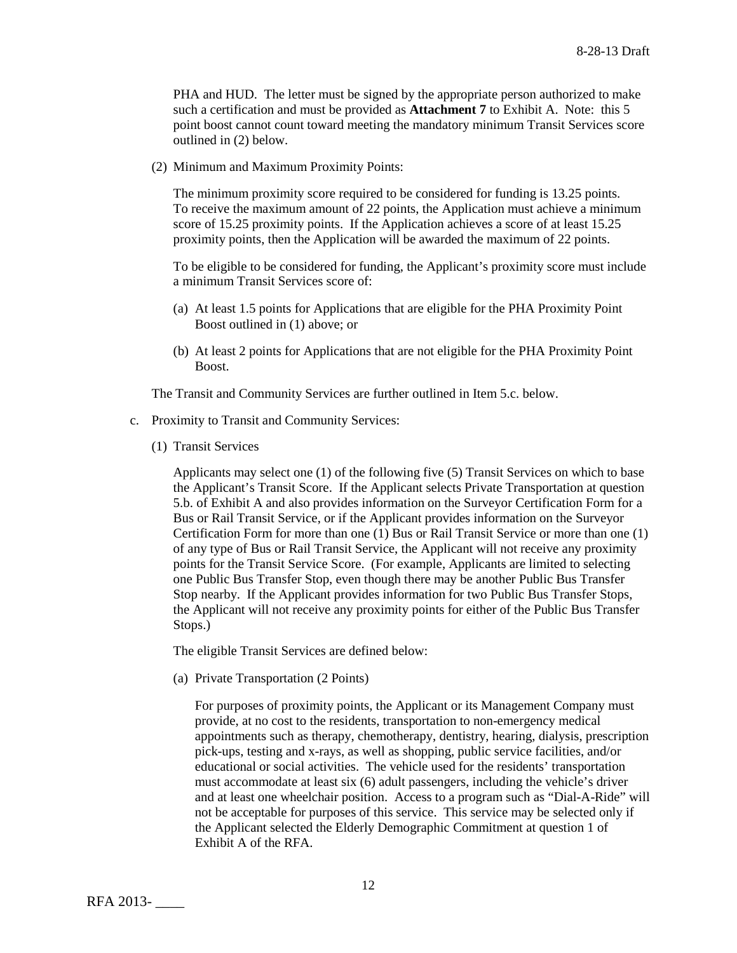PHA and HUD. The letter must be signed by the appropriate person authorized to make such a certification and must be provided as **Attachment 7** to Exhibit A. Note: this 5 point boost cannot count toward meeting the mandatory minimum Transit Services score outlined in (2) below.

(2) Minimum and Maximum Proximity Points:

The minimum proximity score required to be considered for funding is 13.25 points. To receive the maximum amount of 22 points, the Application must achieve a minimum score of 15.25 proximity points. If the Application achieves a score of at least 15.25 proximity points, then the Application will be awarded the maximum of 22 points.

To be eligible to be considered for funding, the Applicant's proximity score must include a minimum Transit Services score of:

- (a) At least 1.5 points for Applications that are eligible for the PHA Proximity Point Boost outlined in (1) above; or
- (b) At least 2 points for Applications that are not eligible for the PHA Proximity Point Boost.

The Transit and Community Services are further outlined in Item 5.c. below.

- c. Proximity to Transit and Community Services:
	- (1) Transit Services

Applicants may select one (1) of the following five (5) Transit Services on which to base the Applicant's Transit Score. If the Applicant selects Private Transportation at question 5.b. of Exhibit A and also provides information on the Surveyor Certification Form for a Bus or Rail Transit Service, or if the Applicant provides information on the Surveyor Certification Form for more than one (1) Bus or Rail Transit Service or more than one (1) of any type of Bus or Rail Transit Service, the Applicant will not receive any proximity points for the Transit Service Score. (For example, Applicants are limited to selecting one Public Bus Transfer Stop, even though there may be another Public Bus Transfer Stop nearby. If the Applicant provides information for two Public Bus Transfer Stops, the Applicant will not receive any proximity points for either of the Public Bus Transfer Stops.)

The eligible Transit Services are defined below:

(a) Private Transportation (2 Points)

For purposes of proximity points, the Applicant or its Management Company must provide, at no cost to the residents, transportation to non-emergency medical appointments such as therapy, chemotherapy, dentistry, hearing, dialysis, prescription pick-ups, testing and x-rays, as well as shopping, public service facilities, and/or educational or social activities. The vehicle used for the residents' transportation must accommodate at least six (6) adult passengers, including the vehicle's driver and at least one wheelchair position. Access to a program such as "Dial-A-Ride" will not be acceptable for purposes of this service. This service may be selected only if the Applicant selected the Elderly Demographic Commitment at question 1 of Exhibit A of the RFA.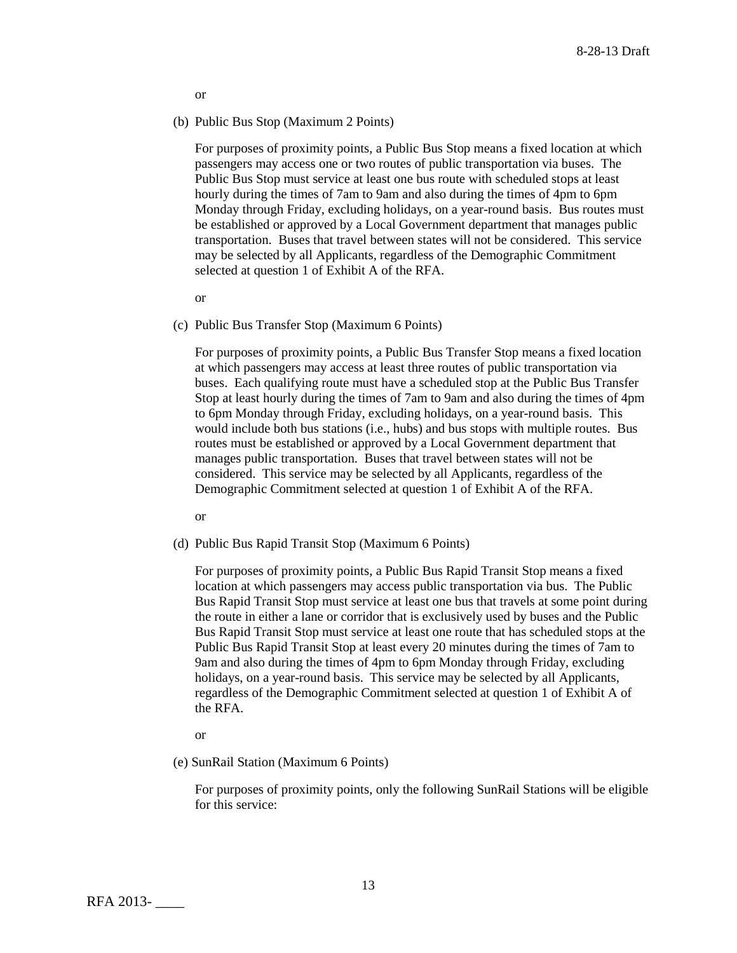or

(b) Public Bus Stop (Maximum 2 Points)

For purposes of proximity points, a Public Bus Stop means a fixed location at which passengers may access one or two routes of public transportation via buses. The Public Bus Stop must service at least one bus route with scheduled stops at least hourly during the times of 7am to 9am and also during the times of 4pm to 6pm Monday through Friday, excluding holidays, on a year-round basis. Bus routes must be established or approved by a Local Government department that manages public transportation. Buses that travel between states will not be considered. This service may be selected by all Applicants, regardless of the Demographic Commitment selected at question 1 of Exhibit A of the RFA.

or

(c) Public Bus Transfer Stop (Maximum 6 Points)

For purposes of proximity points, a Public Bus Transfer Stop means a fixed location at which passengers may access at least three routes of public transportation via buses. Each qualifying route must have a scheduled stop at the Public Bus Transfer Stop at least hourly during the times of 7am to 9am and also during the times of 4pm to 6pm Monday through Friday, excluding holidays, on a year-round basis. This would include both bus stations (i.e., hubs) and bus stops with multiple routes. Bus routes must be established or approved by a Local Government department that manages public transportation. Buses that travel between states will not be considered. This service may be selected by all Applicants, regardless of the Demographic Commitment selected at question 1 of Exhibit A of the RFA.

or

(d) Public Bus Rapid Transit Stop (Maximum 6 Points)

For purposes of proximity points, a Public Bus Rapid Transit Stop means a fixed location at which passengers may access public transportation via bus. The Public Bus Rapid Transit Stop must service at least one bus that travels at some point during the route in either a lane or corridor that is exclusively used by buses and the Public Bus Rapid Transit Stop must service at least one route that has scheduled stops at the Public Bus Rapid Transit Stop at least every 20 minutes during the times of 7am to 9am and also during the times of 4pm to 6pm Monday through Friday, excluding holidays, on a year-round basis. This service may be selected by all Applicants, regardless of the Demographic Commitment selected at question 1 of Exhibit A of the RFA.

or

(e) SunRail Station (Maximum 6 Points)

For purposes of proximity points, only the following SunRail Stations will be eligible for this service: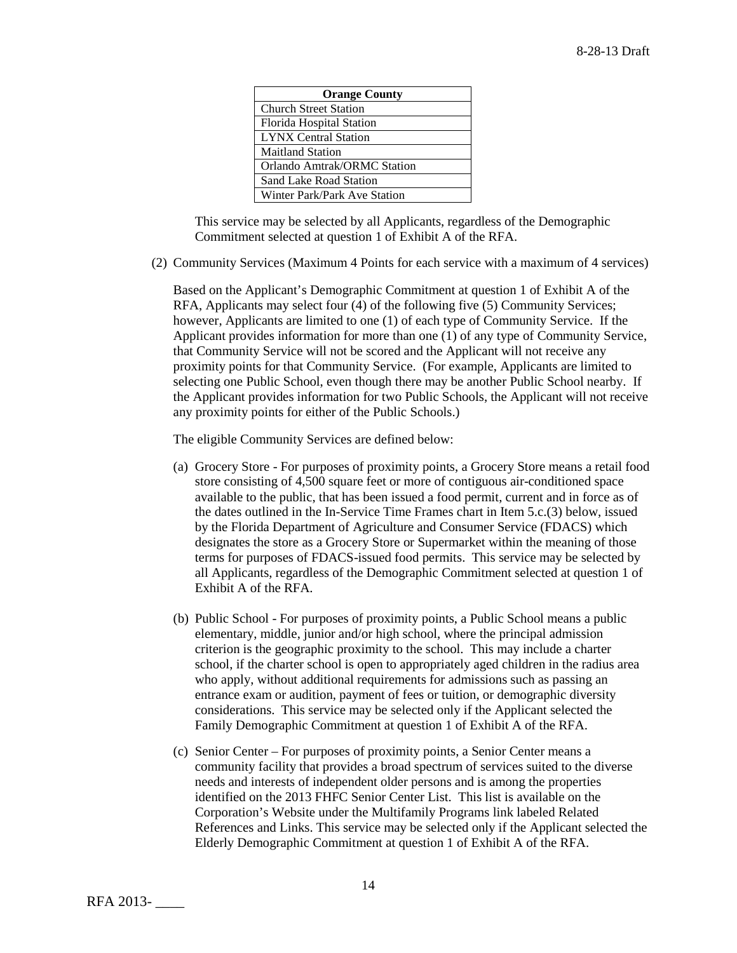| <b>Orange County</b>         |
|------------------------------|
| <b>Church Street Station</b> |
| Florida Hospital Station     |
| <b>LYNX</b> Central Station  |
| <b>Maitland Station</b>      |
| Orlando Amtrak/ORMC Station  |
| Sand Lake Road Station       |
| Winter Park/Park Ave Station |

This service may be selected by all Applicants, regardless of the Demographic Commitment selected at question 1 of Exhibit A of the RFA.

(2) Community Services (Maximum 4 Points for each service with a maximum of 4 services)

Based on the Applicant's Demographic Commitment at question 1 of Exhibit A of the RFA, Applicants may select four (4) of the following five (5) Community Services; however, Applicants are limited to one (1) of each type of Community Service. If the Applicant provides information for more than one (1) of any type of Community Service, that Community Service will not be scored and the Applicant will not receive any proximity points for that Community Service. (For example, Applicants are limited to selecting one Public School, even though there may be another Public School nearby. If the Applicant provides information for two Public Schools, the Applicant will not receive any proximity points for either of the Public Schools.)

The eligible Community Services are defined below:

- (a) Grocery Store For purposes of proximity points, a Grocery Store means a retail food store consisting of 4,500 square feet or more of contiguous air-conditioned space available to the public, that has been issued a food permit, current and in force as of the dates outlined in the In-Service Time Frames chart in Item 5.c.(3) below, issued by the Florida Department of Agriculture and Consumer Service (FDACS) which designates the store as a Grocery Store or Supermarket within the meaning of those terms for purposes of FDACS-issued food permits. This service may be selected by all Applicants, regardless of the Demographic Commitment selected at question 1 of Exhibit A of the RFA.
- (b) Public School For purposes of proximity points, a Public School means a public elementary, middle, junior and/or high school, where the principal admission criterion is the geographic proximity to the school. This may include a charter school, if the charter school is open to appropriately aged children in the radius area who apply, without additional requirements for admissions such as passing an entrance exam or audition, payment of fees or tuition, or demographic diversity considerations. This service may be selected only if the Applicant selected the Family Demographic Commitment at question 1 of Exhibit A of the RFA.
- (c) Senior Center For purposes of proximity points, a Senior Center means a community facility that provides a broad spectrum of services suited to the diverse needs and interests of independent older persons and is among the properties identified on the 2013 FHFC Senior Center List. This list is available on the Corporation's Website under the Multifamily Programs link labeled Related References and Links. This service may be selected only if the Applicant selected the Elderly Demographic Commitment at question 1 of Exhibit A of the RFA.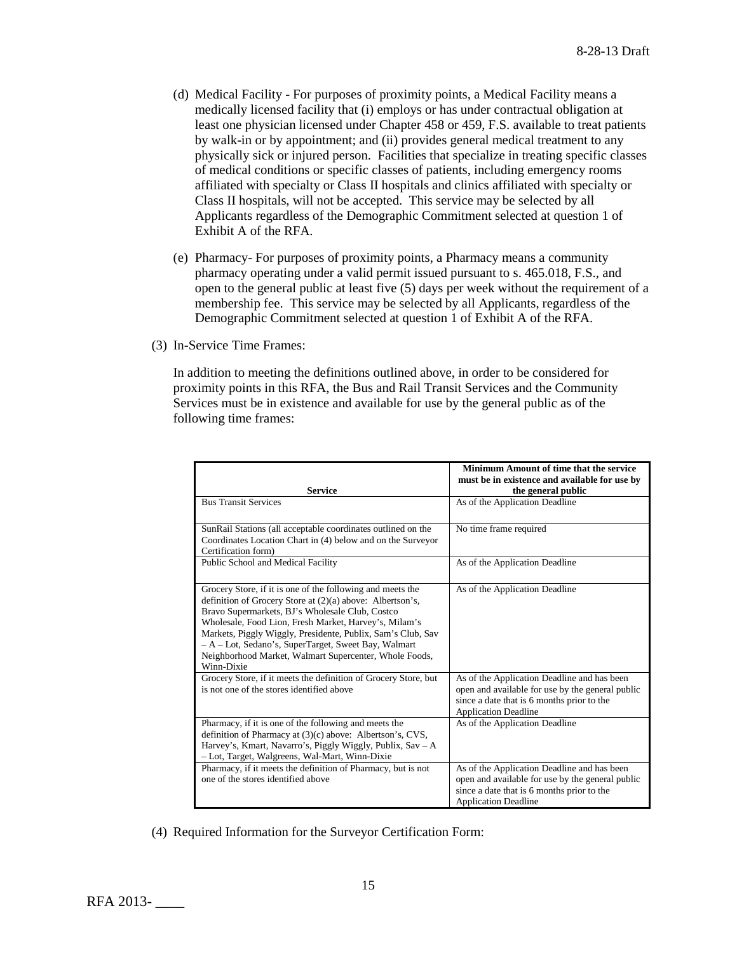- (d) Medical Facility For purposes of proximity points, a Medical Facility means a medically licensed facility that (i) employs or has under contractual obligation at least one physician licensed under Chapter 458 or 459, F.S. available to treat patients by walk-in or by appointment; and (ii) provides general medical treatment to any physically sick or injured person. Facilities that specialize in treating specific classes of medical conditions or specific classes of patients, including emergency rooms affiliated with specialty or Class II hospitals and clinics affiliated with specialty or Class II hospitals, will not be accepted. This service may be selected by all Applicants regardless of the Demographic Commitment selected at question 1 of Exhibit A of the RFA.
- (e) Pharmacy- For purposes of proximity points, a Pharmacy means a community pharmacy operating under a valid permit issued pursuant to s. 465.018, F.S., and open to the general public at least five (5) days per week without the requirement of a membership fee. This service may be selected by all Applicants, regardless of the Demographic Commitment selected at question 1 of Exhibit A of the RFA.
- (3) In-Service Time Frames:

In addition to meeting the definitions outlined above, in order to be considered for proximity points in this RFA, the Bus and Rail Transit Services and the Community Services must be in existence and available for use by the general public as of the following time frames:

| <b>Service</b>                                                                                                                                                                                                                                                                                                                                                                                                                     | Minimum Amount of time that the service<br>must be in existence and available for use by<br>the general public                                                               |
|------------------------------------------------------------------------------------------------------------------------------------------------------------------------------------------------------------------------------------------------------------------------------------------------------------------------------------------------------------------------------------------------------------------------------------|------------------------------------------------------------------------------------------------------------------------------------------------------------------------------|
| <b>Bus Transit Services</b>                                                                                                                                                                                                                                                                                                                                                                                                        | As of the Application Deadline                                                                                                                                               |
| SunRail Stations (all acceptable coordinates outlined on the<br>Coordinates Location Chart in (4) below and on the Surveyor<br>Certification form)                                                                                                                                                                                                                                                                                 | No time frame required                                                                                                                                                       |
| Public School and Medical Facility                                                                                                                                                                                                                                                                                                                                                                                                 | As of the Application Deadline                                                                                                                                               |
| Grocery Store, if it is one of the following and meets the<br>definition of Grocery Store at (2)(a) above: Albertson's,<br>Bravo Supermarkets, BJ's Wholesale Club, Costco<br>Wholesale, Food Lion, Fresh Market, Harvey's, Milam's<br>Markets, Piggly Wiggly, Presidente, Publix, Sam's Club, Sav<br>- A - Lot, Sedano's, SuperTarget, Sweet Bay, Walmart<br>Neighborhood Market, Walmart Supercenter, Whole Foods,<br>Winn-Dixie | As of the Application Deadline                                                                                                                                               |
| Grocery Store, if it meets the definition of Grocery Store, but<br>is not one of the stores identified above                                                                                                                                                                                                                                                                                                                       | As of the Application Deadline and has been<br>open and available for use by the general public<br>since a date that is 6 months prior to the<br><b>Application Deadline</b> |
| Pharmacy, if it is one of the following and meets the<br>definition of Pharmacy at (3)(c) above: Albertson's, CVS,<br>Harvey's, Kmart, Navarro's, Piggly Wiggly, Publix, Sav - A<br>- Lot, Target, Walgreens, Wal-Mart, Winn-Dixie                                                                                                                                                                                                 | As of the Application Deadline                                                                                                                                               |
| Pharmacy, if it meets the definition of Pharmacy, but is not<br>one of the stores identified above                                                                                                                                                                                                                                                                                                                                 | As of the Application Deadline and has been<br>open and available for use by the general public<br>since a date that is 6 months prior to the<br><b>Application Deadline</b> |

(4) Required Information for the Surveyor Certification Form: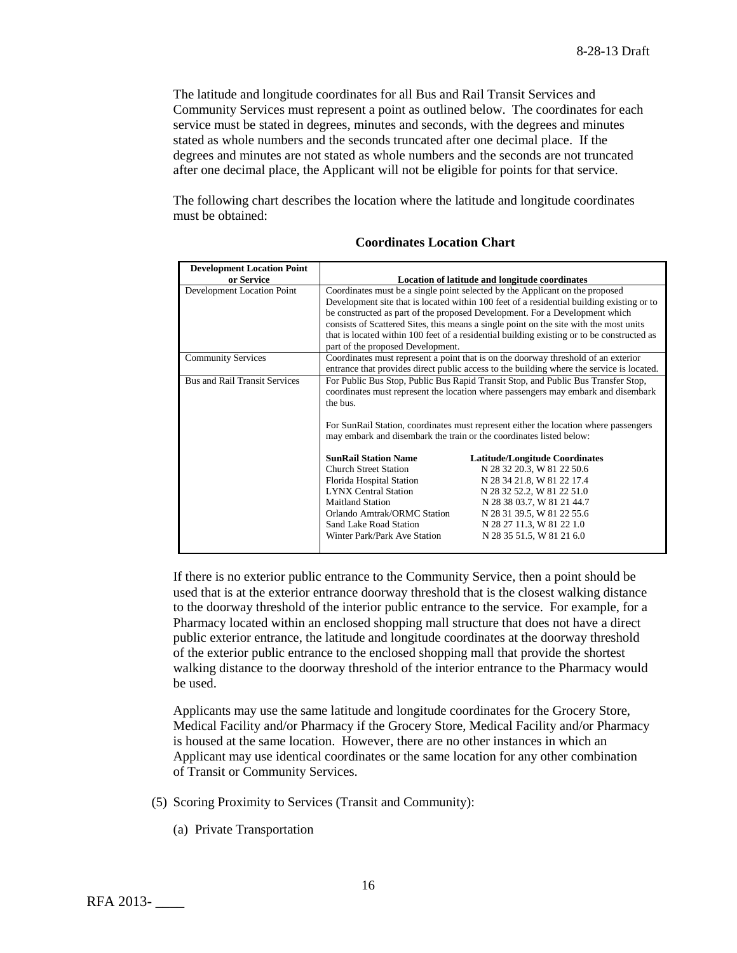The latitude and longitude coordinates for all Bus and Rail Transit Services and Community Services must represent a point as outlined below. The coordinates for each service must be stated in degrees, minutes and seconds, with the degrees and minutes stated as whole numbers and the seconds truncated after one decimal place. If the degrees and minutes are not stated as whole numbers and the seconds are not truncated after one decimal place, the Applicant will not be eligible for points for that service.

The following chart describes the location where the latitude and longitude coordinates must be obtained:

| <b>Development Location Point</b>    |                                                                                                                                                                                                                                                                                                                                                                                                                                                                                       |                                       |  |
|--------------------------------------|---------------------------------------------------------------------------------------------------------------------------------------------------------------------------------------------------------------------------------------------------------------------------------------------------------------------------------------------------------------------------------------------------------------------------------------------------------------------------------------|---------------------------------------|--|
| or Service                           | Location of latitude and longitude coordinates                                                                                                                                                                                                                                                                                                                                                                                                                                        |                                       |  |
| Development Location Point           | Coordinates must be a single point selected by the Applicant on the proposed<br>Development site that is located within 100 feet of a residential building existing or to<br>be constructed as part of the proposed Development. For a Development which<br>consists of Scattered Sites, this means a single point on the site with the most units<br>that is located within 100 feet of a residential building existing or to be constructed as<br>part of the proposed Development. |                                       |  |
| <b>Community Services</b>            | Coordinates must represent a point that is on the doorway threshold of an exterior<br>entrance that provides direct public access to the building where the service is located.                                                                                                                                                                                                                                                                                                       |                                       |  |
| <b>Bus and Rail Transit Services</b> | For Public Bus Stop, Public Bus Rapid Transit Stop, and Public Bus Transfer Stop,<br>coordinates must represent the location where passengers may embark and disembark<br>the bus.<br>For SunRail Station, coordinates must represent either the location where passengers<br>may embark and disembark the train or the coordinates listed below:                                                                                                                                     |                                       |  |
|                                      | <b>SunRail Station Name</b>                                                                                                                                                                                                                                                                                                                                                                                                                                                           | <b>Latitude/Longitude Coordinates</b> |  |
|                                      | <b>Church Street Station</b>                                                                                                                                                                                                                                                                                                                                                                                                                                                          | N 28 32 20.3, W 81 22 50.6            |  |
|                                      | Florida Hospital Station                                                                                                                                                                                                                                                                                                                                                                                                                                                              | N 28 34 21.8, W 81 22 17.4            |  |
|                                      | <b>LYNX Central Station</b>                                                                                                                                                                                                                                                                                                                                                                                                                                                           | N 28 32 52.2, W 81 22 51.0            |  |
|                                      | <b>Maitland Station</b>                                                                                                                                                                                                                                                                                                                                                                                                                                                               | N 28 38 03.7, W 81 21 44.7            |  |
|                                      | Orlando Amtrak/ORMC Station                                                                                                                                                                                                                                                                                                                                                                                                                                                           | N 28 31 39.5, W 81 22 55.6            |  |
|                                      | Sand Lake Road Station                                                                                                                                                                                                                                                                                                                                                                                                                                                                | N 28 27 11.3, W 81 22 1.0             |  |
|                                      | Winter Park/Park Ave Station                                                                                                                                                                                                                                                                                                                                                                                                                                                          | N 28 35 51.5, W 81 21 6.0             |  |

| <b>Coordinates Location Chart</b> |  |  |
|-----------------------------------|--|--|
|-----------------------------------|--|--|

If there is no exterior public entrance to the Community Service, then a point should be used that is at the exterior entrance doorway threshold that is the closest walking distance to the doorway threshold of the interior public entrance to the service. For example, for a Pharmacy located within an enclosed shopping mall structure that does not have a direct public exterior entrance, the latitude and longitude coordinates at the doorway threshold of the exterior public entrance to the enclosed shopping mall that provide the shortest walking distance to the doorway threshold of the interior entrance to the Pharmacy would be used.

Applicants may use the same latitude and longitude coordinates for the Grocery Store, Medical Facility and/or Pharmacy if the Grocery Store, Medical Facility and/or Pharmacy is housed at the same location. However, there are no other instances in which an Applicant may use identical coordinates or the same location for any other combination of Transit or Community Services.

- (5) Scoring Proximity to Services (Transit and Community):
	- (a) Private Transportation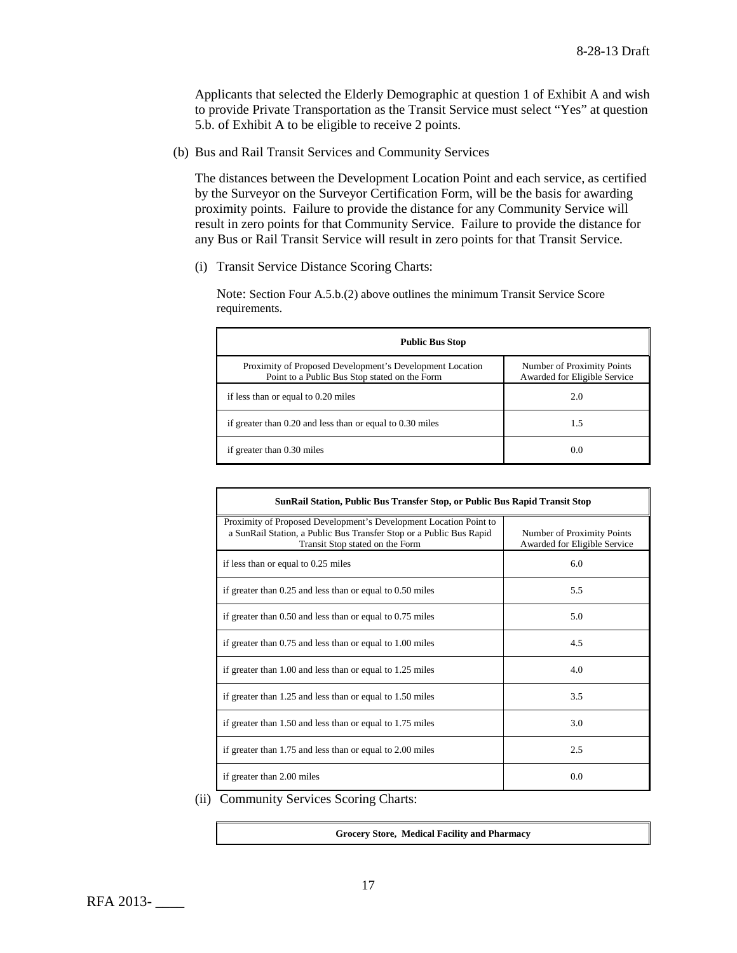Applicants that selected the Elderly Demographic at question 1 of Exhibit A and wish to provide Private Transportation as the Transit Service must select "Yes" at question 5.b. of Exhibit A to be eligible to receive 2 points.

(b) Bus and Rail Transit Services and Community Services

The distances between the Development Location Point and each service, as certified by the Surveyor on the Surveyor Certification Form, will be the basis for awarding proximity points. Failure to provide the distance for any Community Service will result in zero points for that Community Service. Failure to provide the distance for any Bus or Rail Transit Service will result in zero points for that Transit Service.

(i) Transit Service Distance Scoring Charts:

Note: Section Four A.5.b.(2) above outlines the minimum Transit Service Score requirements.

| <b>Public Bus Stop</b>                                                                                    |                                                            |  |
|-----------------------------------------------------------------------------------------------------------|------------------------------------------------------------|--|
| Proximity of Proposed Development's Development Location<br>Point to a Public Bus Stop stated on the Form | Number of Proximity Points<br>Awarded for Eligible Service |  |
| if less than or equal to 0.20 miles                                                                       | 2.0                                                        |  |
| if greater than $0.20$ and less than or equal to $0.30$ miles                                             | 1.5                                                        |  |
| if greater than 0.30 miles                                                                                | 0.0                                                        |  |

| SunRail Station, Public Bus Transfer Stop, or Public Bus Rapid Transit Stop                                                                                                 |                                                            |  |
|-----------------------------------------------------------------------------------------------------------------------------------------------------------------------------|------------------------------------------------------------|--|
| Proximity of Proposed Development's Development Location Point to<br>a SunRail Station, a Public Bus Transfer Stop or a Public Bus Rapid<br>Transit Stop stated on the Form | Number of Proximity Points<br>Awarded for Eligible Service |  |
| if less than or equal to 0.25 miles                                                                                                                                         | 6.0                                                        |  |
| if greater than $0.25$ and less than or equal to $0.50$ miles                                                                                                               | 5.5                                                        |  |
| if greater than $0.50$ and less than or equal to $0.75$ miles                                                                                                               | 5.0                                                        |  |
| if greater than 0.75 and less than or equal to 1.00 miles                                                                                                                   | 4.5                                                        |  |
| if greater than 1.00 and less than or equal to 1.25 miles                                                                                                                   | 4.0                                                        |  |
| if greater than 1.25 and less than or equal to 1.50 miles                                                                                                                   | 3.5                                                        |  |
| if greater than 1.50 and less than or equal to 1.75 miles                                                                                                                   | 3.0                                                        |  |
| if greater than 1.75 and less than or equal to 2.00 miles                                                                                                                   | 2.5                                                        |  |
| if greater than 2.00 miles                                                                                                                                                  | 0.0                                                        |  |

(ii) Community Services Scoring Charts:

| Grocery Store, Medical Facility and Pharmacy |
|----------------------------------------------|
|                                              |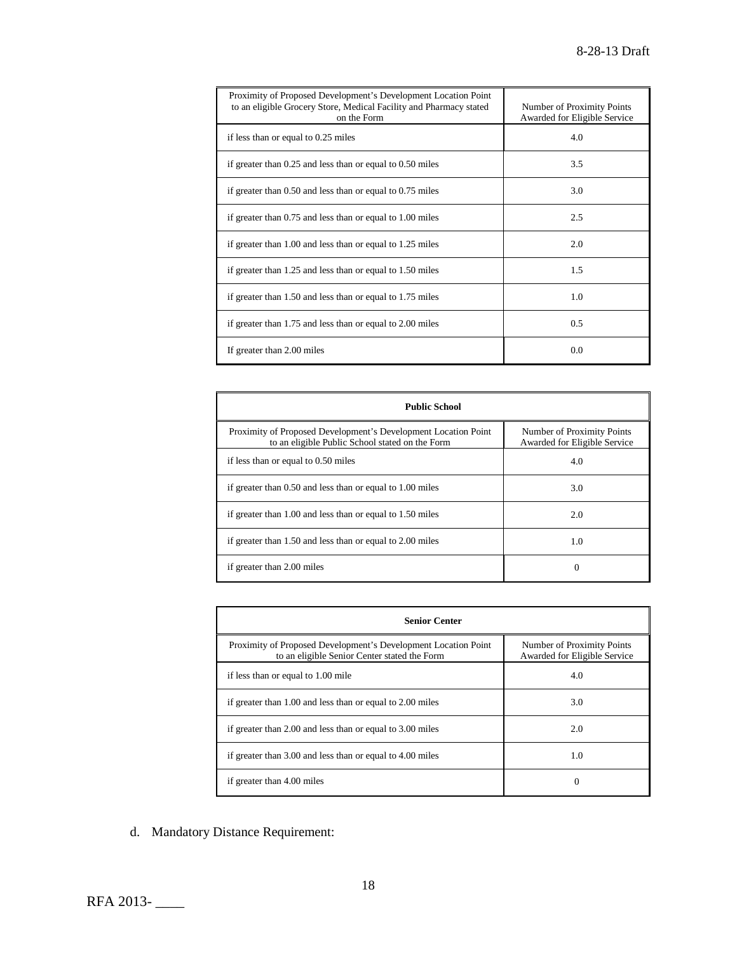| Proximity of Proposed Development's Development Location Point<br>to an eligible Grocery Store, Medical Facility and Pharmacy stated<br>on the Form | Number of Proximity Points<br>Awarded for Eligible Service |
|-----------------------------------------------------------------------------------------------------------------------------------------------------|------------------------------------------------------------|
| if less than or equal to 0.25 miles                                                                                                                 | 4.0                                                        |
| if greater than $0.25$ and less than or equal to $0.50$ miles                                                                                       | 3.5                                                        |
| if greater than $0.50$ and less than or equal to $0.75$ miles                                                                                       | 3.0                                                        |
| if greater than 0.75 and less than or equal to 1.00 miles                                                                                           | 2.5                                                        |
| if greater than 1.00 and less than or equal to 1.25 miles                                                                                           | 2.0                                                        |
| if greater than 1.25 and less than or equal to 1.50 miles                                                                                           | 1.5                                                        |
| if greater than 1.50 and less than or equal to 1.75 miles                                                                                           | 1.0                                                        |
| if greater than 1.75 and less than or equal to 2.00 miles                                                                                           | 0.5                                                        |
| If greater than 2.00 miles                                                                                                                          | 0.0                                                        |

| <b>Public School</b>                                                                                              |                                                            |  |
|-------------------------------------------------------------------------------------------------------------------|------------------------------------------------------------|--|
| Proximity of Proposed Development's Development Location Point<br>to an eligible Public School stated on the Form | Number of Proximity Points<br>Awarded for Eligible Service |  |
| if less than or equal to 0.50 miles                                                                               | 4.0                                                        |  |
| if greater than 0.50 and less than or equal to 1.00 miles                                                         | 3.0                                                        |  |
| if greater than 1.00 and less than or equal to 1.50 miles                                                         | 2.0                                                        |  |
| if greater than 1.50 and less than or equal to 2.00 miles                                                         | 1.0                                                        |  |
| if greater than 2.00 miles                                                                                        | $\Omega$                                                   |  |

| <b>Senior Center</b>                                                                                           |                                                            |  |
|----------------------------------------------------------------------------------------------------------------|------------------------------------------------------------|--|
| Proximity of Proposed Development's Development Location Point<br>to an eligible Senior Center stated the Form | Number of Proximity Points<br>Awarded for Eligible Service |  |
| if less than or equal to 1.00 mile                                                                             | 4.0                                                        |  |
| if greater than 1.00 and less than or equal to 2.00 miles                                                      | 3.0                                                        |  |
| if greater than 2.00 and less than or equal to 3.00 miles                                                      | 2.0                                                        |  |
| if greater than 3.00 and less than or equal to 4.00 miles                                                      | 1.0                                                        |  |
| if greater than 4.00 miles                                                                                     | 0                                                          |  |

d. Mandatory Distance Requirement: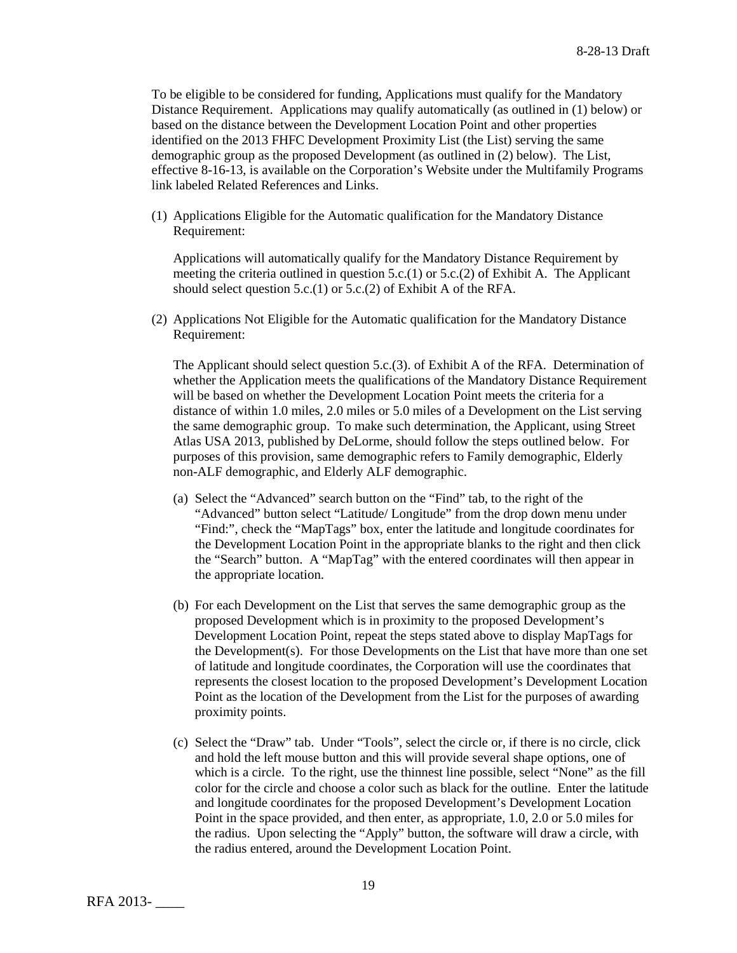To be eligible to be considered for funding, Applications must qualify for the Mandatory Distance Requirement. Applications may qualify automatically (as outlined in (1) below) or based on the distance between the Development Location Point and other properties identified on the 2013 FHFC Development Proximity List (the List) serving the same demographic group as the proposed Development (as outlined in (2) below). The List, effective 8-16-13, is available on the Corporation's Website under the Multifamily Programs link labeled Related References and Links.

(1) Applications Eligible for the Automatic qualification for the Mandatory Distance Requirement:

Applications will automatically qualify for the Mandatory Distance Requirement by meeting the criteria outlined in question  $5.c.(1)$  or  $5.c.(2)$  of Exhibit A. The Applicant should select question 5.c.(1) or 5.c.(2) of Exhibit A of the RFA.

(2) Applications Not Eligible for the Automatic qualification for the Mandatory Distance Requirement:

The Applicant should select question 5.c.(3). of Exhibit A of the RFA. Determination of whether the Application meets the qualifications of the Mandatory Distance Requirement will be based on whether the Development Location Point meets the criteria for a distance of within 1.0 miles, 2.0 miles or 5.0 miles of a Development on the List serving the same demographic group. To make such determination, the Applicant, using Street Atlas USA 2013, published by DeLorme, should follow the steps outlined below. For purposes of this provision, same demographic refers to Family demographic, Elderly non-ALF demographic, and Elderly ALF demographic.

- (a) Select the "Advanced" search button on the "Find" tab, to the right of the "Advanced" button select "Latitude/ Longitude" from the drop down menu under "Find:", check the "MapTags" box, enter the latitude and longitude coordinates for the Development Location Point in the appropriate blanks to the right and then click the "Search" button. A "MapTag" with the entered coordinates will then appear in the appropriate location.
- (b) For each Development on the List that serves the same demographic group as the proposed Development which is in proximity to the proposed Development's Development Location Point, repeat the steps stated above to display MapTags for the Development(s). For those Developments on the List that have more than one set of latitude and longitude coordinates, the Corporation will use the coordinates that represents the closest location to the proposed Development's Development Location Point as the location of the Development from the List for the purposes of awarding proximity points.
- (c) Select the "Draw" tab. Under "Tools", select the circle or, if there is no circle, click and hold the left mouse button and this will provide several shape options, one of which is a circle. To the right, use the thinnest line possible, select "None" as the fill color for the circle and choose a color such as black for the outline. Enter the latitude and longitude coordinates for the proposed Development's Development Location Point in the space provided, and then enter, as appropriate, 1.0, 2.0 or 5.0 miles for the radius. Upon selecting the "Apply" button, the software will draw a circle, with the radius entered, around the Development Location Point.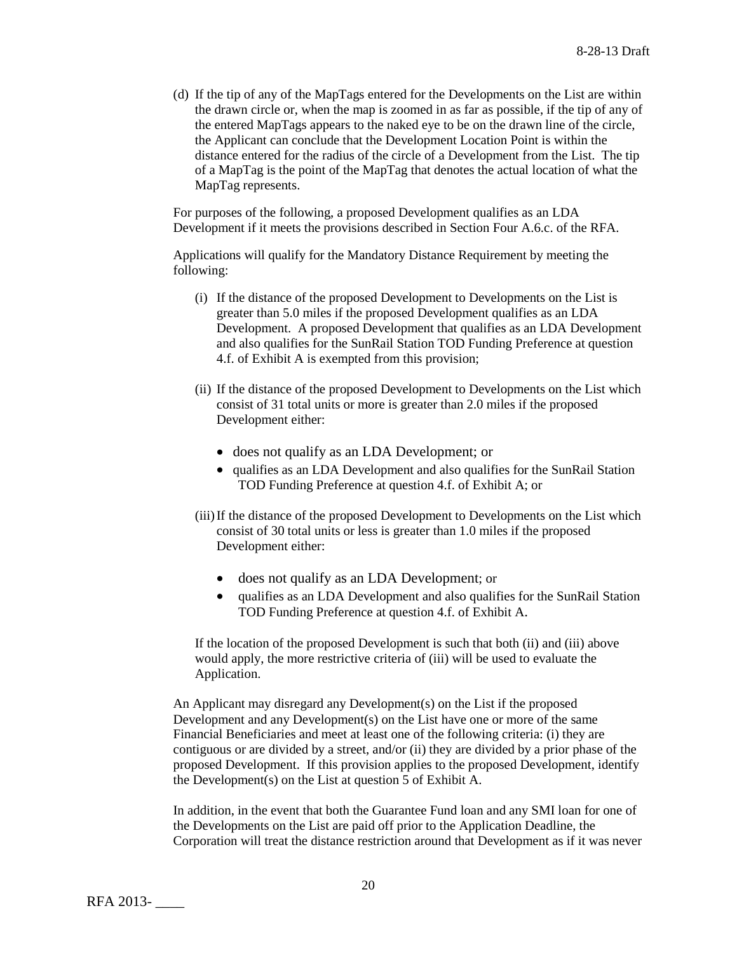(d) If the tip of any of the MapTags entered for the Developments on the List are within the drawn circle or, when the map is zoomed in as far as possible, if the tip of any of the entered MapTags appears to the naked eye to be on the drawn line of the circle, the Applicant can conclude that the Development Location Point is within the distance entered for the radius of the circle of a Development from the List. The tip of a MapTag is the point of the MapTag that denotes the actual location of what the MapTag represents.

For purposes of the following, a proposed Development qualifies as an LDA Development if it meets the provisions described in Section Four A.6.c. of the RFA.

Applications will qualify for the Mandatory Distance Requirement by meeting the following:

- (i) If the distance of the proposed Development to Developments on the List is greater than 5.0 miles if the proposed Development qualifies as an LDA Development. A proposed Development that qualifies as an LDA Development and also qualifies for the SunRail Station TOD Funding Preference at question 4.f. of Exhibit A is exempted from this provision;
- (ii) If the distance of the proposed Development to Developments on the List which consist of 31 total units or more is greater than 2.0 miles if the proposed Development either:
	- does not qualify as an LDA Development; or
	- qualifies as an LDA Development and also qualifies for the SunRail Station TOD Funding Preference at question 4.f. of Exhibit A; or
- (iii)If the distance of the proposed Development to Developments on the List which consist of 30 total units or less is greater than 1.0 miles if the proposed Development either:
	- does not qualify as an LDA Development; or
	- qualifies as an LDA Development and also qualifies for the SunRail Station TOD Funding Preference at question 4.f. of Exhibit A.

If the location of the proposed Development is such that both (ii) and (iii) above would apply, the more restrictive criteria of (iii) will be used to evaluate the Application.

An Applicant may disregard any Development(s) on the List if the proposed Development and any Development(s) on the List have one or more of the same Financial Beneficiaries and meet at least one of the following criteria: (i) they are contiguous or are divided by a street, and/or (ii) they are divided by a prior phase of the proposed Development. If this provision applies to the proposed Development, identify the Development(s) on the List at question 5 of Exhibit A.

In addition, in the event that both the Guarantee Fund loan and any SMI loan for one of the Developments on the List are paid off prior to the Application Deadline, the Corporation will treat the distance restriction around that Development as if it was never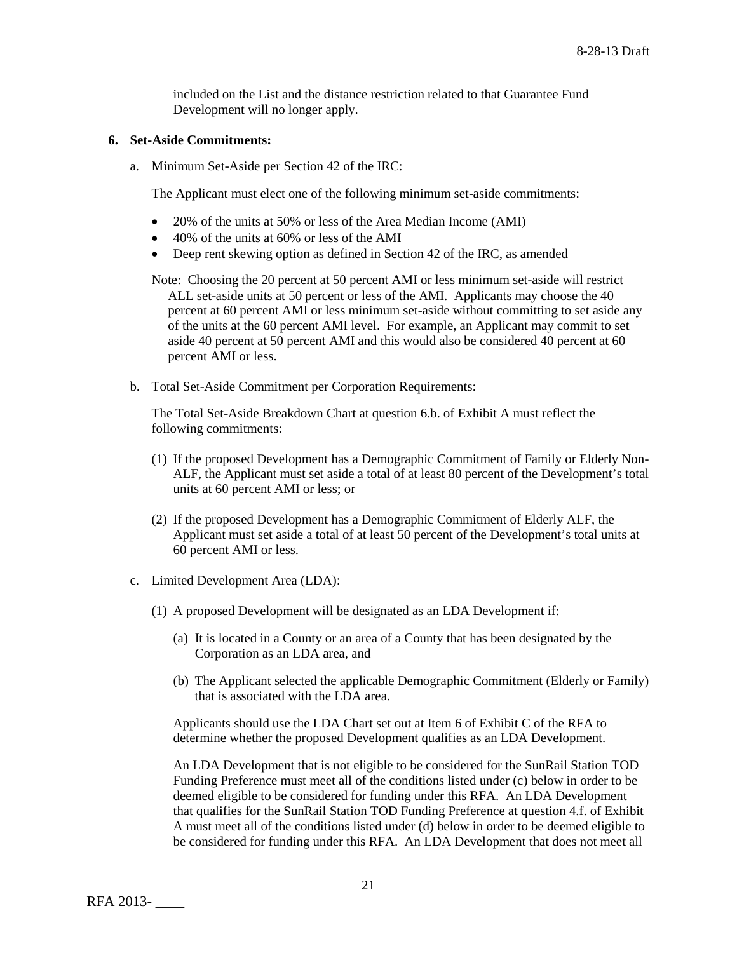included on the List and the distance restriction related to that Guarantee Fund Development will no longer apply.

#### **6. Set-Aside Commitments:**

a. Minimum Set-Aside per Section 42 of the IRC:

The Applicant must elect one of the following minimum set-aside commitments:

- 20% of the units at 50% or less of the Area Median Income (AMI)
- 40% of the units at 60% or less of the AMI
- Deep rent skewing option as defined in Section 42 of the IRC, as amended

Note: Choosing the 20 percent at 50 percent AMI or less minimum set-aside will restrict ALL set-aside units at 50 percent or less of the AMI. Applicants may choose the 40 percent at 60 percent AMI or less minimum set-aside without committing to set aside any of the units at the 60 percent AMI level. For example, an Applicant may commit to set aside 40 percent at 50 percent AMI and this would also be considered 40 percent at 60 percent AMI or less.

b. Total Set-Aside Commitment per Corporation Requirements:

The Total Set-Aside Breakdown Chart at question 6.b. of Exhibit A must reflect the following commitments:

- (1) If the proposed Development has a Demographic Commitment of Family or Elderly Non-ALF, the Applicant must set aside a total of at least 80 percent of the Development's total units at 60 percent AMI or less; or
- (2) If the proposed Development has a Demographic Commitment of Elderly ALF, the Applicant must set aside a total of at least 50 percent of the Development's total units at 60 percent AMI or less.
- c. Limited Development Area (LDA):
	- (1) A proposed Development will be designated as an LDA Development if:
		- (a) It is located in a County or an area of a County that has been designated by the Corporation as an LDA area, and
		- (b) The Applicant selected the applicable Demographic Commitment (Elderly or Family) that is associated with the LDA area.

Applicants should use the LDA Chart set out at Item 6 of Exhibit C of the RFA to determine whether the proposed Development qualifies as an LDA Development.

An LDA Development that is not eligible to be considered for the SunRail Station TOD Funding Preference must meet all of the conditions listed under (c) below in order to be deemed eligible to be considered for funding under this RFA. An LDA Development that qualifies for the SunRail Station TOD Funding Preference at question 4.f. of Exhibit A must meet all of the conditions listed under (d) below in order to be deemed eligible to be considered for funding under this RFA. An LDA Development that does not meet all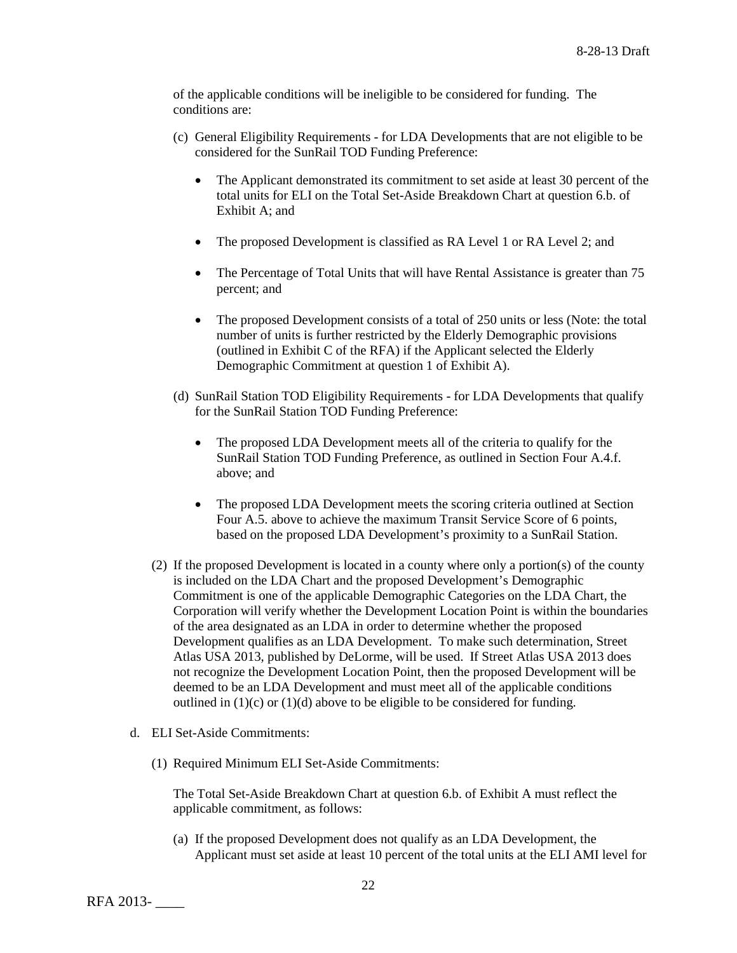of the applicable conditions will be ineligible to be considered for funding. The conditions are:

- (c) General Eligibility Requirements for LDA Developments that are not eligible to be considered for the SunRail TOD Funding Preference:
	- The Applicant demonstrated its commitment to set aside at least 30 percent of the total units for ELI on the Total Set-Aside Breakdown Chart at question 6.b. of Exhibit A; and
	- The proposed Development is classified as RA Level 1 or RA Level 2; and
	- The Percentage of Total Units that will have Rental Assistance is greater than 75 percent; and
	- The proposed Development consists of a total of 250 units or less (Note: the total number of units is further restricted by the Elderly Demographic provisions (outlined in Exhibit C of the RFA) if the Applicant selected the Elderly Demographic Commitment at question 1 of Exhibit A).
- (d) SunRail Station TOD Eligibility Requirements for LDA Developments that qualify for the SunRail Station TOD Funding Preference:
	- The proposed LDA Development meets all of the criteria to qualify for the SunRail Station TOD Funding Preference, as outlined in Section Four A.4.f. above; and
	- The proposed LDA Development meets the scoring criteria outlined at Section Four A.5. above to achieve the maximum Transit Service Score of 6 points, based on the proposed LDA Development's proximity to a SunRail Station.
- (2) If the proposed Development is located in a county where only a portion(s) of the county is included on the LDA Chart and the proposed Development's Demographic Commitment is one of the applicable Demographic Categories on the LDA Chart, the Corporation will verify whether the Development Location Point is within the boundaries of the area designated as an LDA in order to determine whether the proposed Development qualifies as an LDA Development. To make such determination, Street Atlas USA 2013, published by DeLorme, will be used. If Street Atlas USA 2013 does not recognize the Development Location Point, then the proposed Development will be deemed to be an LDA Development and must meet all of the applicable conditions outlined in  $(1)(c)$  or  $(1)(d)$  above to be eligible to be considered for funding.
- d. ELI Set-Aside Commitments:
	- (1) Required Minimum ELI Set-Aside Commitments:

The Total Set-Aside Breakdown Chart at question 6.b. of Exhibit A must reflect the applicable commitment, as follows:

(a) If the proposed Development does not qualify as an LDA Development, the Applicant must set aside at least 10 percent of the total units at the ELI AMI level for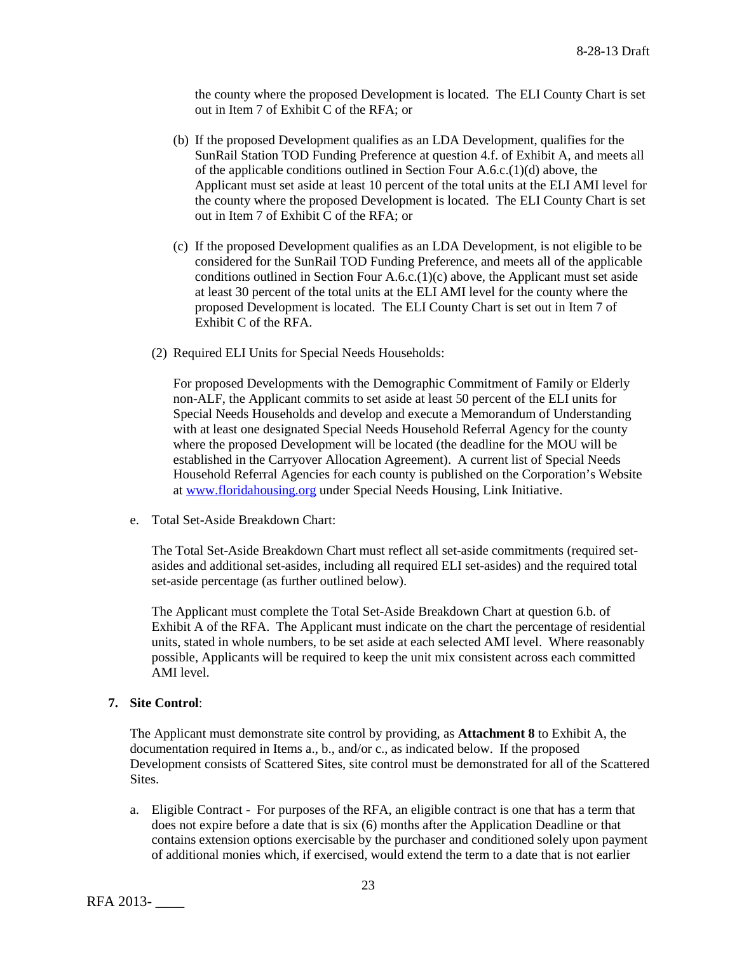the county where the proposed Development is located. The ELI County Chart is set out in Item 7 of Exhibit C of the RFA; or

- (b) If the proposed Development qualifies as an LDA Development, qualifies for the SunRail Station TOD Funding Preference at question 4.f. of Exhibit A, and meets all of the applicable conditions outlined in Section Four A.6.c.(1)(d) above, the Applicant must set aside at least 10 percent of the total units at the ELI AMI level for the county where the proposed Development is located. The ELI County Chart is set out in Item 7 of Exhibit C of the RFA; or
- (c) If the proposed Development qualifies as an LDA Development, is not eligible to be considered for the SunRail TOD Funding Preference, and meets all of the applicable conditions outlined in Section Four A.6.c.(1)(c) above, the Applicant must set aside at least 30 percent of the total units at the ELI AMI level for the county where the proposed Development is located. The ELI County Chart is set out in Item 7 of Exhibit C of the RFA.
- (2) Required ELI Units for Special Needs Households:

For proposed Developments with the Demographic Commitment of Family or Elderly non-ALF, the Applicant commits to set aside at least 50 percent of the ELI units for Special Needs Households and develop and execute a Memorandum of Understanding with at least one designated Special Needs Household Referral Agency for the county where the proposed Development will be located (the deadline for the MOU will be established in the Carryover Allocation Agreement). A current list of Special Needs Household Referral Agencies for each county is published on the Corporation's Website at [www.floridahousing.org](http://www.floridahousing.org/) under Special Needs Housing, Link Initiative.

e. Total Set-Aside Breakdown Chart:

The Total Set-Aside Breakdown Chart must reflect all set-aside commitments (required setasides and additional set-asides, including all required ELI set-asides) and the required total set-aside percentage (as further outlined below).

The Applicant must complete the Total Set-Aside Breakdown Chart at question 6.b. of Exhibit A of the RFA. The Applicant must indicate on the chart the percentage of residential units, stated in whole numbers, to be set aside at each selected AMI level. Where reasonably possible, Applicants will be required to keep the unit mix consistent across each committed AMI level.

## **7. Site Control**:

The Applicant must demonstrate site control by providing, as **Attachment 8** to Exhibit A, the documentation required in Items a., b., and/or c., as indicated below. If the proposed Development consists of Scattered Sites, site control must be demonstrated for all of the Scattered Sites.

a. Eligible Contract - For purposes of the RFA, an eligible contract is one that has a term that does not expire before a date that is six (6) months after the Application Deadline or that contains extension options exercisable by the purchaser and conditioned solely upon payment of additional monies which, if exercised, would extend the term to a date that is not earlier

RFA 2013- \_\_\_\_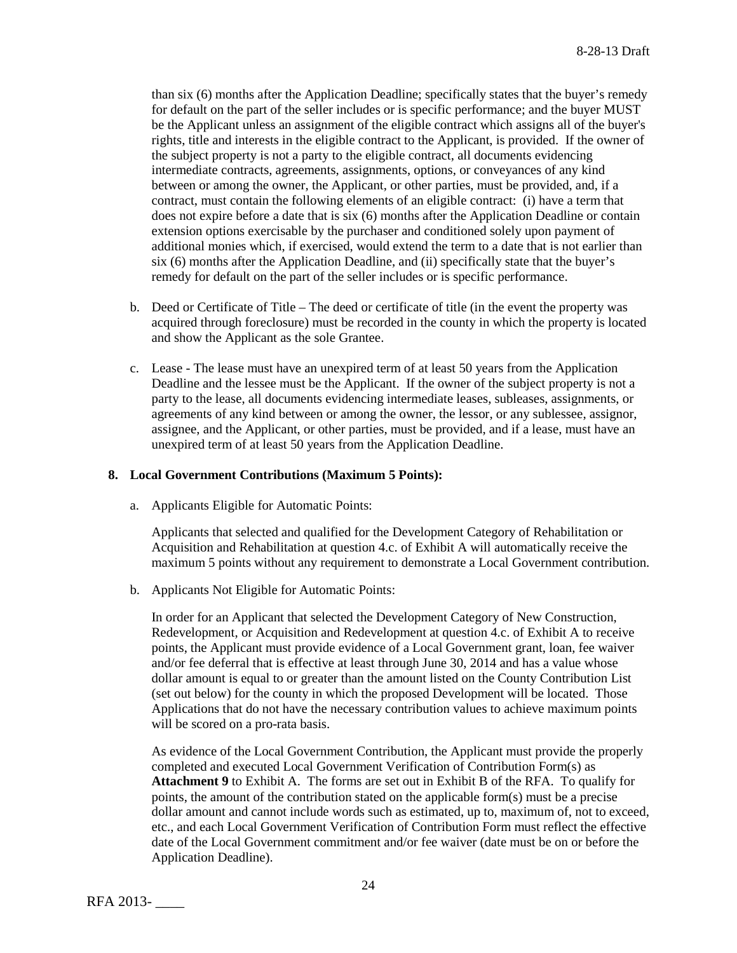than six (6) months after the Application Deadline; specifically states that the buyer's remedy for default on the part of the seller includes or is specific performance; and the buyer MUST be the Applicant unless an assignment of the eligible contract which assigns all of the buyer's rights, title and interests in the eligible contract to the Applicant, is provided. If the owner of the subject property is not a party to the eligible contract, all documents evidencing intermediate contracts, agreements, assignments, options, or conveyances of any kind between or among the owner, the Applicant, or other parties, must be provided, and, if a contract, must contain the following elements of an eligible contract: (i) have a term that does not expire before a date that is six (6) months after the Application Deadline or contain extension options exercisable by the purchaser and conditioned solely upon payment of additional monies which, if exercised, would extend the term to a date that is not earlier than six (6) months after the Application Deadline, and (ii) specifically state that the buyer's remedy for default on the part of the seller includes or is specific performance.

- b. Deed or Certificate of Title The deed or certificate of title (in the event the property was acquired through foreclosure) must be recorded in the county in which the property is located and show the Applicant as the sole Grantee.
- c. Lease The lease must have an unexpired term of at least 50 years from the Application Deadline and the lessee must be the Applicant. If the owner of the subject property is not a party to the lease, all documents evidencing intermediate leases, subleases, assignments, or agreements of any kind between or among the owner, the lessor, or any sublessee, assignor, assignee, and the Applicant, or other parties, must be provided, and if a lease, must have an unexpired term of at least 50 years from the Application Deadline.

#### **8. Local Government Contributions (Maximum 5 Points):**

a. Applicants Eligible for Automatic Points:

Applicants that selected and qualified for the Development Category of Rehabilitation or Acquisition and Rehabilitation at question 4.c. of Exhibit A will automatically receive the maximum 5 points without any requirement to demonstrate a Local Government contribution.

b. Applicants Not Eligible for Automatic Points:

In order for an Applicant that selected the Development Category of New Construction, Redevelopment, or Acquisition and Redevelopment at question 4.c. of Exhibit A to receive points, the Applicant must provide evidence of a Local Government grant, loan, fee waiver and/or fee deferral that is effective at least through June 30, 2014 and has a value whose dollar amount is equal to or greater than the amount listed on the County Contribution List (set out below) for the county in which the proposed Development will be located. Those Applications that do not have the necessary contribution values to achieve maximum points will be scored on a pro-rata basis.

As evidence of the Local Government Contribution, the Applicant must provide the properly completed and executed Local Government Verification of Contribution Form(s) as **Attachment 9** to Exhibit A. The forms are set out in Exhibit B of the RFA. To qualify for points, the amount of the contribution stated on the applicable form(s) must be a precise dollar amount and cannot include words such as estimated, up to, maximum of, not to exceed, etc., and each Local Government Verification of Contribution Form must reflect the effective date of the Local Government commitment and/or fee waiver (date must be on or before the Application Deadline).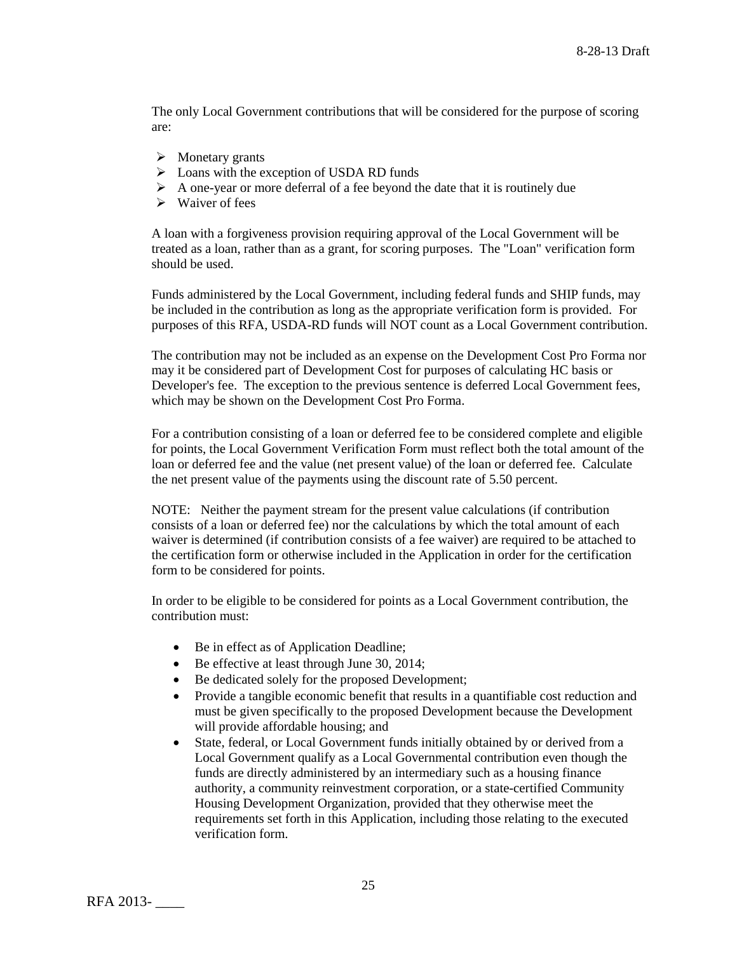The only Local Government contributions that will be considered for the purpose of scoring are:

- $\triangleright$  Monetary grants
- $\triangleright$  Loans with the exception of USDA RD funds
- $\triangleright$  A one-year or more deferral of a fee beyond the date that it is routinely due
- $\triangleright$  Waiver of fees

A loan with a forgiveness provision requiring approval of the Local Government will be treated as a loan, rather than as a grant, for scoring purposes. The "Loan" verification form should be used.

Funds administered by the Local Government, including federal funds and SHIP funds, may be included in the contribution as long as the appropriate verification form is provided. For purposes of this RFA, USDA-RD funds will NOT count as a Local Government contribution.

The contribution may not be included as an expense on the Development Cost Pro Forma nor may it be considered part of Development Cost for purposes of calculating HC basis or Developer's fee. The exception to the previous sentence is deferred Local Government fees, which may be shown on the Development Cost Pro Forma.

For a contribution consisting of a loan or deferred fee to be considered complete and eligible for points, the Local Government Verification Form must reflect both the total amount of the loan or deferred fee and the value (net present value) of the loan or deferred fee. Calculate the net present value of the payments using the discount rate of 5.50 percent.

NOTE: Neither the payment stream for the present value calculations (if contribution consists of a loan or deferred fee) nor the calculations by which the total amount of each waiver is determined (if contribution consists of a fee waiver) are required to be attached to the certification form or otherwise included in the Application in order for the certification form to be considered for points.

In order to be eligible to be considered for points as a Local Government contribution, the contribution must:

- Be in effect as of Application Deadline;
- Be effective at least through June 30, 2014;
- Be dedicated solely for the proposed Development;
- Provide a tangible economic benefit that results in a quantifiable cost reduction and must be given specifically to the proposed Development because the Development will provide affordable housing; and
- State, federal, or Local Government funds initially obtained by or derived from a Local Government qualify as a Local Governmental contribution even though the funds are directly administered by an intermediary such as a housing finance authority, a community reinvestment corporation, or a state-certified Community Housing Development Organization, provided that they otherwise meet the requirements set forth in this Application, including those relating to the executed verification form.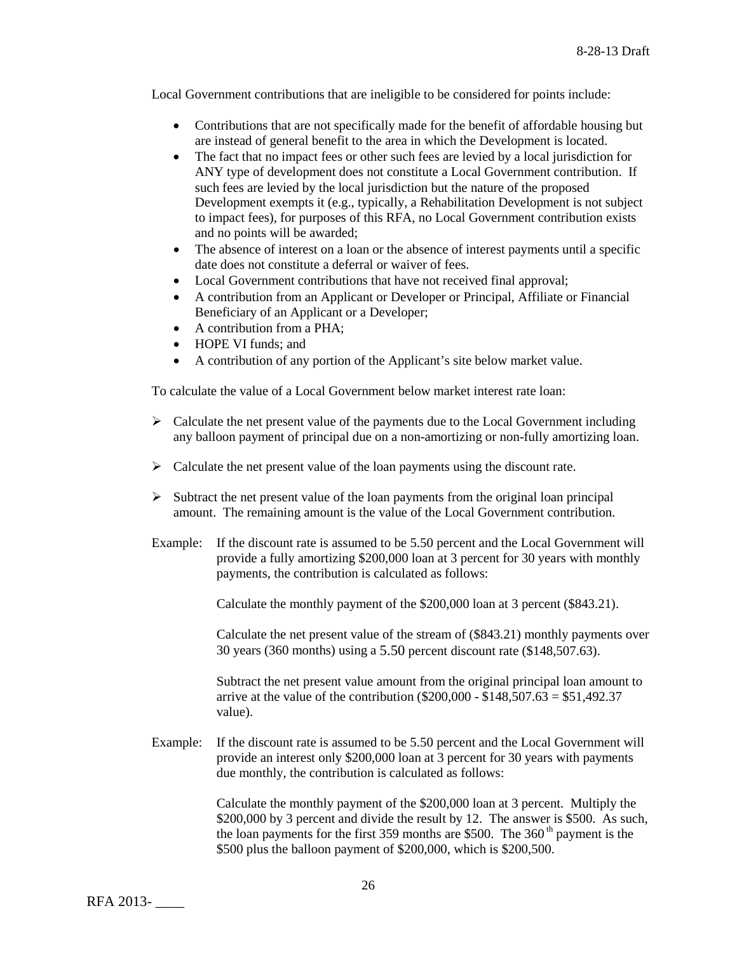Local Government contributions that are ineligible to be considered for points include:

- Contributions that are not specifically made for the benefit of affordable housing but are instead of general benefit to the area in which the Development is located.
- The fact that no impact fees or other such fees are levied by a local jurisdiction for ANY type of development does not constitute a Local Government contribution. If such fees are levied by the local jurisdiction but the nature of the proposed Development exempts it (e.g., typically, a Rehabilitation Development is not subject to impact fees), for purposes of this RFA, no Local Government contribution exists and no points will be awarded;
- The absence of interest on a loan or the absence of interest payments until a specific date does not constitute a deferral or waiver of fees.
- Local Government contributions that have not received final approval;
- A contribution from an Applicant or Developer or Principal, Affiliate or Financial Beneficiary of an Applicant or a Developer;
- A contribution from a  $PHA$ ;
- HOPE VI funds: and
- A contribution of any portion of the Applicant's site below market value.

To calculate the value of a Local Government below market interest rate loan:

- $\triangleright$  Calculate the net present value of the payments due to the Local Government including any balloon payment of principal due on a non-amortizing or non-fully amortizing loan.
- $\triangleright$  Calculate the net present value of the loan payments using the discount rate.
- $\triangleright$  Subtract the net present value of the loan payments from the original loan principal amount. The remaining amount is the value of the Local Government contribution.
- Example: If the discount rate is assumed to be 5.50 percent and the Local Government will provide a fully amortizing \$200,000 loan at 3 percent for 30 years with monthly payments, the contribution is calculated as follows:

Calculate the monthly payment of the \$200,000 loan at 3 percent (\$843.21).

Calculate the net present value of the stream of (\$843.21) monthly payments over 30 years (360 months) using a 5.50 percent discount rate (\$148,507.63).

Subtract the net present value amount from the original principal loan amount to arrive at the value of the contribution ( $$200,000 - $148,507.63 = $51,492.37$ ) value).

Example: If the discount rate is assumed to be 5.50 percent and the Local Government will provide an interest only \$200,000 loan at 3 percent for 30 years with payments due monthly, the contribution is calculated as follows:

> Calculate the monthly payment of the \$200,000 loan at 3 percent. Multiply the \$200,000 by 3 percent and divide the result by 12. The answer is \$500. As such, the loan payments for the first 359 months are \$500. The  $360<sup>th</sup>$  payment is the \$500 plus the balloon payment of \$200,000, which is \$200,500.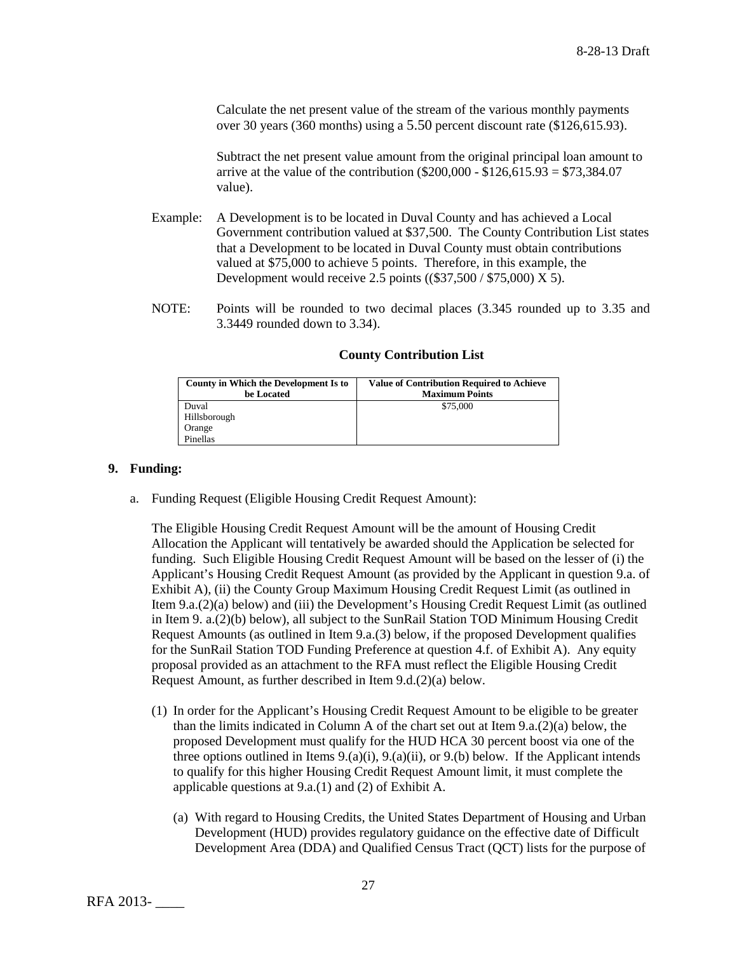Calculate the net present value of the stream of the various monthly payments over 30 years (360 months) using a 5.50 percent discount rate (\$126,615.93).

Subtract the net present value amount from the original principal loan amount to arrive at the value of the contribution ( $$200,000 - $126,615.93 = $73,384.07$ value).

- Example: A Development is to be located in Duval County and has achieved a Local Government contribution valued at \$37,500. The County Contribution List states that a Development to be located in Duval County must obtain contributions valued at \$75,000 to achieve 5 points. Therefore, in this example, the Development would receive 2.5 points ((\$37,500 / \$75,000) X 5).
- NOTE: Points will be rounded to two decimal places (3.345 rounded up to 3.35 and 3.3449 rounded down to 3.34).

| County in Which the Development Is to | <b>Value of Contribution Required to Achieve</b> |
|---------------------------------------|--------------------------------------------------|
| be Located                            | <b>Maximum Points</b>                            |
| Duval                                 | \$75,000                                         |
| Hillsborough                          |                                                  |
| Orange                                |                                                  |
| Pinellas                              |                                                  |

## **County Contribution List**

### **9. Funding:**

a. Funding Request (Eligible Housing Credit Request Amount):

The Eligible Housing Credit Request Amount will be the amount of Housing Credit Allocation the Applicant will tentatively be awarded should the Application be selected for funding. Such Eligible Housing Credit Request Amount will be based on the lesser of (i) the Applicant's Housing Credit Request Amount (as provided by the Applicant in question 9.a. of Exhibit A), (ii) the County Group Maximum Housing Credit Request Limit (as outlined in Item 9.a.(2)(a) below) and (iii) the Development's Housing Credit Request Limit (as outlined in Item 9. a.(2)(b) below), all subject to the SunRail Station TOD Minimum Housing Credit Request Amounts (as outlined in Item 9.a.(3) below, if the proposed Development qualifies for the SunRail Station TOD Funding Preference at question 4.f. of Exhibit A). Any equity proposal provided as an attachment to the RFA must reflect the Eligible Housing Credit Request Amount, as further described in Item 9.d.(2)(a) below.

- (1) In order for the Applicant's Housing Credit Request Amount to be eligible to be greater than the limits indicated in Column A of the chart set out at Item  $9.a.(2)(a)$  below, the proposed Development must qualify for the HUD HCA 30 percent boost via one of the three options outlined in Items  $9(0, a)(i)$ ,  $9(0, a)(ii)$ , or  $9(0, b)$  below. If the Applicant intends to qualify for this higher Housing Credit Request Amount limit, it must complete the applicable questions at 9.a.(1) and (2) of Exhibit A.
	- (a) With regard to Housing Credits, the United States Department of Housing and Urban Development (HUD) provides regulatory guidance on the effective date of Difficult Development Area (DDA) and Qualified Census Tract (QCT) lists for the purpose of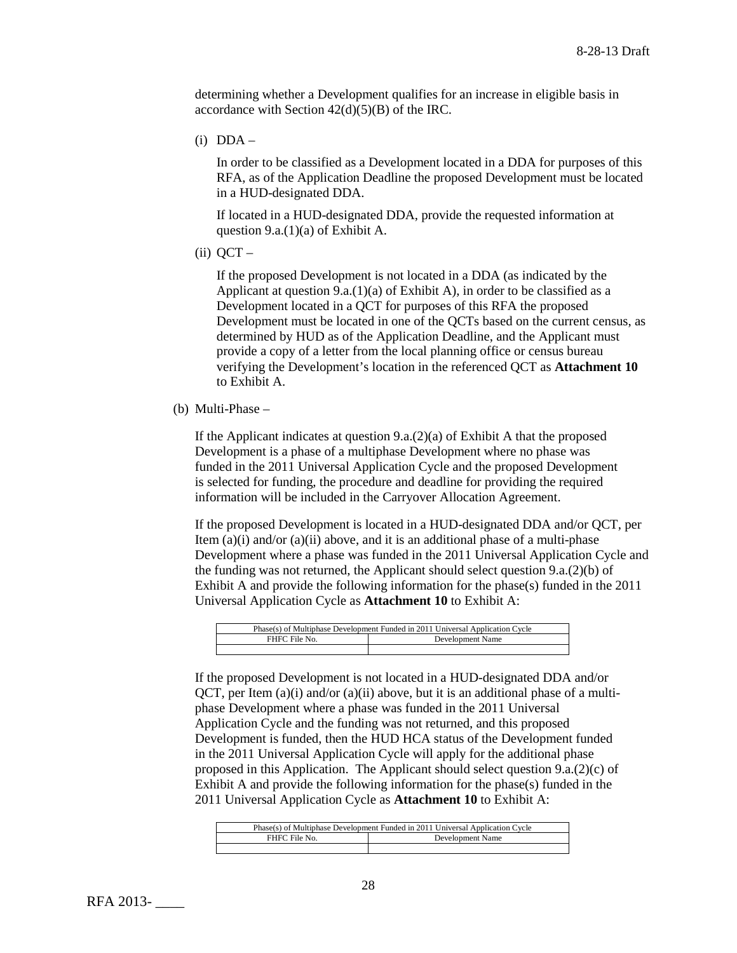determining whether a Development qualifies for an increase in eligible basis in accordance with Section  $42(d)(5)(B)$  of the IRC.

 $(i)$  DDA –

In order to be classified as a Development located in a DDA for purposes of this RFA, as of the Application Deadline the proposed Development must be located in a HUD-designated DDA.

If located in a HUD-designated DDA, provide the requested information at question 9.a.(1)(a) of Exhibit A.

 $(ii)$  QCT –

If the proposed Development is not located in a DDA (as indicated by the Applicant at question  $9.a.(1)(a)$  of Exhibit A), in order to be classified as a Development located in a QCT for purposes of this RFA the proposed Development must be located in one of the QCTs based on the current census, as determined by HUD as of the Application Deadline, and the Applicant must provide a copy of a letter from the local planning office or census bureau verifying the Development's location in the referenced QCT as **Attachment 10** to Exhibit A.

(b) Multi-Phase –

If the Applicant indicates at question 9.a.(2)(a) of Exhibit A that the proposed Development is a phase of a multiphase Development where no phase was funded in the 2011 Universal Application Cycle and the proposed Development is selected for funding, the procedure and deadline for providing the required information will be included in the Carryover Allocation Agreement.

If the proposed Development is located in a HUD-designated DDA and/or QCT, per Item (a)(i) and/or (a)(ii) above, and it is an additional phase of a multi-phase Development where a phase was funded in the 2011 Universal Application Cycle and the funding was not returned, the Applicant should select question 9.a.(2)(b) of Exhibit A and provide the following information for the phase(s) funded in the 2011 Universal Application Cycle as **Attachment 10** to Exhibit A:

| Phase(s) of Multiphase Development Funded in 2011 Universal Application Cycle |                  |
|-------------------------------------------------------------------------------|------------------|
| FHFC File No.                                                                 | Development Name |
|                                                                               |                  |

If the proposed Development is not located in a HUD-designated DDA and/or  $QCT$ , per Item (a)(i) and/or (a)(ii) above, but it is an additional phase of a multiphase Development where a phase was funded in the 2011 Universal Application Cycle and the funding was not returned, and this proposed Development is funded, then the HUD HCA status of the Development funded in the 2011 Universal Application Cycle will apply for the additional phase proposed in this Application. The Applicant should select question  $9.a.(2)(c)$  of Exhibit A and provide the following information for the phase(s) funded in the 2011 Universal Application Cycle as **Attachment 10** to Exhibit A:

| Phase(s) of Multiphase Development Funded in 2011 Universal Application Cycle |                  |
|-------------------------------------------------------------------------------|------------------|
| FHFC File No.                                                                 | Development Name |
|                                                                               |                  |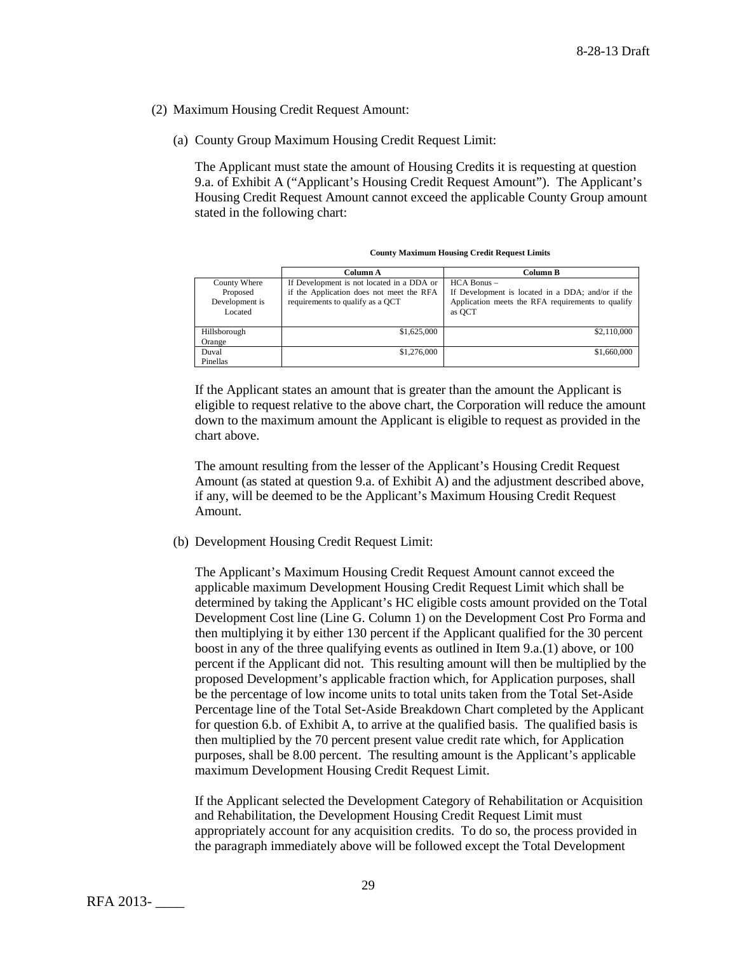- (2) Maximum Housing Credit Request Amount:
	- (a) County Group Maximum Housing Credit Request Limit:

The Applicant must state the amount of Housing Credits it is requesting at question 9.a. of Exhibit A ("Applicant's Housing Credit Request Amount"). The Applicant's Housing Credit Request Amount cannot exceed the applicable County Group amount stated in the following chart:

| <b>County Maximum Housing Credit Request Limits</b> |  |  |  |
|-----------------------------------------------------|--|--|--|
|-----------------------------------------------------|--|--|--|

|                | Column A                                  | Column B                                          |
|----------------|-------------------------------------------|---------------------------------------------------|
| County Where   | If Development is not located in a DDA or | $HCA$ Bonus $-$                                   |
| Proposed       | if the Application does not meet the RFA  | If Development is located in a DDA; and/or if the |
| Development is | requirements to qualify as a OCT          | Application meets the RFA requirements to qualify |
| Located        |                                           | as OCT                                            |
|                |                                           |                                                   |
| Hillsborough   | \$1,625,000                               | \$2,110,000                                       |
| Orange         |                                           |                                                   |
| Duval          | \$1,276,000                               | \$1,660,000                                       |
| Pinellas       |                                           |                                                   |

If the Applicant states an amount that is greater than the amount the Applicant is eligible to request relative to the above chart, the Corporation will reduce the amount down to the maximum amount the Applicant is eligible to request as provided in the chart above.

The amount resulting from the lesser of the Applicant's Housing Credit Request Amount (as stated at question 9.a. of Exhibit A) and the adjustment described above, if any, will be deemed to be the Applicant's Maximum Housing Credit Request Amount.

(b) Development Housing Credit Request Limit:

The Applicant's Maximum Housing Credit Request Amount cannot exceed the applicable maximum Development Housing Credit Request Limit which shall be determined by taking the Applicant's HC eligible costs amount provided on the Total Development Cost line (Line G. Column 1) on the Development Cost Pro Forma and then multiplying it by either 130 percent if the Applicant qualified for the 30 percent boost in any of the three qualifying events as outlined in Item 9.a.(1) above, or 100 percent if the Applicant did not. This resulting amount will then be multiplied by the proposed Development's applicable fraction which, for Application purposes, shall be the percentage of low income units to total units taken from the Total Set-Aside Percentage line of the Total Set-Aside Breakdown Chart completed by the Applicant for question 6.b. of Exhibit A, to arrive at the qualified basis. The qualified basis is then multiplied by the 70 percent present value credit rate which, for Application purposes, shall be 8.00 percent. The resulting amount is the Applicant's applicable maximum Development Housing Credit Request Limit.

If the Applicant selected the Development Category of Rehabilitation or Acquisition and Rehabilitation, the Development Housing Credit Request Limit must appropriately account for any acquisition credits. To do so, the process provided in the paragraph immediately above will be followed except the Total Development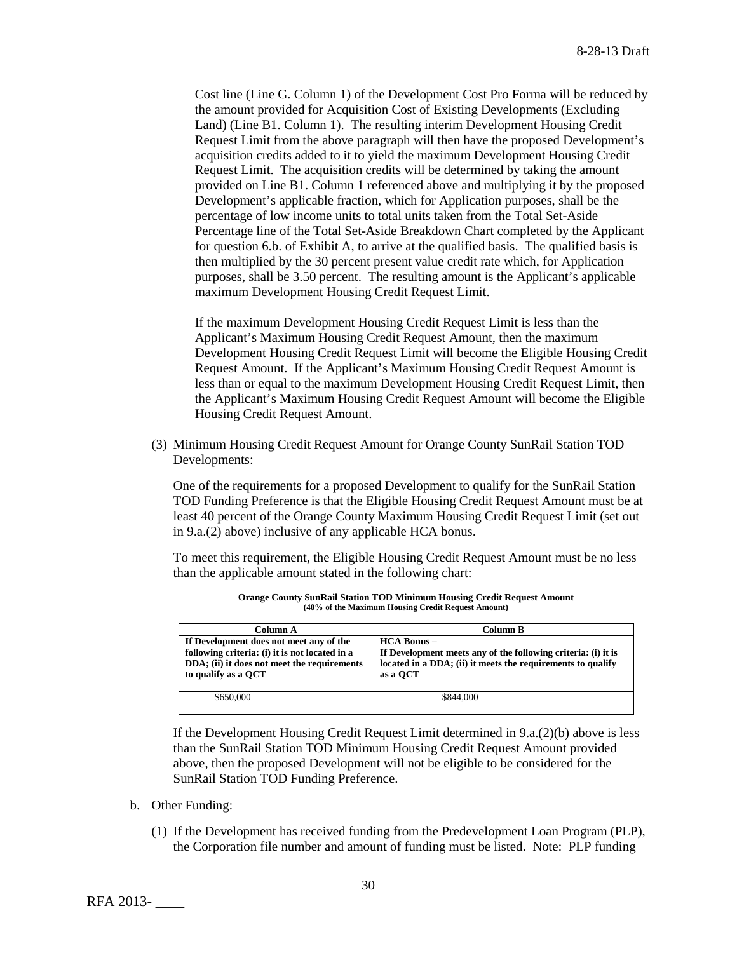Cost line (Line G. Column 1) of the Development Cost Pro Forma will be reduced by the amount provided for Acquisition Cost of Existing Developments (Excluding Land) (Line B1. Column 1). The resulting interim Development Housing Credit Request Limit from the above paragraph will then have the proposed Development's acquisition credits added to it to yield the maximum Development Housing Credit Request Limit. The acquisition credits will be determined by taking the amount provided on Line B1. Column 1 referenced above and multiplying it by the proposed Development's applicable fraction, which for Application purposes, shall be the percentage of low income units to total units taken from the Total Set-Aside Percentage line of the Total Set-Aside Breakdown Chart completed by the Applicant for question 6.b. of Exhibit A, to arrive at the qualified basis. The qualified basis is then multiplied by the 30 percent present value credit rate which, for Application purposes, shall be 3.50 percent. The resulting amount is the Applicant's applicable maximum Development Housing Credit Request Limit.

If the maximum Development Housing Credit Request Limit is less than the Applicant's Maximum Housing Credit Request Amount, then the maximum Development Housing Credit Request Limit will become the Eligible Housing Credit Request Amount. If the Applicant's Maximum Housing Credit Request Amount is less than or equal to the maximum Development Housing Credit Request Limit, then the Applicant's Maximum Housing Credit Request Amount will become the Eligible Housing Credit Request Amount.

(3) Minimum Housing Credit Request Amount for Orange County SunRail Station TOD Developments:

One of the requirements for a proposed Development to qualify for the SunRail Station TOD Funding Preference is that the Eligible Housing Credit Request Amount must be at least 40 percent of the Orange County Maximum Housing Credit Request Limit (set out in 9.a.(2) above) inclusive of any applicable HCA bonus.

To meet this requirement, the Eligible Housing Credit Request Amount must be no less than the applicable amount stated in the following chart:

| Column A                                                                                                                                                        | Column B                                                                                                                                                       |
|-----------------------------------------------------------------------------------------------------------------------------------------------------------------|----------------------------------------------------------------------------------------------------------------------------------------------------------------|
| If Development does not meet any of the<br>following criteria: (i) it is not located in a<br>DDA; (ii) it does not meet the requirements<br>to qualify as a OCT | <b>HCA Bonus -</b><br>If Development meets any of the following criteria: (i) it is<br>located in a DDA; (ii) it meets the requirements to qualify<br>as a OCT |
| \$650,000                                                                                                                                                       | \$844,000                                                                                                                                                      |

**Orange County SunRail Station TOD Minimum Housing Credit Request Amount (40% of the Maximum Housing Credit Request Amount)**

If the Development Housing Credit Request Limit determined in 9.a.(2)(b) above is less than the SunRail Station TOD Minimum Housing Credit Request Amount provided above, then the proposed Development will not be eligible to be considered for the SunRail Station TOD Funding Preference.

- b. Other Funding:
	- (1) If the Development has received funding from the Predevelopment Loan Program (PLP), the Corporation file number and amount of funding must be listed. Note: PLP funding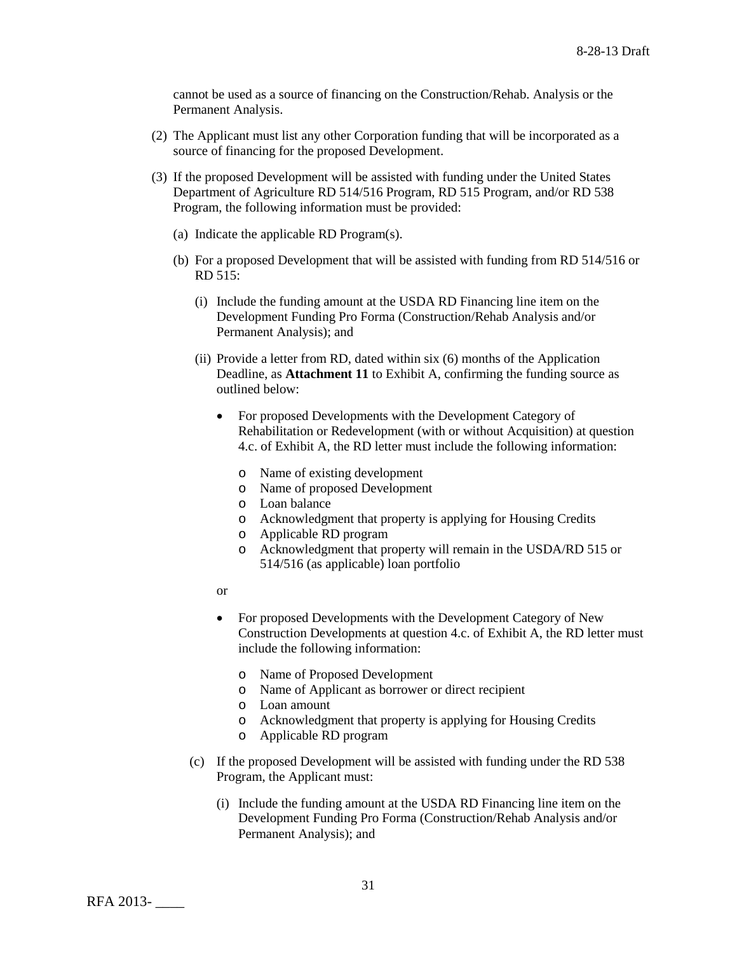cannot be used as a source of financing on the Construction/Rehab. Analysis or the Permanent Analysis.

- (2) The Applicant must list any other Corporation funding that will be incorporated as a source of financing for the proposed Development.
- (3) If the proposed Development will be assisted with funding under the United States Department of Agriculture RD 514/516 Program, RD 515 Program, and/or RD 538 Program, the following information must be provided:
	- (a) Indicate the applicable RD Program(s).
	- (b) For a proposed Development that will be assisted with funding from RD 514/516 or RD 515:
		- (i) Include the funding amount at the USDA RD Financing line item on the Development Funding Pro Forma (Construction/Rehab Analysis and/or Permanent Analysis); and
		- (ii) Provide a letter from RD, dated within six (6) months of the Application Deadline, as **Attachment 11** to Exhibit A, confirming the funding source as outlined below:
			- For proposed Developments with the Development Category of Rehabilitation or Redevelopment (with or without Acquisition) at question 4.c. of Exhibit A, the RD letter must include the following information:
				- o Name of existing development
				- o Name of proposed Development
				- o Loan balance
				- o Acknowledgment that property is applying for Housing Credits
				- o Applicable RD program
				- o Acknowledgment that property will remain in the USDA/RD 515 or 514/516 (as applicable) loan portfolio
			- or
			- For proposed Developments with the Development Category of New Construction Developments at question 4.c. of Exhibit A, the RD letter must include the following information:
				- o Name of Proposed Development
				- o Name of Applicant as borrower or direct recipient
				- o Loan amount
				- o Acknowledgment that property is applying for Housing Credits
				- o Applicable RD program
		- (c) If the proposed Development will be assisted with funding under the RD 538 Program, the Applicant must:
			- (i) Include the funding amount at the USDA RD Financing line item on the Development Funding Pro Forma (Construction/Rehab Analysis and/or Permanent Analysis); and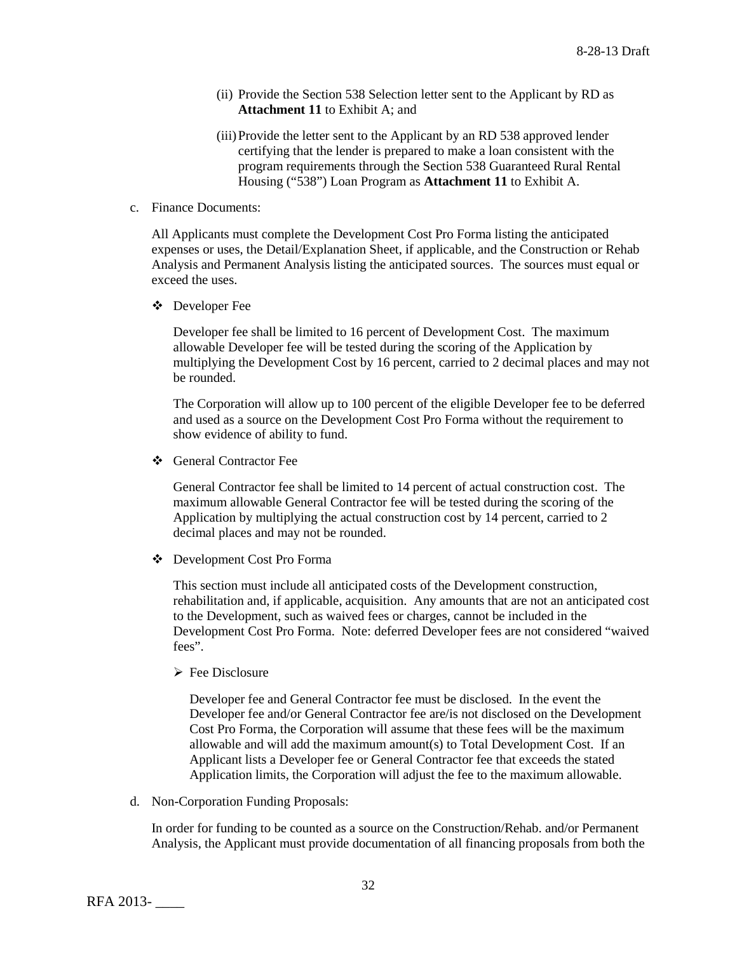- (ii) Provide the Section 538 Selection letter sent to the Applicant by RD as **Attachment 11** to Exhibit A; and
- (iii)Provide the letter sent to the Applicant by an RD 538 approved lender certifying that the lender is prepared to make a loan consistent with the program requirements through the Section 538 Guaranteed Rural Rental Housing ("538") Loan Program as **Attachment 11** to Exhibit A.
- c. Finance Documents:

All Applicants must complete the Development Cost Pro Forma listing the anticipated expenses or uses, the Detail/Explanation Sheet, if applicable, and the Construction or Rehab Analysis and Permanent Analysis listing the anticipated sources. The sources must equal or exceed the uses.

Developer Fee

Developer fee shall be limited to 16 percent of Development Cost. The maximum allowable Developer fee will be tested during the scoring of the Application by multiplying the Development Cost by 16 percent, carried to 2 decimal places and may not be rounded.

The Corporation will allow up to 100 percent of the eligible Developer fee to be deferred and used as a source on the Development Cost Pro Forma without the requirement to show evidence of ability to fund.

❖ General Contractor Fee

General Contractor fee shall be limited to 14 percent of actual construction cost. The maximum allowable General Contractor fee will be tested during the scoring of the Application by multiplying the actual construction cost by 14 percent, carried to 2 decimal places and may not be rounded.

Development Cost Pro Forma

This section must include all anticipated costs of the Development construction, rehabilitation and, if applicable, acquisition. Any amounts that are not an anticipated cost to the Development, such as waived fees or charges, cannot be included in the Development Cost Pro Forma. Note: deferred Developer fees are not considered "waived fees".

 $\triangleright$  Fee Disclosure

Developer fee and General Contractor fee must be disclosed. In the event the Developer fee and/or General Contractor fee are/is not disclosed on the Development Cost Pro Forma, the Corporation will assume that these fees will be the maximum allowable and will add the maximum amount(s) to Total Development Cost. If an Applicant lists a Developer fee or General Contractor fee that exceeds the stated Application limits, the Corporation will adjust the fee to the maximum allowable.

d. Non-Corporation Funding Proposals:

In order for funding to be counted as a source on the Construction/Rehab. and/or Permanent Analysis, the Applicant must provide documentation of all financing proposals from both the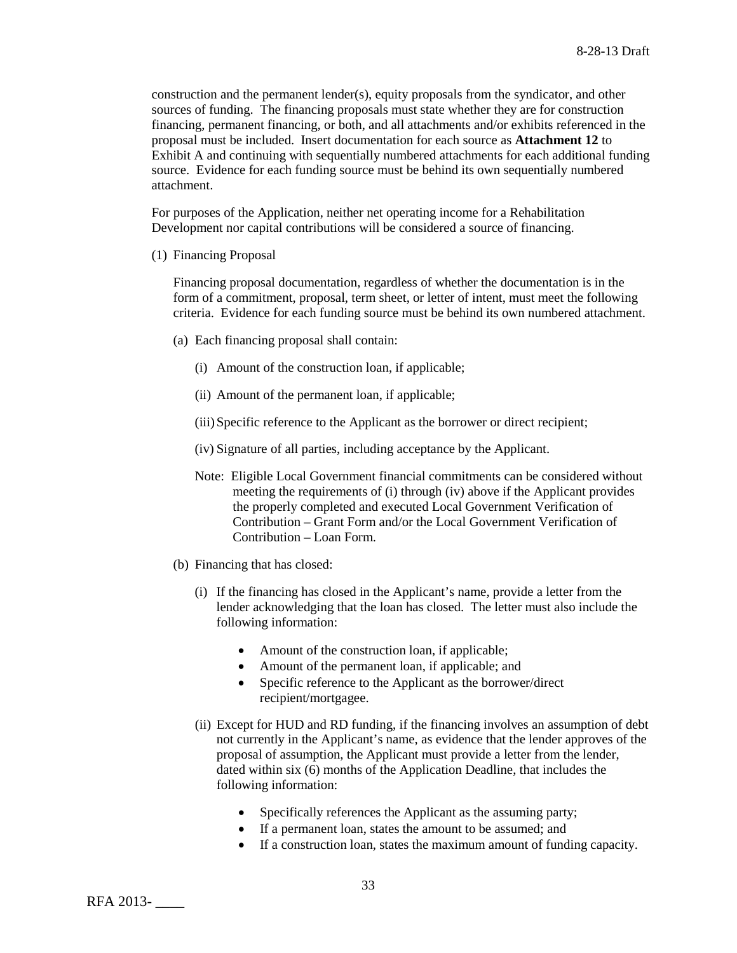construction and the permanent lender(s), equity proposals from the syndicator, and other sources of funding. The financing proposals must state whether they are for construction financing, permanent financing, or both, and all attachments and/or exhibits referenced in the proposal must be included. Insert documentation for each source as **Attachment 12** to Exhibit A and continuing with sequentially numbered attachments for each additional funding source. Evidence for each funding source must be behind its own sequentially numbered attachment.

For purposes of the Application, neither net operating income for a Rehabilitation Development nor capital contributions will be considered a source of financing.

(1) Financing Proposal

Financing proposal documentation, regardless of whether the documentation is in the form of a commitment, proposal, term sheet, or letter of intent, must meet the following criteria. Evidence for each funding source must be behind its own numbered attachment.

- (a) Each financing proposal shall contain:
	- (i) Amount of the construction loan, if applicable;
	- (ii) Amount of the permanent loan, if applicable;
	- (iii)Specific reference to the Applicant as the borrower or direct recipient;
	- (iv) Signature of all parties, including acceptance by the Applicant.
	- Note: Eligible Local Government financial commitments can be considered without meeting the requirements of (i) through (iv) above if the Applicant provides the properly completed and executed Local Government Verification of Contribution – Grant Form and/or the Local Government Verification of Contribution – Loan Form.
- (b) Financing that has closed:
	- (i) If the financing has closed in the Applicant's name, provide a letter from the lender acknowledging that the loan has closed. The letter must also include the following information:
		- Amount of the construction loan, if applicable;
		- Amount of the permanent loan, if applicable; and
		- Specific reference to the Applicant as the borrower/direct recipient/mortgagee.
	- (ii) Except for HUD and RD funding, if the financing involves an assumption of debt not currently in the Applicant's name, as evidence that the lender approves of the proposal of assumption, the Applicant must provide a letter from the lender, dated within six (6) months of the Application Deadline, that includes the following information:
		- Specifically references the Applicant as the assuming party;
		- If a permanent loan, states the amount to be assumed; and
		- If a construction loan, states the maximum amount of funding capacity.

RFA 2013- \_\_\_\_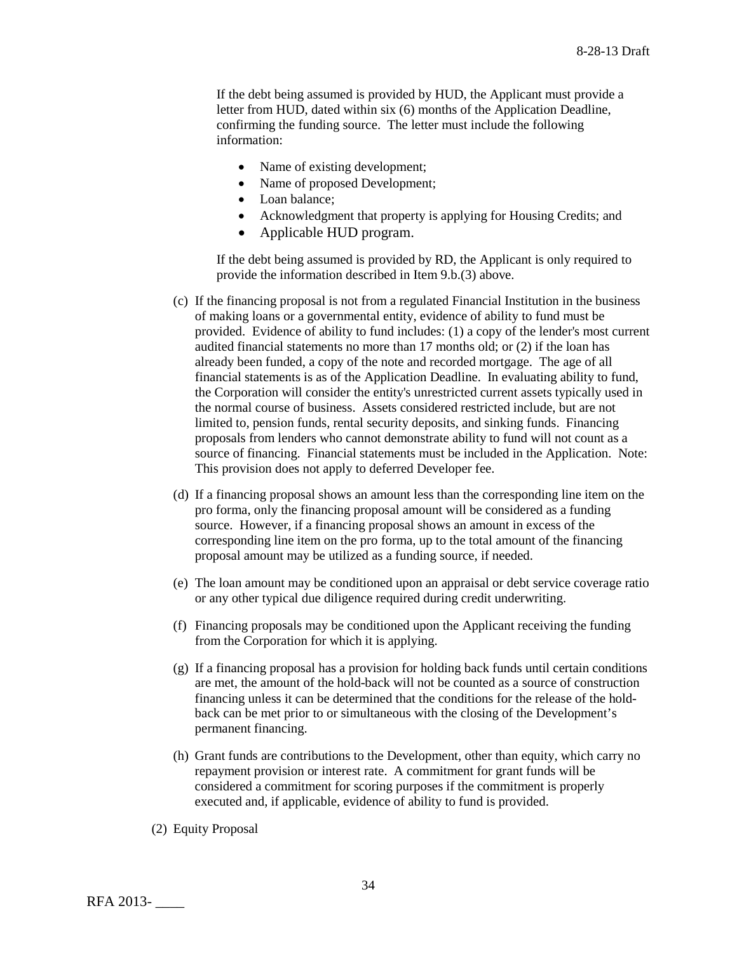If the debt being assumed is provided by HUD, the Applicant must provide a letter from HUD, dated within six (6) months of the Application Deadline, confirming the funding source. The letter must include the following information:

- Name of existing development;
- Name of proposed Development;
- Loan balance;
- Acknowledgment that property is applying for Housing Credits; and
- Applicable HUD program.

If the debt being assumed is provided by RD, the Applicant is only required to provide the information described in Item 9.b.(3) above.

- (c) If the financing proposal is not from a regulated Financial Institution in the business of making loans or a governmental entity, evidence of ability to fund must be provided. Evidence of ability to fund includes: (1) a copy of the lender's most current audited financial statements no more than 17 months old; or (2) if the loan has already been funded, a copy of the note and recorded mortgage. The age of all financial statements is as of the Application Deadline. In evaluating ability to fund, the Corporation will consider the entity's unrestricted current assets typically used in the normal course of business. Assets considered restricted include, but are not limited to, pension funds, rental security deposits, and sinking funds. Financing proposals from lenders who cannot demonstrate ability to fund will not count as a source of financing. Financial statements must be included in the Application. Note: This provision does not apply to deferred Developer fee.
- (d) If a financing proposal shows an amount less than the corresponding line item on the pro forma, only the financing proposal amount will be considered as a funding source. However, if a financing proposal shows an amount in excess of the corresponding line item on the pro forma, up to the total amount of the financing proposal amount may be utilized as a funding source, if needed.
- (e) The loan amount may be conditioned upon an appraisal or debt service coverage ratio or any other typical due diligence required during credit underwriting.
- (f) Financing proposals may be conditioned upon the Applicant receiving the funding from the Corporation for which it is applying.
- (g) If a financing proposal has a provision for holding back funds until certain conditions are met, the amount of the hold-back will not be counted as a source of construction financing unless it can be determined that the conditions for the release of the holdback can be met prior to or simultaneous with the closing of the Development's permanent financing.
- (h) Grant funds are contributions to the Development, other than equity, which carry no repayment provision or interest rate. A commitment for grant funds will be considered a commitment for scoring purposes if the commitment is properly executed and, if applicable, evidence of ability to fund is provided.

(2) Equity Proposal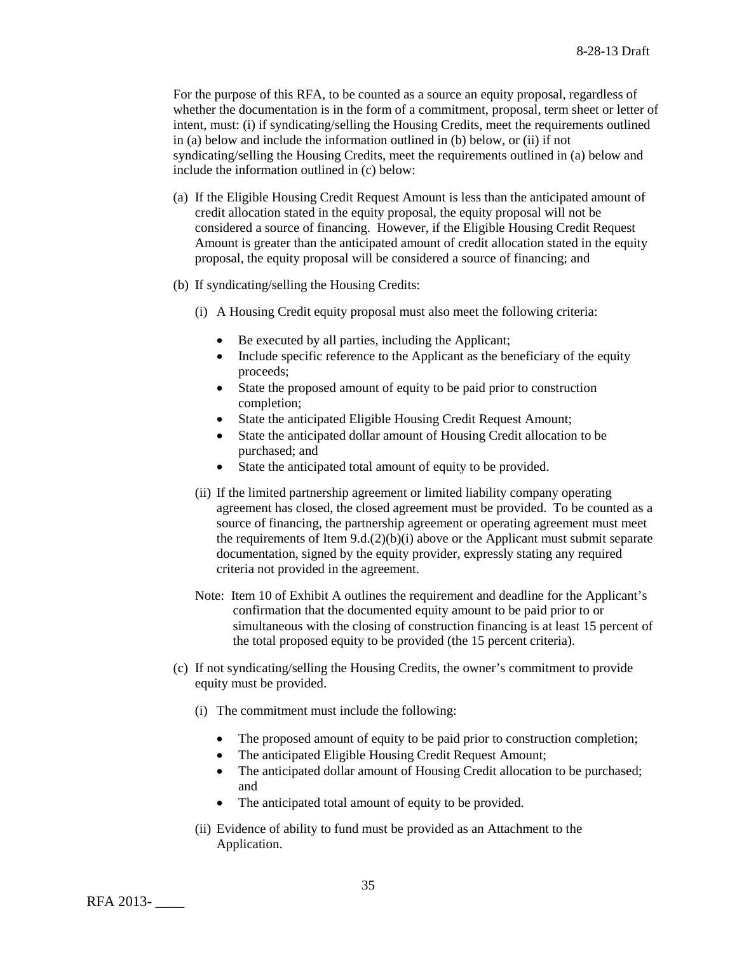For the purpose of this RFA, to be counted as a source an equity proposal, regardless of whether the documentation is in the form of a commitment, proposal, term sheet or letter of intent, must: (i) if syndicating/selling the Housing Credits, meet the requirements outlined in (a) below and include the information outlined in (b) below, or (ii) if not syndicating/selling the Housing Credits, meet the requirements outlined in (a) below and include the information outlined in (c) below:

- (a) If the Eligible Housing Credit Request Amount is less than the anticipated amount of credit allocation stated in the equity proposal, the equity proposal will not be considered a source of financing. However, if the Eligible Housing Credit Request Amount is greater than the anticipated amount of credit allocation stated in the equity proposal, the equity proposal will be considered a source of financing; and
- (b) If syndicating/selling the Housing Credits:
	- (i) A Housing Credit equity proposal must also meet the following criteria:
		- Be executed by all parties, including the Applicant;
		- Include specific reference to the Applicant as the beneficiary of the equity proceeds;
		- State the proposed amount of equity to be paid prior to construction completion;
		- State the anticipated Eligible Housing Credit Request Amount;
		- State the anticipated dollar amount of Housing Credit allocation to be purchased; and
		- State the anticipated total amount of equity to be provided.
	- (ii) If the limited partnership agreement or limited liability company operating agreement has closed, the closed agreement must be provided. To be counted as a source of financing, the partnership agreement or operating agreement must meet the requirements of Item  $9.d.(2)(b)(i)$  above or the Applicant must submit separate documentation, signed by the equity provider, expressly stating any required criteria not provided in the agreement.
	- Note: Item 10 of Exhibit A outlines the requirement and deadline for the Applicant's confirmation that the documented equity amount to be paid prior to or simultaneous with the closing of construction financing is at least 15 percent of the total proposed equity to be provided (the 15 percent criteria).
- (c) If not syndicating/selling the Housing Credits, the owner's commitment to provide equity must be provided.
	- (i) The commitment must include the following:
		- The proposed amount of equity to be paid prior to construction completion;
		- The anticipated Eligible Housing Credit Request Amount;<br>• The anticipated dollar amount of Housing Credit allocation
		- The anticipated dollar amount of Housing Credit allocation to be purchased; and
		- The anticipated total amount of equity to be provided.
	- (ii) Evidence of ability to fund must be provided as an Attachment to the Application.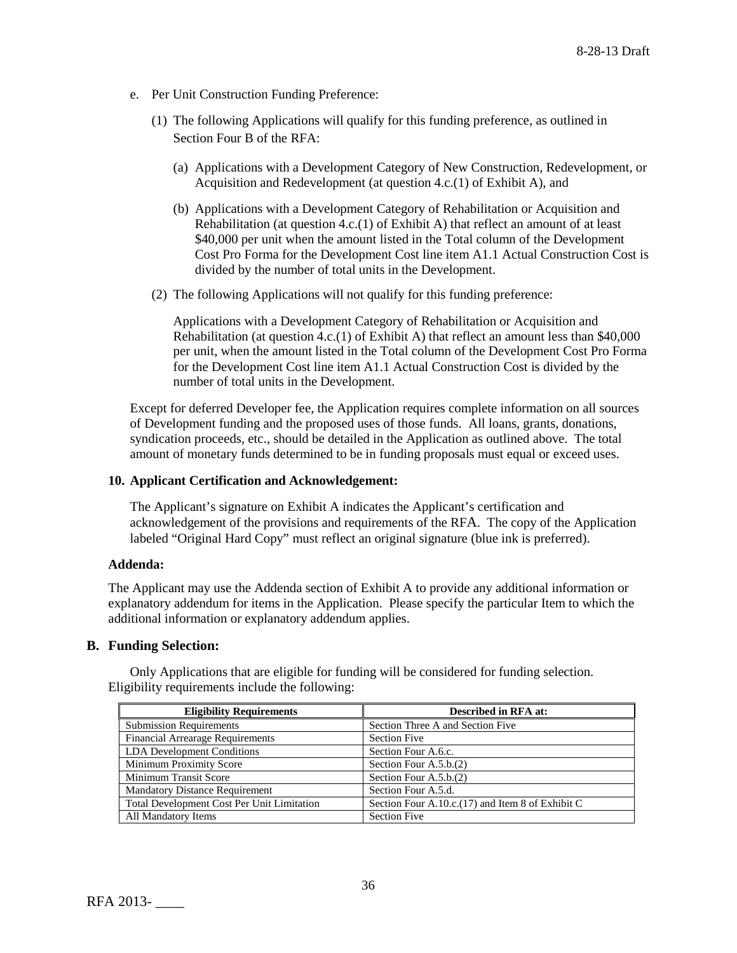- e. Per Unit Construction Funding Preference:
	- (1) The following Applications will qualify for this funding preference, as outlined in Section Four B of the RFA:
		- (a) Applications with a Development Category of New Construction, Redevelopment, or Acquisition and Redevelopment (at question 4.c.(1) of Exhibit A), and
		- (b) Applications with a Development Category of Rehabilitation or Acquisition and Rehabilitation (at question 4.c.(1) of Exhibit A) that reflect an amount of at least \$40,000 per unit when the amount listed in the Total column of the Development Cost Pro Forma for the Development Cost line item A1.1 Actual Construction Cost is divided by the number of total units in the Development.
	- (2) The following Applications will not qualify for this funding preference:

Applications with a Development Category of Rehabilitation or Acquisition and Rehabilitation (at question 4.c.(1) of Exhibit A) that reflect an amount less than \$40,000 per unit, when the amount listed in the Total column of the Development Cost Pro Forma for the Development Cost line item A1.1 Actual Construction Cost is divided by the number of total units in the Development.

Except for deferred Developer fee, the Application requires complete information on all sources of Development funding and the proposed uses of those funds. All loans, grants, donations, syndication proceeds, etc., should be detailed in the Application as outlined above. The total amount of monetary funds determined to be in funding proposals must equal or exceed uses.

#### **10. Applicant Certification and Acknowledgement:**

The Applicant's signature on Exhibit A indicates the Applicant's certification and acknowledgement of the provisions and requirements of the RFA. The copy of the Application labeled "Original Hard Copy" must reflect an original signature (blue ink is preferred).

## **Addenda:**

The Applicant may use the Addenda section of Exhibit A to provide any additional information or explanatory addendum for items in the Application. Please specify the particular Item to which the additional information or explanatory addendum applies.

## **B. Funding Selection:**

Only Applications that are eligible for funding will be considered for funding selection. Eligibility requirements include the following:

| <b>Eligibility Requirements</b>            | <b>Described in RFA at:</b>                       |
|--------------------------------------------|---------------------------------------------------|
| <b>Submission Requirements</b>             | Section Three A and Section Five                  |
| <b>Financial Arrearage Requirements</b>    | <b>Section Five</b>                               |
| LDA Development Conditions                 | Section Four A.6.c.                               |
| Minimum Proximity Score                    | Section Four $A.5.b.(2)$                          |
| Minimum Transit Score                      | Section Four A.5.b.(2)                            |
| <b>Mandatory Distance Requirement</b>      | Section Four A.5.d.                               |
| Total Development Cost Per Unit Limitation | Section Four A.10.c. (17) and Item 8 of Exhibit C |
| All Mandatory Items                        | <b>Section Five</b>                               |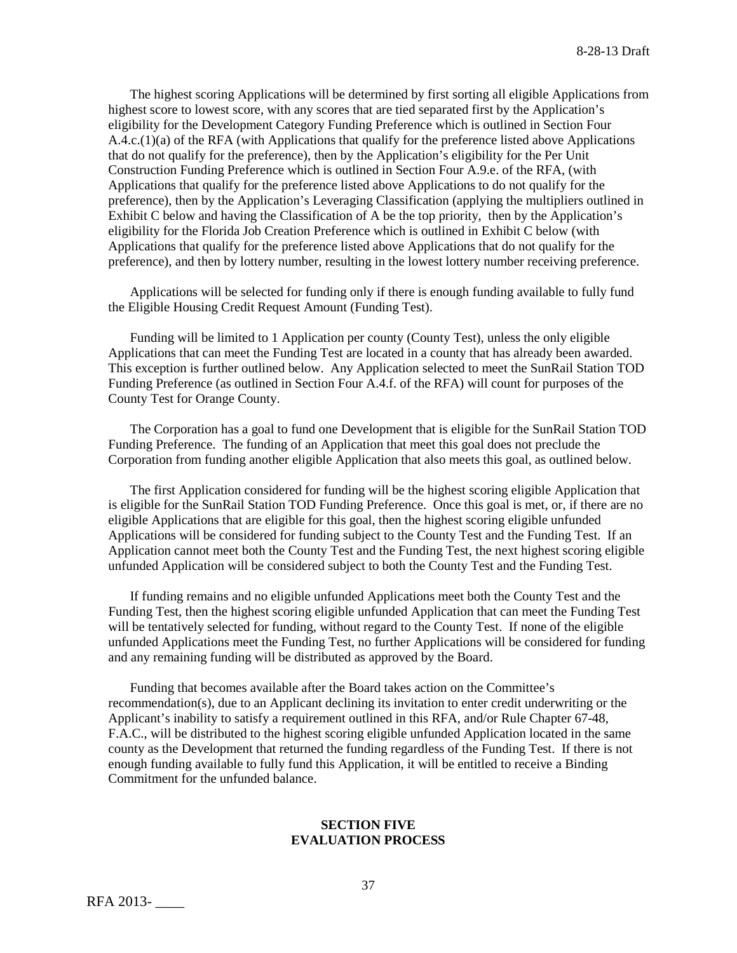The highest scoring Applications will be determined by first sorting all eligible Applications from highest score to lowest score, with any scores that are tied separated first by the Application's eligibility for the Development Category Funding Preference which is outlined in Section Four A.4.c.(1)(a) of the RFA (with Applications that qualify for the preference listed above Applications that do not qualify for the preference), then by the Application's eligibility for the Per Unit Construction Funding Preference which is outlined in Section Four A.9.e. of the RFA, (with Applications that qualify for the preference listed above Applications to do not qualify for the preference), then by the Application's Leveraging Classification (applying the multipliers outlined in Exhibit C below and having the Classification of A be the top priority, then by the Application's eligibility for the Florida Job Creation Preference which is outlined in Exhibit C below (with Applications that qualify for the preference listed above Applications that do not qualify for the preference), and then by lottery number, resulting in the lowest lottery number receiving preference.

Applications will be selected for funding only if there is enough funding available to fully fund the Eligible Housing Credit Request Amount (Funding Test).

Funding will be limited to 1 Application per county (County Test), unless the only eligible Applications that can meet the Funding Test are located in a county that has already been awarded. This exception is further outlined below. Any Application selected to meet the SunRail Station TOD Funding Preference (as outlined in Section Four A.4.f. of the RFA) will count for purposes of the County Test for Orange County.

The Corporation has a goal to fund one Development that is eligible for the SunRail Station TOD Funding Preference. The funding of an Application that meet this goal does not preclude the Corporation from funding another eligible Application that also meets this goal, as outlined below.

The first Application considered for funding will be the highest scoring eligible Application that is eligible for the SunRail Station TOD Funding Preference. Once this goal is met, or, if there are no eligible Applications that are eligible for this goal, then the highest scoring eligible unfunded Applications will be considered for funding subject to the County Test and the Funding Test. If an Application cannot meet both the County Test and the Funding Test, the next highest scoring eligible unfunded Application will be considered subject to both the County Test and the Funding Test.

If funding remains and no eligible unfunded Applications meet both the County Test and the Funding Test, then the highest scoring eligible unfunded Application that can meet the Funding Test will be tentatively selected for funding, without regard to the County Test. If none of the eligible unfunded Applications meet the Funding Test, no further Applications will be considered for funding and any remaining funding will be distributed as approved by the Board.

Funding that becomes available after the Board takes action on the Committee's recommendation(s), due to an Applicant declining its invitation to enter credit underwriting or the Applicant's inability to satisfy a requirement outlined in this RFA, and/or Rule Chapter 67-48, F.A.C., will be distributed to the highest scoring eligible unfunded Application located in the same county as the Development that returned the funding regardless of the Funding Test. If there is not enough funding available to fully fund this Application, it will be entitled to receive a Binding Commitment for the unfunded balance.

## **SECTION FIVE EVALUATION PROCESS**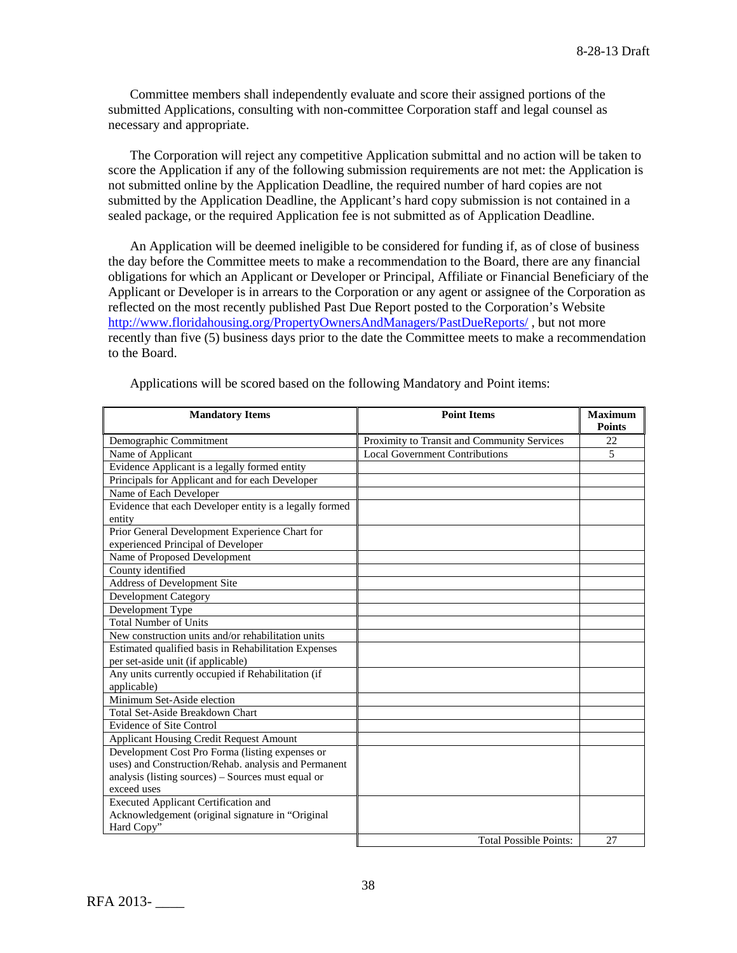Committee members shall independently evaluate and score their assigned portions of the submitted Applications, consulting with non-committee Corporation staff and legal counsel as necessary and appropriate.

The Corporation will reject any competitive Application submittal and no action will be taken to score the Application if any of the following submission requirements are not met: the Application is not submitted online by the Application Deadline, the required number of hard copies are not submitted by the Application Deadline, the Applicant's hard copy submission is not contained in a sealed package, or the required Application fee is not submitted as of Application Deadline.

An Application will be deemed ineligible to be considered for funding if, as of close of business the day before the Committee meets to make a recommendation to the Board, there are any financial obligations for which an Applicant or Developer or Principal, Affiliate or Financial Beneficiary of the Applicant or Developer is in arrears to the Corporation or any agent or assignee of the Corporation as reflected on the most recently published Past Due Report posted to the Corporation's Website <http://www.floridahousing.org/PropertyOwnersAndManagers/PastDueReports/> , but not more recently than five (5) business days prior to the date the Committee meets to make a recommendation to the Board.

| <b>Mandatory Items</b>                                  | <b>Point Items</b>                          | <b>Maximum</b><br><b>Points</b> |
|---------------------------------------------------------|---------------------------------------------|---------------------------------|
| Demographic Commitment                                  | Proximity to Transit and Community Services | 22                              |
| Name of Applicant                                       | <b>Local Government Contributions</b>       | 5                               |
| Evidence Applicant is a legally formed entity           |                                             |                                 |
| Principals for Applicant and for each Developer         |                                             |                                 |
| Name of Each Developer                                  |                                             |                                 |
| Evidence that each Developer entity is a legally formed |                                             |                                 |
| entity                                                  |                                             |                                 |
| Prior General Development Experience Chart for          |                                             |                                 |
| experienced Principal of Developer                      |                                             |                                 |
| Name of Proposed Development                            |                                             |                                 |
| County identified                                       |                                             |                                 |
| Address of Development Site                             |                                             |                                 |
| <b>Development Category</b>                             |                                             |                                 |
| Development Type                                        |                                             |                                 |
| <b>Total Number of Units</b>                            |                                             |                                 |
| New construction units and/or rehabilitation units      |                                             |                                 |
| Estimated qualified basis in Rehabilitation Expenses    |                                             |                                 |
| per set-aside unit (if applicable)                      |                                             |                                 |
| Any units currently occupied if Rehabilitation (if      |                                             |                                 |
| applicable)                                             |                                             |                                 |
| Minimum Set-Aside election                              |                                             |                                 |
| Total Set-Aside Breakdown Chart                         |                                             |                                 |
| <b>Evidence of Site Control</b>                         |                                             |                                 |
| <b>Applicant Housing Credit Request Amount</b>          |                                             |                                 |
| Development Cost Pro Forma (listing expenses or         |                                             |                                 |
| uses) and Construction/Rehab. analysis and Permanent    |                                             |                                 |
| analysis (listing sources) – Sources must equal or      |                                             |                                 |
| exceed uses                                             |                                             |                                 |
| <b>Executed Applicant Certification and</b>             |                                             |                                 |
| Acknowledgement (original signature in "Original        |                                             |                                 |
| Hard Copy"                                              |                                             |                                 |
|                                                         | <b>Total Possible Points:</b>               | 27                              |

Applications will be scored based on the following Mandatory and Point items: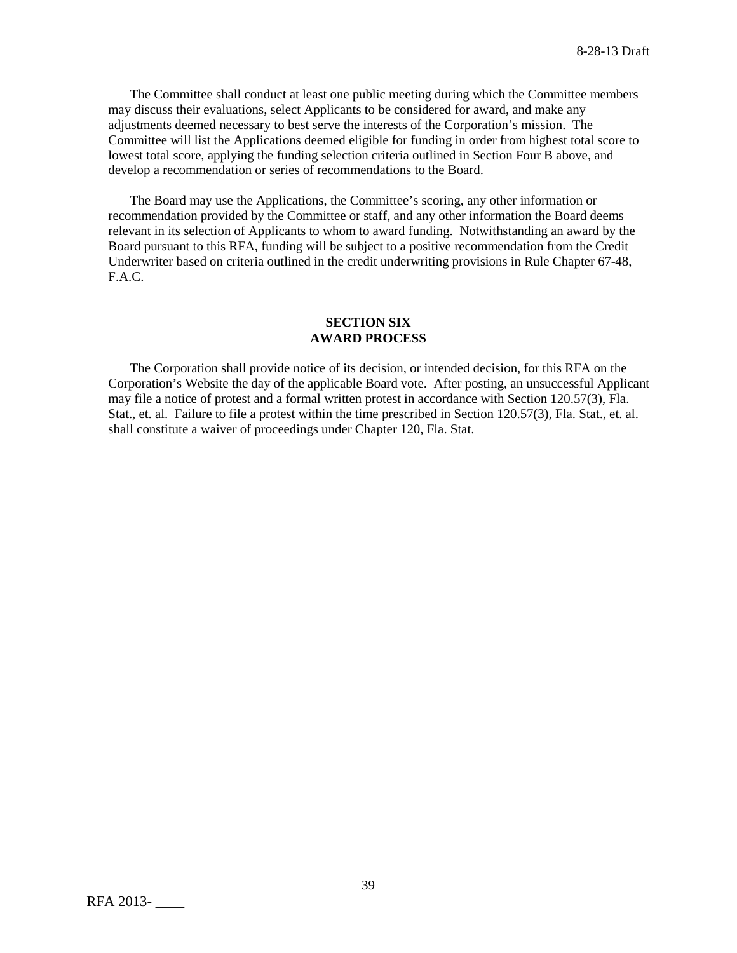The Committee shall conduct at least one public meeting during which the Committee members may discuss their evaluations, select Applicants to be considered for award, and make any adjustments deemed necessary to best serve the interests of the Corporation's mission. The Committee will list the Applications deemed eligible for funding in order from highest total score to lowest total score, applying the funding selection criteria outlined in Section Four B above, and develop a recommendation or series of recommendations to the Board.

The Board may use the Applications, the Committee's scoring, any other information or recommendation provided by the Committee or staff, and any other information the Board deems relevant in its selection of Applicants to whom to award funding. Notwithstanding an award by the Board pursuant to this RFA, funding will be subject to a positive recommendation from the Credit Underwriter based on criteria outlined in the credit underwriting provisions in Rule Chapter 67-48, F.A.C.

### **SECTION SIX AWARD PROCESS**

The Corporation shall provide notice of its decision, or intended decision, for this RFA on the Corporation's Website the day of the applicable Board vote. After posting, an unsuccessful Applicant may file a notice of protest and a formal written protest in accordance with Section 120.57(3), Fla. Stat., et. al. Failure to file a protest within the time prescribed in Section 120.57(3), Fla. Stat., et. al. shall constitute a waiver of proceedings under Chapter 120, Fla. Stat.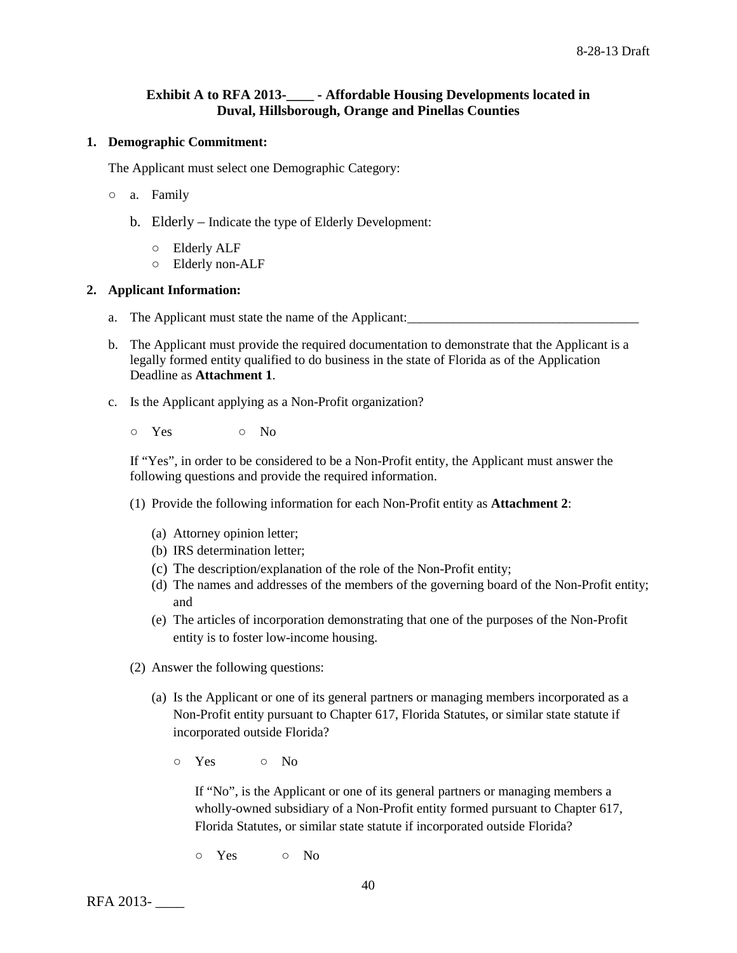# **Exhibit A to RFA 2013-\_\_\_\_ - Affordable Housing Developments located in Duval, Hillsborough, Orange and Pinellas Counties**

### **1. Demographic Commitment:**

The Applicant must select one Demographic Category:

- a. Family
	- b. Elderly Indicate the type of Elderly Development:
		- Elderly ALF
		- Elderly non-ALF

## **2. Applicant Information:**

- a. The Applicant must state the name of the Applicant:
- b. The Applicant must provide the required documentation to demonstrate that the Applicant is a legally formed entity qualified to do business in the state of Florida as of the Application Deadline as **Attachment 1**.
- c. Is the Applicant applying as a Non-Profit organization?
	- o Yes o No

If "Yes", in order to be considered to be a Non-Profit entity, the Applicant must answer the following questions and provide the required information.

- (1) Provide the following information for each Non-Profit entity as **Attachment 2**:
	- (a) Attorney opinion letter;
	- (b) IRS determination letter;
	- (c) The description/explanation of the role of the Non-Profit entity;
	- (d) The names and addresses of the members of the governing board of the Non-Profit entity; and
	- (e) The articles of incorporation demonstrating that one of the purposes of the Non-Profit entity is to foster low-income housing.
- (2) Answer the following questions:
	- (a) Is the Applicant or one of its general partners or managing members incorporated as a Non-Profit entity pursuant to Chapter 617, Florida Statutes, or similar state statute if incorporated outside Florida?
		- Yes No

If "No", is the Applicant or one of its general partners or managing members a wholly-owned subsidiary of a Non-Profit entity formed pursuant to Chapter 617, Florida Statutes, or similar state statute if incorporated outside Florida?

○ Yes ○ No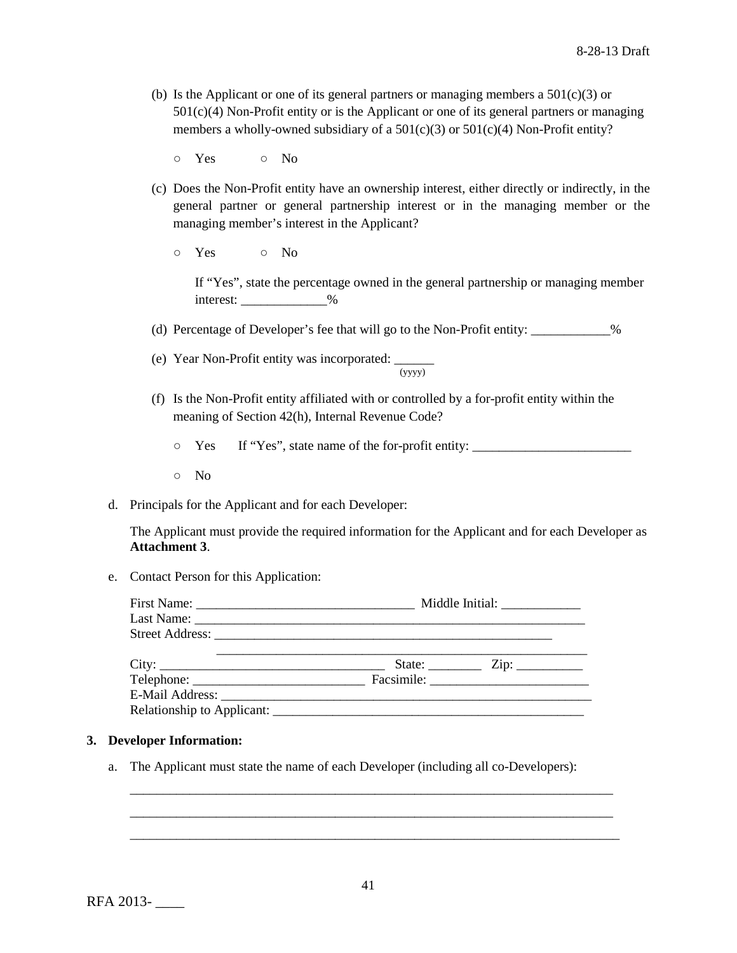(b) Is the Applicant or one of its general partners or managing members a  $501(c)(3)$  or 501(c)(4) Non-Profit entity or is the Applicant or one of its general partners or managing members a wholly-owned subsidiary of a  $501(c)(3)$  or  $501(c)(4)$  Non-Profit entity?

○ Yes ○ No

- (c) Does the Non-Profit entity have an ownership interest, either directly or indirectly, in the general partner or general partnership interest or in the managing member or the managing member's interest in the Applicant?
	- Yes No

If "Yes", state the percentage owned in the general partnership or managing member interest:  $\frac{9}{6}$ 

(d) Percentage of Developer's fee that will go to the Non-Profit entity: \_\_\_\_\_\_\_\_\_\_\_\_%

- (e) Year Non-Profit entity was incorporated:  $\frac{1}{(yyyy)}$
- (f) Is the Non-Profit entity affiliated with or controlled by a for-profit entity within the meaning of Section 42(h), Internal Revenue Code?
	- $\circ$  Yes If "Yes", state name of the for-profit entity:
	- No
- d. Principals for the Applicant and for each Developer:

The Applicant must provide the required information for the Applicant and for each Developer as **Attachment 3**.

e. Contact Person for this Application:

| Middle Initial: _______________ |                                                                                                                                                                                                                                                                                                                                                                                                                                                                                       |  |  |
|---------------------------------|---------------------------------------------------------------------------------------------------------------------------------------------------------------------------------------------------------------------------------------------------------------------------------------------------------------------------------------------------------------------------------------------------------------------------------------------------------------------------------------|--|--|
|                                 |                                                                                                                                                                                                                                                                                                                                                                                                                                                                                       |  |  |
|                                 |                                                                                                                                                                                                                                                                                                                                                                                                                                                                                       |  |  |
|                                 | State: $\frac{\text{Zip: } }{ \text{Up: } \text{Sup: } \text{Sup: } \text{Sup: } \text{Sup: } \text{Sup: } \text{Sup: } \text{Sup: } \text{Sup: } \text{Sup: } \text{Sup: } \text{Sup: } \text{Sup: } \text{Sup: } \text{Sup: } \text{Sup: } \text{Sup: } \text{Sup: } \text{Sup: } \text{Sup: } \text{Sup: } \text{Sup: } \text{Sup: } \text{Sup: } \text{Sup: } \text{Sup: } \text{Sup: } \text{Sup: } \text{Sup: } \text{Sup: } \text{Sup: } \text{Sup: } \text{Sup: } \text{Sup:$ |  |  |
|                                 |                                                                                                                                                                                                                                                                                                                                                                                                                                                                                       |  |  |
|                                 |                                                                                                                                                                                                                                                                                                                                                                                                                                                                                       |  |  |
|                                 |                                                                                                                                                                                                                                                                                                                                                                                                                                                                                       |  |  |

# **3. Developer Information:**

a. The Applicant must state the name of each Developer (including all co-Developers):

\_\_\_\_\_\_\_\_\_\_\_\_\_\_\_\_\_\_\_\_\_\_\_\_\_\_\_\_\_\_\_\_\_\_\_\_\_\_\_\_\_\_\_\_\_\_\_\_\_\_\_\_\_\_\_\_\_\_\_\_\_\_\_\_\_\_\_\_\_\_\_\_\_ \_\_\_\_\_\_\_\_\_\_\_\_\_\_\_\_\_\_\_\_\_\_\_\_\_\_\_\_\_\_\_\_\_\_\_\_\_\_\_\_\_\_\_\_\_\_\_\_\_\_\_\_\_\_\_\_\_\_\_\_\_\_\_\_\_\_\_\_\_\_\_\_\_ \_\_\_\_\_\_\_\_\_\_\_\_\_\_\_\_\_\_\_\_\_\_\_\_\_\_\_\_\_\_\_\_\_\_\_\_\_\_\_\_\_\_\_\_\_\_\_\_\_\_\_\_\_\_\_\_\_\_\_\_\_\_\_\_\_\_\_\_\_\_\_\_\_\_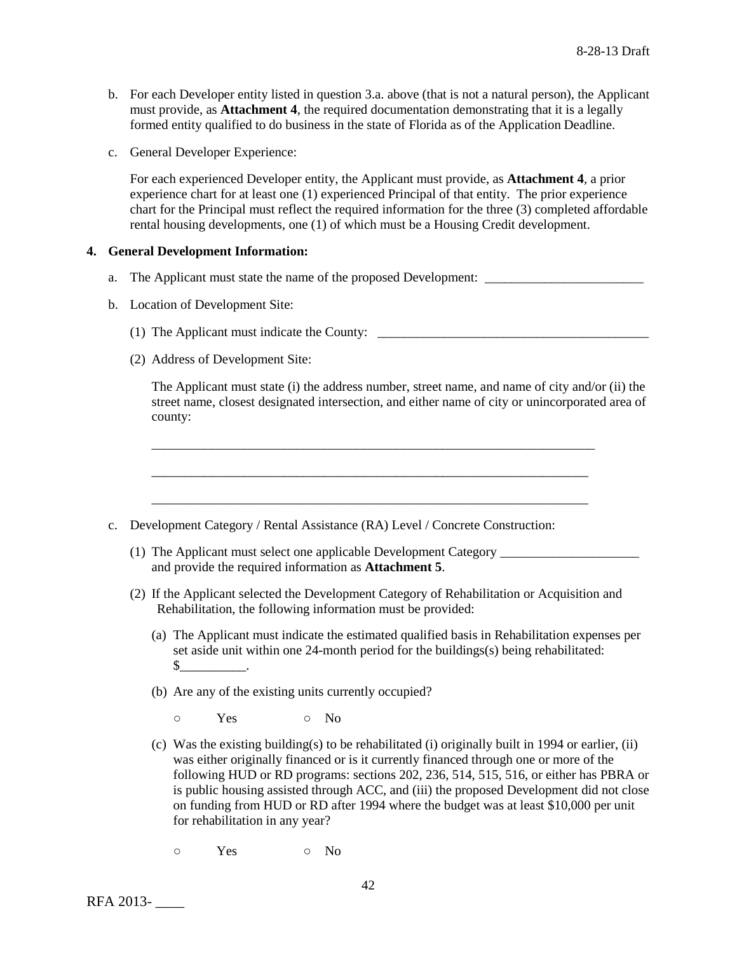- b. For each Developer entity listed in question 3.a. above (that is not a natural person), the Applicant must provide, as **Attachment 4**, the required documentation demonstrating that it is a legally formed entity qualified to do business in the state of Florida as of the Application Deadline.
- c. General Developer Experience:

For each experienced Developer entity, the Applicant must provide, as **Attachment 4**, a prior experience chart for at least one (1) experienced Principal of that entity. The prior experience chart for the Principal must reflect the required information for the three (3) completed affordable rental housing developments, one (1) of which must be a Housing Credit development.

## **4. General Development Information:**

- a. The Applicant must state the name of the proposed Development:
- b. Location of Development Site:
	- (1) The Applicant must indicate the County: \_\_\_\_\_\_\_\_\_\_\_\_\_\_\_\_\_\_\_\_\_\_\_\_\_\_\_\_\_\_\_\_\_\_\_\_\_\_\_\_\_
	- (2) Address of Development Site:

The Applicant must state (i) the address number, street name, and name of city and/or (ii) the street name, closest designated intersection, and either name of city or unincorporated area of county:

- c. Development Category / Rental Assistance (RA) Level / Concrete Construction:
	- (1) The Applicant must select one applicable Development Category \_\_\_\_\_\_\_\_\_\_\_\_\_\_\_ and provide the required information as **Attachment 5**.

\_\_\_\_\_\_\_\_\_\_\_\_\_\_\_\_\_\_\_\_\_\_\_\_\_\_\_\_\_\_\_\_\_\_\_\_\_\_\_\_\_\_\_\_\_\_\_\_\_\_\_\_\_\_\_\_\_\_\_\_\_\_\_\_\_\_\_

\_\_\_\_\_\_\_\_\_\_\_\_\_\_\_\_\_\_\_\_\_\_\_\_\_\_\_\_\_\_\_\_\_\_\_\_\_\_\_\_\_\_\_\_\_\_\_\_\_\_\_\_\_\_\_\_\_\_\_\_\_\_\_\_\_\_

\_\_\_\_\_\_\_\_\_\_\_\_\_\_\_\_\_\_\_\_\_\_\_\_\_\_\_\_\_\_\_\_\_\_\_\_\_\_\_\_\_\_\_\_\_\_\_\_\_\_\_\_\_\_\_\_\_\_\_\_\_\_\_\_\_\_

- (2) If the Applicant selected the Development Category of Rehabilitation or Acquisition and Rehabilitation, the following information must be provided:
	- (a) The Applicant must indicate the estimated qualified basis in Rehabilitation expenses per set aside unit within one 24-month period for the buildings(s) being rehabilitated:  $\mathbb S$  .
	- (b) Are any of the existing units currently occupied?
		- o Yes o No
	- (c) Was the existing building(s) to be rehabilitated (i) originally built in 1994 or earlier, (ii) was either originally financed or is it currently financed through one or more of the following HUD or RD programs: sections 202, 236, 514, 515, 516, or either has PBRA or is public housing assisted through ACC, and (iii) the proposed Development did not close on funding from HUD or RD after 1994 where the budget was at least \$10,000 per unit for rehabilitation in any year?
		- o Yes o No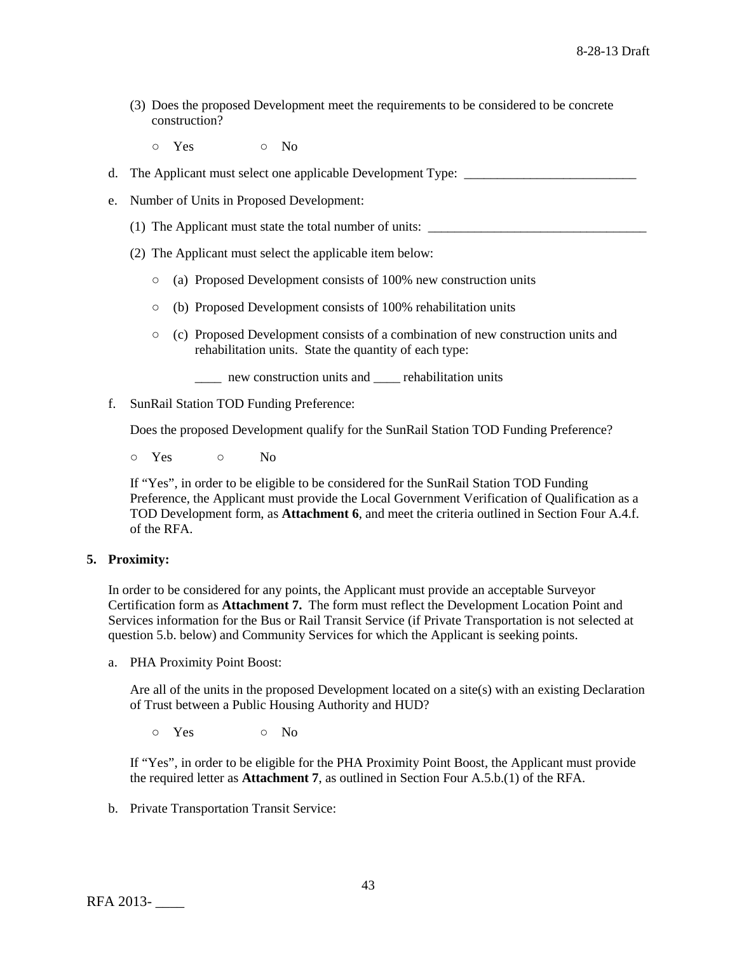- (3) Does the proposed Development meet the requirements to be considered to be concrete construction?
	- o Yes o No
- d. The Applicant must select one applicable Development Type: \_\_\_\_\_\_\_\_\_\_\_\_\_\_\_\_\_\_
- e. Number of Units in Proposed Development:
	- (1) The Applicant must state the total number of units:
	- (2) The Applicant must select the applicable item below:
		- (a) Proposed Development consists of 100% new construction units
		- (b) Proposed Development consists of 100% rehabilitation units
		- (c) Proposed Development consists of a combination of new construction units and rehabilitation units. State the quantity of each type:
			- \_\_\_\_ new construction units and \_\_\_\_ rehabilitation units
- f. SunRail Station TOD Funding Preference:

Does the proposed Development qualify for the SunRail Station TOD Funding Preference?

○ Yes ○ No

If "Yes", in order to be eligible to be considered for the SunRail Station TOD Funding Preference, the Applicant must provide the Local Government Verification of Qualification as a TOD Development form, as **Attachment 6**, and meet the criteria outlined in Section Four A.4.f. of the RFA.

### **5. Proximity:**

In order to be considered for any points, the Applicant must provide an acceptable Surveyor Certification form as **Attachment 7.** The form must reflect the Development Location Point and Services information for the Bus or Rail Transit Service (if Private Transportation is not selected at question 5.b. below) and Community Services for which the Applicant is seeking points.

a. PHA Proximity Point Boost:

Are all of the units in the proposed Development located on a site(s) with an existing Declaration of Trust between a Public Housing Authority and HUD?

 $\circ$  Yes  $\circ$  No

If "Yes", in order to be eligible for the PHA Proximity Point Boost, the Applicant must provide the required letter as **Attachment 7**, as outlined in Section Four A.5.b.(1) of the RFA.

b. Private Transportation Transit Service: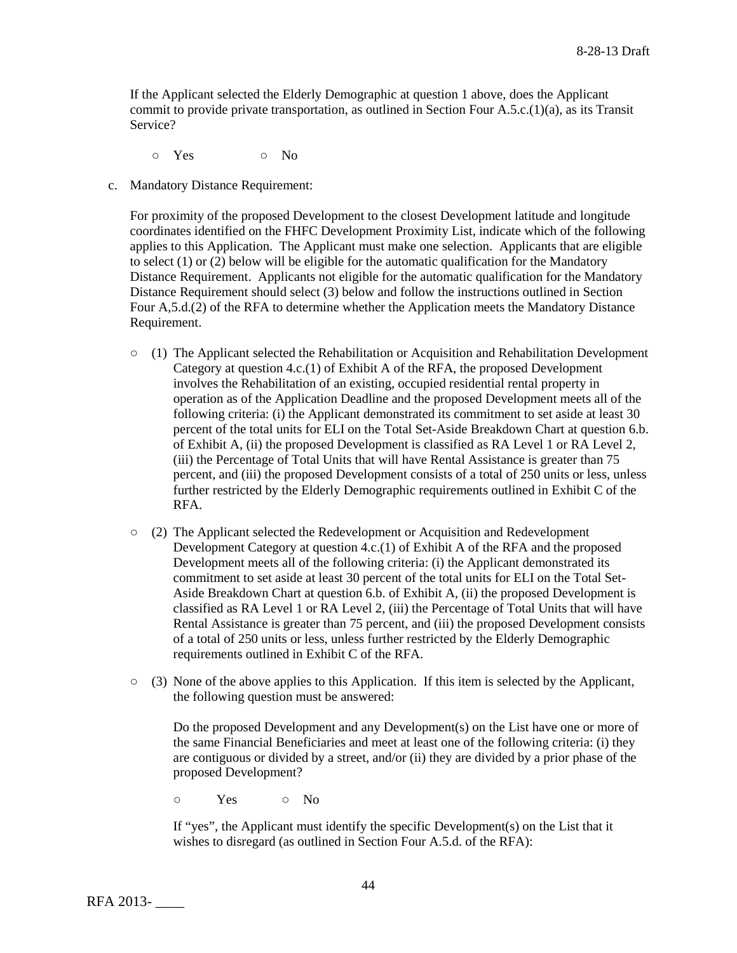If the Applicant selected the Elderly Demographic at question 1 above, does the Applicant commit to provide private transportation, as outlined in Section Four A.5.c.(1)(a), as its Transit Service?

o Yes o No

c. Mandatory Distance Requirement:

For proximity of the proposed Development to the closest Development latitude and longitude coordinates identified on the FHFC Development Proximity List, indicate which of the following applies to this Application. The Applicant must make one selection. Applicants that are eligible to select (1) or (2) below will be eligible for the automatic qualification for the Mandatory Distance Requirement. Applicants not eligible for the automatic qualification for the Mandatory Distance Requirement should select (3) below and follow the instructions outlined in Section Four A,5.d.(2) of the RFA to determine whether the Application meets the Mandatory Distance Requirement.

- $\circ$  (1) The Applicant selected the Rehabilitation or Acquisition and Rehabilitation Development Category at question 4.c.(1) of Exhibit A of the RFA, the proposed Development involves the Rehabilitation of an existing, occupied residential rental property in operation as of the Application Deadline and the proposed Development meets all of the following criteria: (i) the Applicant demonstrated its commitment to set aside at least 30 percent of the total units for ELI on the Total Set-Aside Breakdown Chart at question 6.b. of Exhibit A, (ii) the proposed Development is classified as RA Level 1 or RA Level 2, (iii) the Percentage of Total Units that will have Rental Assistance is greater than 75 percent, and (iii) the proposed Development consists of a total of 250 units or less, unless further restricted by the Elderly Demographic requirements outlined in Exhibit C of the RFA.
- (2) The Applicant selected the Redevelopment or Acquisition and Redevelopment Development Category at question 4.c.(1) of Exhibit A of the RFA and the proposed Development meets all of the following criteria: (i) the Applicant demonstrated its commitment to set aside at least 30 percent of the total units for ELI on the Total Set-Aside Breakdown Chart at question 6.b. of Exhibit A, (ii) the proposed Development is classified as RA Level 1 or RA Level 2, (iii) the Percentage of Total Units that will have Rental Assistance is greater than 75 percent, and (iii) the proposed Development consists of a total of 250 units or less, unless further restricted by the Elderly Demographic requirements outlined in Exhibit C of the RFA.
- (3) None of the above applies to this Application. If this item is selected by the Applicant, the following question must be answered:

Do the proposed Development and any Development(s) on the List have one or more of the same Financial Beneficiaries and meet at least one of the following criteria: (i) they are contiguous or divided by a street, and/or (ii) they are divided by a prior phase of the proposed Development?

○ Yes ○ No

If "yes", the Applicant must identify the specific Development(s) on the List that it wishes to disregard (as outlined in Section Four A.5.d. of the RFA):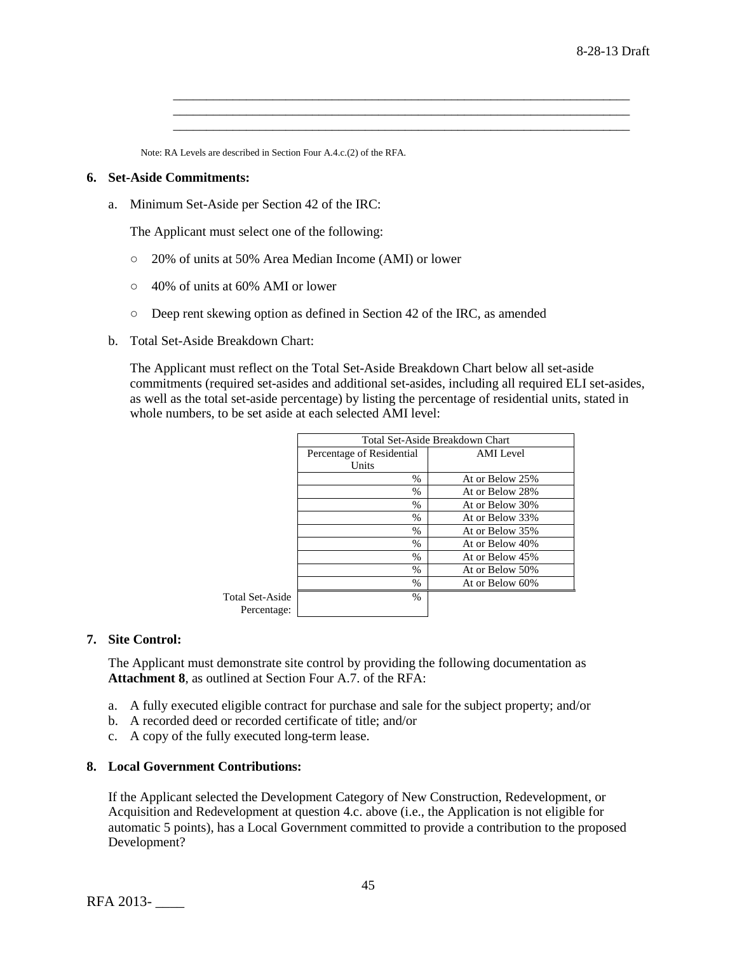Note: RA Levels are described in Section Four A.4.c.(2) of the RFA.

### **6. Set-Aside Commitments:**

a. Minimum Set-Aside per Section 42 of the IRC:

The Applicant must select one of the following:

- 20% of units at 50% Area Median Income (AMI) or lower
- 40% of units at 60% AMI or lower
- Deep rent skewing option as defined in Section 42 of the IRC, as amended
- b. Total Set-Aside Breakdown Chart:

The Applicant must reflect on the Total Set-Aside Breakdown Chart below all set-aside commitments (required set-asides and additional set-asides, including all required ELI set-asides, as well as the total set-aside percentage) by listing the percentage of residential units, stated in whole numbers, to be set aside at each selected AMI level:

\_\_\_\_\_\_\_\_\_\_\_\_\_\_\_\_\_\_\_\_\_\_\_\_\_\_\_\_\_\_\_\_\_\_\_\_\_\_\_\_\_\_\_\_\_\_\_\_\_\_\_\_\_\_\_\_\_\_\_\_\_\_\_\_\_\_\_\_\_ \_\_\_\_\_\_\_\_\_\_\_\_\_\_\_\_\_\_\_\_\_\_\_\_\_\_\_\_\_\_\_\_\_\_\_\_\_\_\_\_\_\_\_\_\_\_\_\_\_\_\_\_\_\_\_\_\_\_\_\_\_\_\_\_\_\_\_\_\_ \_\_\_\_\_\_\_\_\_\_\_\_\_\_\_\_\_\_\_\_\_\_\_\_\_\_\_\_\_\_\_\_\_\_\_\_\_\_\_\_\_\_\_\_\_\_\_\_\_\_\_\_\_\_\_\_\_\_\_\_\_\_\_\_\_\_\_\_\_

|                 | Total Set-Aside Breakdown Chart |                 |  |  |  |  |
|-----------------|---------------------------------|-----------------|--|--|--|--|
|                 | Percentage of Residential       | AMI Level       |  |  |  |  |
|                 | Units                           |                 |  |  |  |  |
|                 | $\frac{0}{0}$                   | At or Below 25% |  |  |  |  |
|                 | $\frac{0}{0}$                   | At or Below 28% |  |  |  |  |
|                 | $\frac{0}{0}$                   | At or Below 30% |  |  |  |  |
|                 | %                               | At or Below 33% |  |  |  |  |
|                 | %                               | At or Below 35% |  |  |  |  |
|                 | %                               | At or Below 40% |  |  |  |  |
|                 | %                               | At or Below 45% |  |  |  |  |
|                 | $\frac{0}{0}$                   | At or Below 50% |  |  |  |  |
|                 | %                               | At or Below 60% |  |  |  |  |
| Total Set-Aside | %                               |                 |  |  |  |  |
| Percentage:     |                                 |                 |  |  |  |  |

#### **7. Site Control:**

The Applicant must demonstrate site control by providing the following documentation as **Attachment 8**, as outlined at Section Four A.7. of the RFA:

- a. A fully executed eligible contract for purchase and sale for the subject property; and/or
- b. A recorded deed or recorded certificate of title; and/or
- c. A copy of the fully executed long-term lease.

#### **8. Local Government Contributions:**

If the Applicant selected the Development Category of New Construction, Redevelopment, or Acquisition and Redevelopment at question 4.c. above (i.e., the Application is not eligible for automatic 5 points), has a Local Government committed to provide a contribution to the proposed Development?

RFA 2013- \_\_\_\_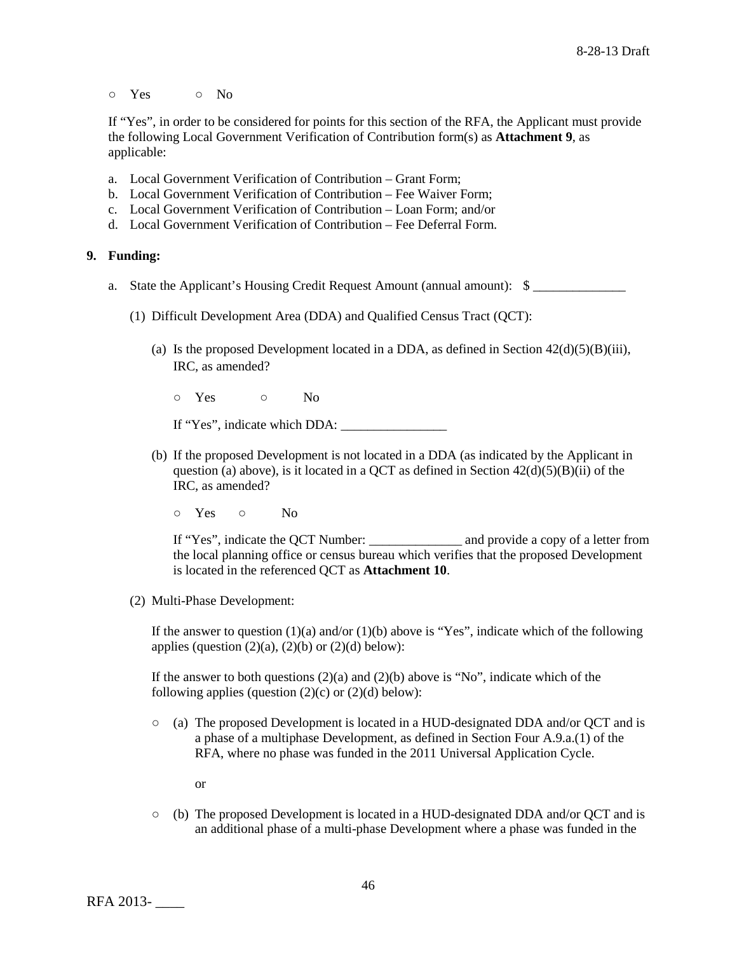○ Yes ○ No

If "Yes", in order to be considered for points for this section of the RFA, the Applicant must provide the following Local Government Verification of Contribution form(s) as **Attachment 9**, as applicable:

- a. Local Government Verification of Contribution Grant Form;
- b. Local Government Verification of Contribution Fee Waiver Form;
- c. Local Government Verification of Contribution Loan Form; and/or
- d. Local Government Verification of Contribution Fee Deferral Form.

### **9. Funding:**

- a. State the Applicant's Housing Credit Request Amount (annual amount): \$
	- (1) Difficult Development Area (DDA) and Qualified Census Tract (QCT):
		- (a) Is the proposed Development located in a DDA, as defined in Section  $42(d)(5)(B)(iii)$ , IRC, as amended?
			- o Yes o No

If "Yes", indicate which DDA:

- (b) If the proposed Development is not located in a DDA (as indicated by the Applicant in question (a) above), is it located in a QCT as defined in Section  $42(d)(5)(B)(ii)$  of the IRC, as amended?
	- Yes No

If "Yes", indicate the QCT Number: \_\_\_\_\_\_\_\_\_\_\_\_\_\_ and provide a copy of a letter from the local planning office or census bureau which verifies that the proposed Development is located in the referenced QCT as **Attachment 10**.

(2) Multi-Phase Development:

If the answer to question  $(1)(a)$  and/or  $(1)(b)$  above is "Yes", indicate which of the following applies (question  $(2)(a)$ ,  $(2)(b)$  or  $(2)(d)$  below):

If the answer to both questions  $(2)(a)$  and  $(2)(b)$  above is "No", indicate which of the following applies (question  $(2)(c)$  or  $(2)(d)$  below):

- (a) The proposed Development is located in a HUD-designated DDA and/or QCT and is a phase of a multiphase Development, as defined in Section Four A.9.a.(1) of the RFA, where no phase was funded in the 2011 Universal Application Cycle.
	- or
- (b) The proposed Development is located in a HUD-designated DDA and/or QCT and is an additional phase of a multi-phase Development where a phase was funded in the

RFA 2013- \_\_\_\_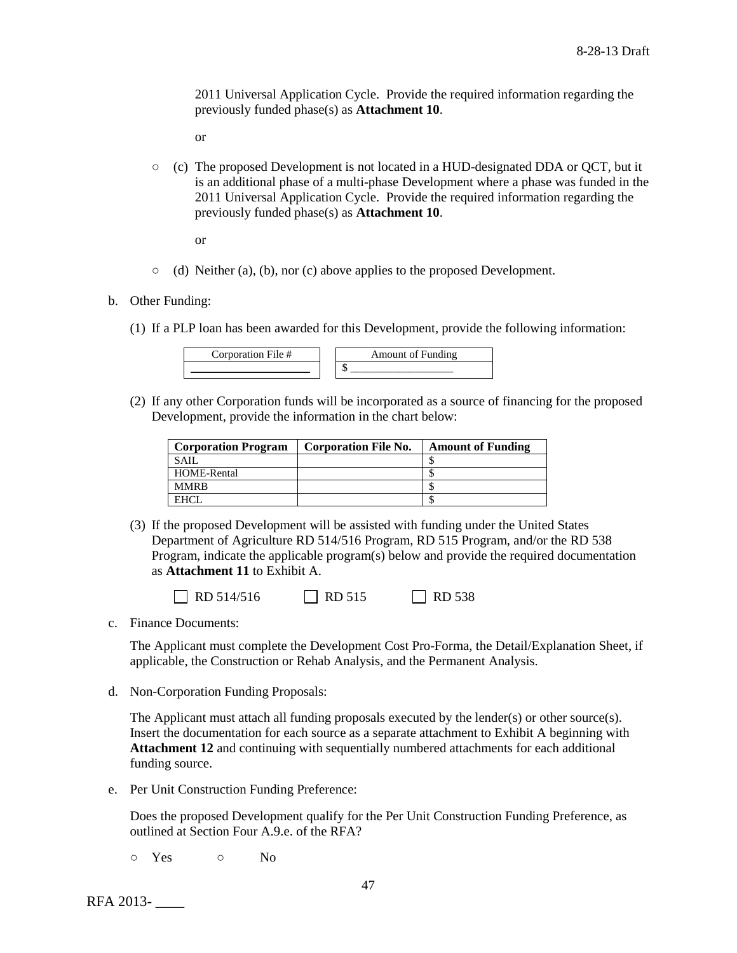2011 Universal Application Cycle. Provide the required information regarding the previously funded phase(s) as **Attachment 10**.

or

 $\circ$  (c) The proposed Development is not located in a HUD-designated DDA or QCT, but it is an additional phase of a multi-phase Development where a phase was funded in the 2011 Universal Application Cycle. Provide the required information regarding the previously funded phase(s) as **Attachment 10**.

or

- (d) Neither (a), (b), nor (c) above applies to the proposed Development.
- b. Other Funding:
	- (1) If a PLP loan has been awarded for this Development, provide the following information:

| $\sim$ ornoration $\sim$ | $\cdots$<br>$\frac{1}{2}$<br>A mour |
|--------------------------|-------------------------------------|
|                          |                                     |

(2) If any other Corporation funds will be incorporated as a source of financing for the proposed Development, provide the information in the chart below:

| <b>Corporation Program</b> | <b>Corporation File No.</b> | <b>Amount of Funding</b> |
|----------------------------|-----------------------------|--------------------------|
| <b>SAIL</b>                |                             |                          |
| HOME-Rental                |                             |                          |
| <b>MMRB</b>                |                             |                          |
| <b>EHCI</b>                |                             |                          |

(3) If the proposed Development will be assisted with funding under the United States Department of Agriculture RD 514/516 Program, RD 515 Program, and/or the RD 538 Program, indicate the applicable program(s) below and provide the required documentation as **Attachment 11** to Exhibit A.

 $\Box$  RD 514/516  $\Box$  RD 515  $\Box$  RD 538

c. Finance Documents:

The Applicant must complete the Development Cost Pro-Forma, the Detail/Explanation Sheet, if applicable, the Construction or Rehab Analysis, and the Permanent Analysis.

d. Non-Corporation Funding Proposals:

The Applicant must attach all funding proposals executed by the lender(s) or other source(s). Insert the documentation for each source as a separate attachment to Exhibit A beginning with **Attachment 12** and continuing with sequentially numbered attachments for each additional funding source.

e. Per Unit Construction Funding Preference:

Does the proposed Development qualify for the Per Unit Construction Funding Preference, as outlined at Section Four A.9.e. of the RFA?

o Yes o No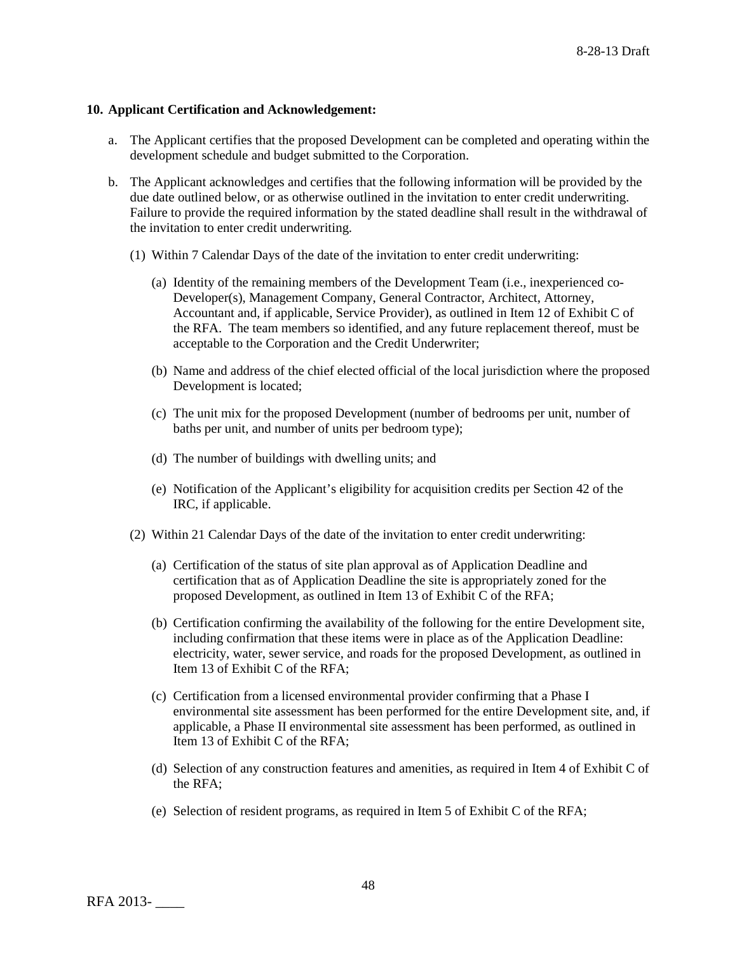## **10. Applicant Certification and Acknowledgement:**

- a. The Applicant certifies that the proposed Development can be completed and operating within the development schedule and budget submitted to the Corporation.
- b. The Applicant acknowledges and certifies that the following information will be provided by the due date outlined below, or as otherwise outlined in the invitation to enter credit underwriting. Failure to provide the required information by the stated deadline shall result in the withdrawal of the invitation to enter credit underwriting.
	- (1) Within 7 Calendar Days of the date of the invitation to enter credit underwriting:
		- (a) Identity of the remaining members of the Development Team (i.e., inexperienced co-Developer(s), Management Company, General Contractor, Architect, Attorney, Accountant and, if applicable, Service Provider), as outlined in Item 12 of Exhibit C of the RFA. The team members so identified, and any future replacement thereof, must be acceptable to the Corporation and the Credit Underwriter;
		- (b) Name and address of the chief elected official of the local jurisdiction where the proposed Development is located;
		- (c) The unit mix for the proposed Development (number of bedrooms per unit, number of baths per unit, and number of units per bedroom type);
		- (d) The number of buildings with dwelling units; and
		- (e) Notification of the Applicant's eligibility for acquisition credits per Section 42 of the IRC, if applicable.
	- (2) Within 21 Calendar Days of the date of the invitation to enter credit underwriting:
		- (a) Certification of the status of site plan approval as of Application Deadline and certification that as of Application Deadline the site is appropriately zoned for the proposed Development, as outlined in Item 13 of Exhibit C of the RFA;
		- (b) Certification confirming the availability of the following for the entire Development site, including confirmation that these items were in place as of the Application Deadline: electricity, water, sewer service, and roads for the proposed Development, as outlined in Item 13 of Exhibit C of the RFA;
		- (c) Certification from a licensed environmental provider confirming that a Phase I environmental site assessment has been performed for the entire Development site, and, if applicable, a Phase II environmental site assessment has been performed, as outlined in Item 13 of Exhibit C of the RFA;
		- (d) Selection of any construction features and amenities, as required in Item 4 of Exhibit C of the RFA;
		- (e) Selection of resident programs, as required in Item 5 of Exhibit C of the RFA;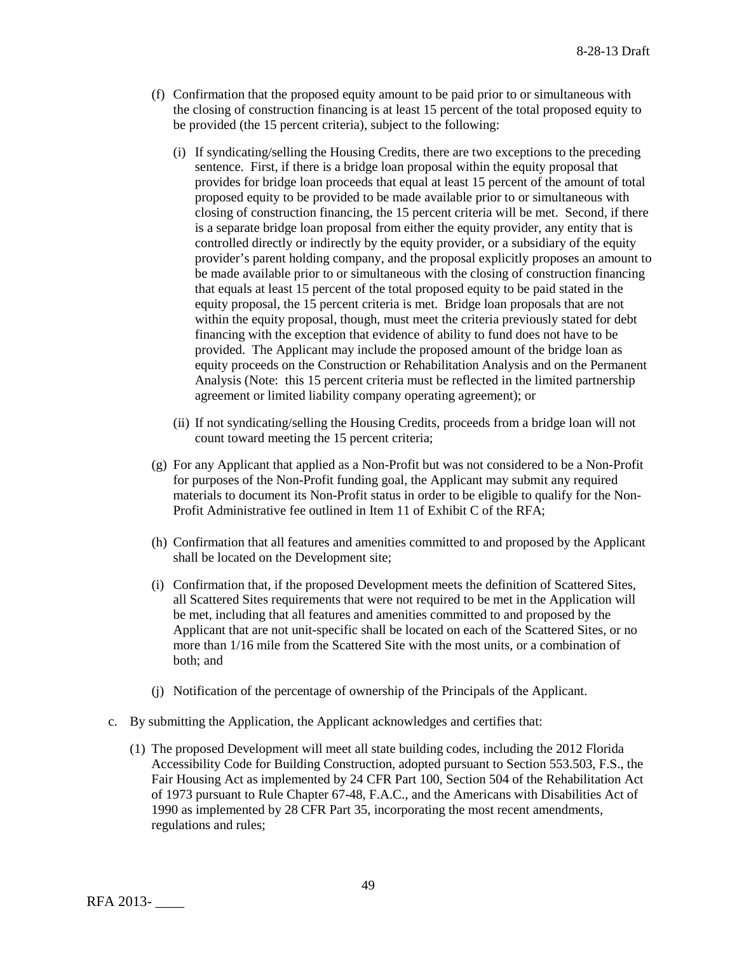- (f) Confirmation that the proposed equity amount to be paid prior to or simultaneous with the closing of construction financing is at least 15 percent of the total proposed equity to be provided (the 15 percent criteria), subject to the following:
	- (i) If syndicating/selling the Housing Credits, there are two exceptions to the preceding sentence. First, if there is a bridge loan proposal within the equity proposal that provides for bridge loan proceeds that equal at least 15 percent of the amount of total proposed equity to be provided to be made available prior to or simultaneous with closing of construction financing, the 15 percent criteria will be met. Second, if there is a separate bridge loan proposal from either the equity provider, any entity that is controlled directly or indirectly by the equity provider, or a subsidiary of the equity provider's parent holding company, and the proposal explicitly proposes an amount to be made available prior to or simultaneous with the closing of construction financing that equals at least 15 percent of the total proposed equity to be paid stated in the equity proposal, the 15 percent criteria is met. Bridge loan proposals that are not within the equity proposal, though, must meet the criteria previously stated for debt financing with the exception that evidence of ability to fund does not have to be provided. The Applicant may include the proposed amount of the bridge loan as equity proceeds on the Construction or Rehabilitation Analysis and on the Permanent Analysis (Note: this 15 percent criteria must be reflected in the limited partnership agreement or limited liability company operating agreement); or
	- (ii) If not syndicating/selling the Housing Credits, proceeds from a bridge loan will not count toward meeting the 15 percent criteria;
- (g) For any Applicant that applied as a Non-Profit but was not considered to be a Non-Profit for purposes of the Non-Profit funding goal, the Applicant may submit any required materials to document its Non-Profit status in order to be eligible to qualify for the Non-Profit Administrative fee outlined in Item 11 of Exhibit C of the RFA;
- (h) Confirmation that all features and amenities committed to and proposed by the Applicant shall be located on the Development site;
- (i) Confirmation that, if the proposed Development meets the definition of Scattered Sites, all Scattered Sites requirements that were not required to be met in the Application will be met, including that all features and amenities committed to and proposed by the Applicant that are not unit-specific shall be located on each of the Scattered Sites, or no more than 1/16 mile from the Scattered Site with the most units, or a combination of both; and
- (j) Notification of the percentage of ownership of the Principals of the Applicant.
- c. By submitting the Application, the Applicant acknowledges and certifies that:
	- (1) The proposed Development will meet all state building codes, including the 2012 Florida Accessibility Code for Building Construction, adopted pursuant to Section 553.503, F.S., the Fair Housing Act as implemented by 24 CFR Part 100, Section 504 of the Rehabilitation Act of 1973 pursuant to Rule Chapter 67-48, F.A.C., and the Americans with Disabilities Act of 1990 as implemented by 28 CFR Part 35, incorporating the most recent amendments, regulations and rules;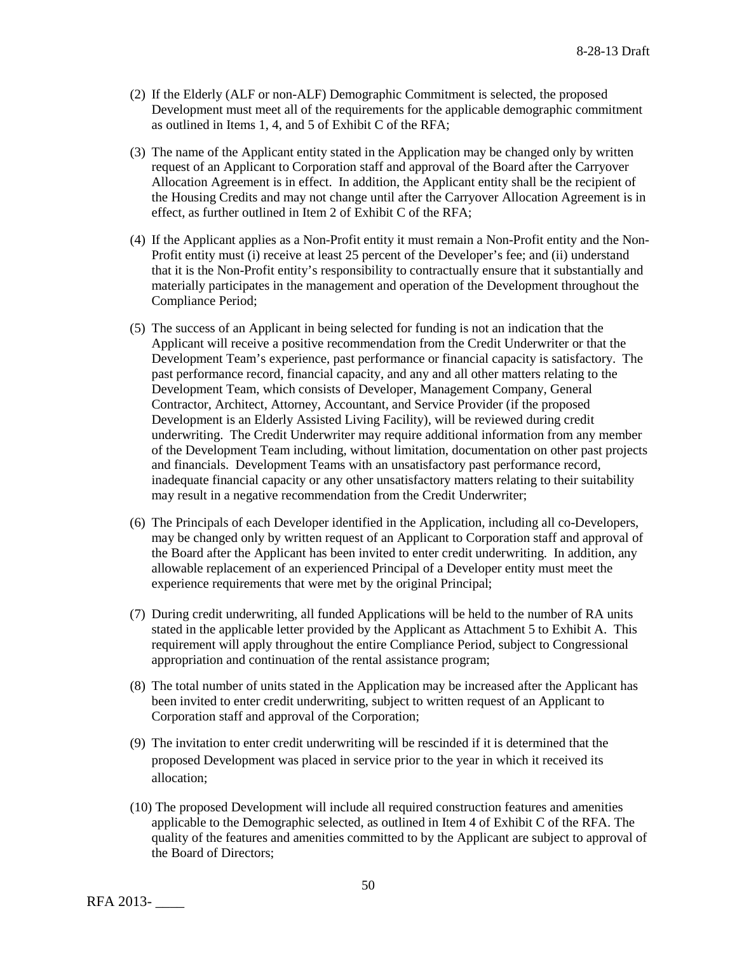- (2) If the Elderly (ALF or non-ALF) Demographic Commitment is selected, the proposed Development must meet all of the requirements for the applicable demographic commitment as outlined in Items 1, 4, and 5 of Exhibit C of the RFA;
- (3) The name of the Applicant entity stated in the Application may be changed only by written request of an Applicant to Corporation staff and approval of the Board after the Carryover Allocation Agreement is in effect. In addition, the Applicant entity shall be the recipient of the Housing Credits and may not change until after the Carryover Allocation Agreement is in effect, as further outlined in Item 2 of Exhibit C of the RFA;
- (4) If the Applicant applies as a Non-Profit entity it must remain a Non-Profit entity and the Non-Profit entity must (i) receive at least 25 percent of the Developer's fee; and (ii) understand that it is the Non-Profit entity's responsibility to contractually ensure that it substantially and materially participates in the management and operation of the Development throughout the Compliance Period;
- (5) The success of an Applicant in being selected for funding is not an indication that the Applicant will receive a positive recommendation from the Credit Underwriter or that the Development Team's experience, past performance or financial capacity is satisfactory. The past performance record, financial capacity, and any and all other matters relating to the Development Team, which consists of Developer, Management Company, General Contractor, Architect, Attorney, Accountant, and Service Provider (if the proposed Development is an Elderly Assisted Living Facility), will be reviewed during credit underwriting. The Credit Underwriter may require additional information from any member of the Development Team including, without limitation, documentation on other past projects and financials. Development Teams with an unsatisfactory past performance record, inadequate financial capacity or any other unsatisfactory matters relating to their suitability may result in a negative recommendation from the Credit Underwriter;
- (6) The Principals of each Developer identified in the Application, including all co-Developers, may be changed only by written request of an Applicant to Corporation staff and approval of the Board after the Applicant has been invited to enter credit underwriting. In addition, any allowable replacement of an experienced Principal of a Developer entity must meet the experience requirements that were met by the original Principal;
- (7) During credit underwriting, all funded Applications will be held to the number of RA units stated in the applicable letter provided by the Applicant as Attachment 5 to Exhibit A. This requirement will apply throughout the entire Compliance Period, subject to Congressional appropriation and continuation of the rental assistance program;
- (8) The total number of units stated in the Application may be increased after the Applicant has been invited to enter credit underwriting, subject to written request of an Applicant to Corporation staff and approval of the Corporation;
- (9) The invitation to enter credit underwriting will be rescinded if it is determined that the proposed Development was placed in service prior to the year in which it received its allocation;
- (10) The proposed Development will include all required construction features and amenities applicable to the Demographic selected, as outlined in Item 4 of Exhibit C of the RFA. The quality of the features and amenities committed to by the Applicant are subject to approval of the Board of Directors;

RFA 2013- \_\_\_\_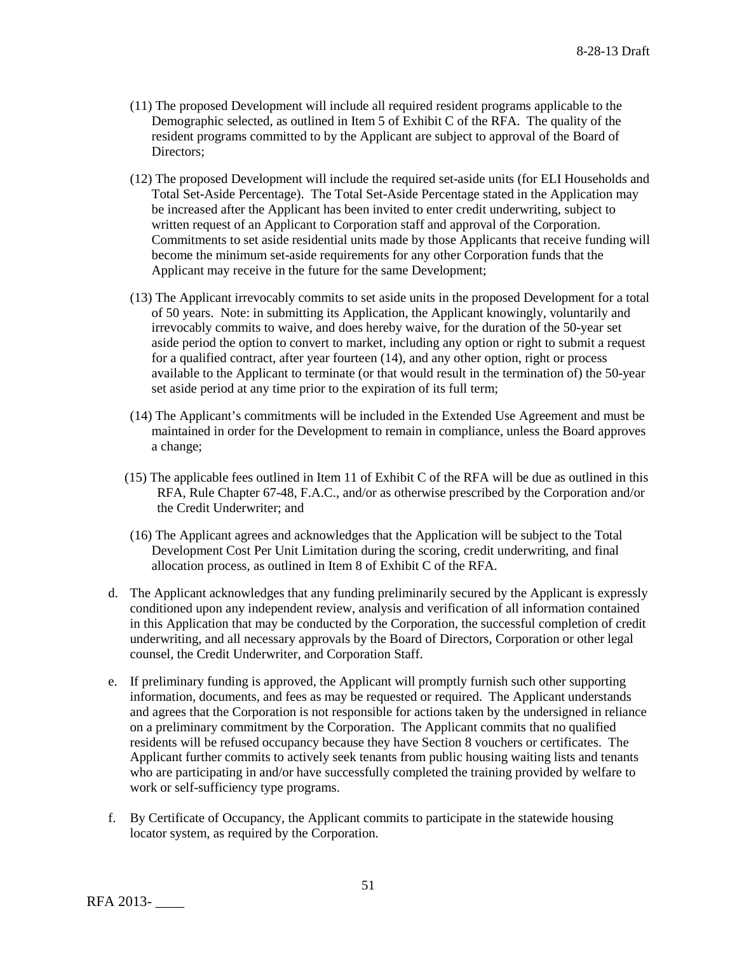- (11) The proposed Development will include all required resident programs applicable to the Demographic selected, as outlined in Item 5 of Exhibit C of the RFA. The quality of the resident programs committed to by the Applicant are subject to approval of the Board of Directors;
- (12) The proposed Development will include the required set-aside units (for ELI Households and Total Set-Aside Percentage). The Total Set-Aside Percentage stated in the Application may be increased after the Applicant has been invited to enter credit underwriting, subject to written request of an Applicant to Corporation staff and approval of the Corporation. Commitments to set aside residential units made by those Applicants that receive funding will become the minimum set-aside requirements for any other Corporation funds that the Applicant may receive in the future for the same Development;
- (13) The Applicant irrevocably commits to set aside units in the proposed Development for a total of 50 years. Note: in submitting its Application, the Applicant knowingly, voluntarily and irrevocably commits to waive, and does hereby waive, for the duration of the 50-year set aside period the option to convert to market, including any option or right to submit a request for a qualified contract, after year fourteen (14), and any other option, right or process available to the Applicant to terminate (or that would result in the termination of) the 50-year set aside period at any time prior to the expiration of its full term;
- (14) The Applicant's commitments will be included in the Extended Use Agreement and must be maintained in order for the Development to remain in compliance, unless the Board approves a change;
- (15) The applicable fees outlined in Item 11 of Exhibit C of the RFA will be due as outlined in this RFA, Rule Chapter 67-48, F.A.C., and/or as otherwise prescribed by the Corporation and/or the Credit Underwriter; and
- (16) The Applicant agrees and acknowledges that the Application will be subject to the Total Development Cost Per Unit Limitation during the scoring, credit underwriting, and final allocation process, as outlined in Item 8 of Exhibit C of the RFA.
- d. The Applicant acknowledges that any funding preliminarily secured by the Applicant is expressly conditioned upon any independent review, analysis and verification of all information contained in this Application that may be conducted by the Corporation, the successful completion of credit underwriting, and all necessary approvals by the Board of Directors, Corporation or other legal counsel, the Credit Underwriter, and Corporation Staff.
- e. If preliminary funding is approved, the Applicant will promptly furnish such other supporting information, documents, and fees as may be requested or required. The Applicant understands and agrees that the Corporation is not responsible for actions taken by the undersigned in reliance on a preliminary commitment by the Corporation. The Applicant commits that no qualified residents will be refused occupancy because they have Section 8 vouchers or certificates. The Applicant further commits to actively seek tenants from public housing waiting lists and tenants who are participating in and/or have successfully completed the training provided by welfare to work or self-sufficiency type programs.
- f. By Certificate of Occupancy, the Applicant commits to participate in the statewide housing locator system, as required by the Corporation.

RFA 2013- \_\_\_\_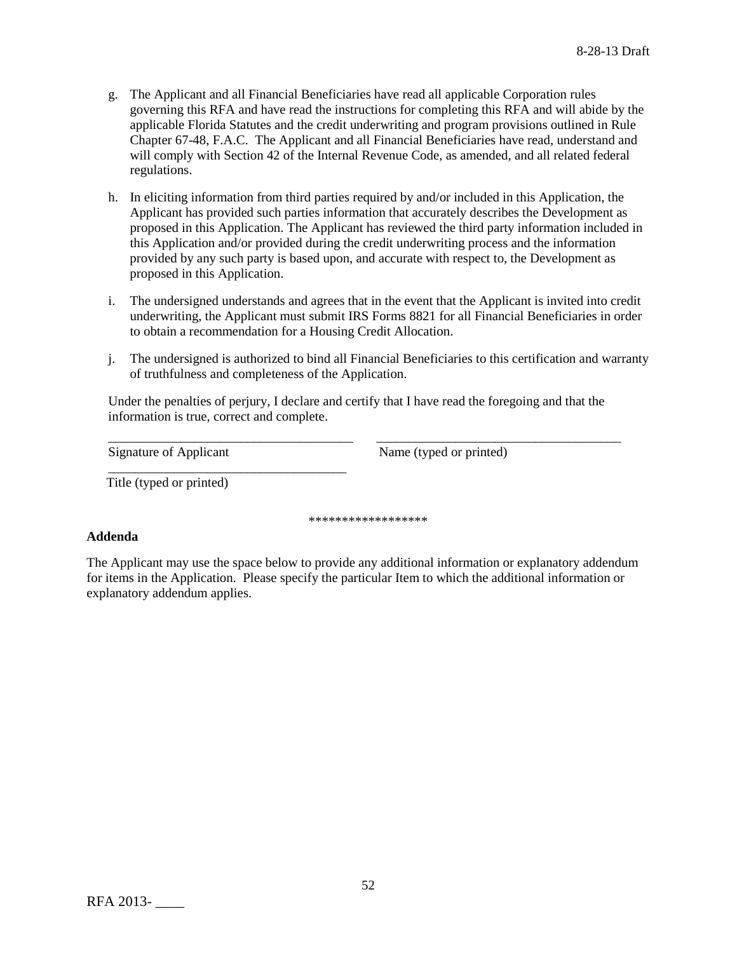- g. The Applicant and all Financial Beneficiaries have read all applicable Corporation rules governing this RFA and have read the instructions for completing this RFA and will abide by the applicable Florida Statutes and the credit underwriting and program provisions outlined in Rule Chapter 67-48, F.A.C. The Applicant and all Financial Beneficiaries have read, understand and will comply with Section 42 of the Internal Revenue Code, as amended, and all related federal regulations.
- h. In eliciting information from third parties required by and/or included in this Application, the Applicant has provided such parties information that accurately describes the Development as proposed in this Application. The Applicant has reviewed the third party information included in this Application and/or provided during the credit underwriting process and the information provided by any such party is based upon, and accurate with respect to, the Development as proposed in this Application.
- i. The undersigned understands and agrees that in the event that the Applicant is invited into credit underwriting, the Applicant must submit IRS Forms 8821 for all Financial Beneficiaries in order to obtain a recommendation for a Housing Credit Allocation.
- j. The undersigned is authorized to bind all Financial Beneficiaries to this certification and warranty of truthfulness and completeness of the Application.

Under the penalties of perjury, I declare and certify that I have read the foregoing and that the information is true, correct and complete.

\_\_\_\_\_\_\_\_\_\_\_\_\_\_\_\_\_\_\_\_\_\_\_\_\_\_\_\_\_\_\_\_\_\_\_\_\_ \_\_\_\_\_\_\_\_\_\_\_\_\_\_\_\_\_\_\_\_\_\_\_\_\_\_\_\_\_\_\_\_\_\_\_\_\_

Signature of Applicant Name (typed or printed)

Title (typed or printed)

\_\_\_\_\_\_\_\_\_\_\_\_\_\_\_\_\_\_\_\_\_\_\_\_\_\_\_\_\_\_\_\_\_\_\_\_

\*\*\*\*\*\*\*\*\*\*\*\*\*\*\*\*\*\*

## **Addenda**

The Applicant may use the space below to provide any additional information or explanatory addendum for items in the Application. Please specify the particular Item to which the additional information or explanatory addendum applies.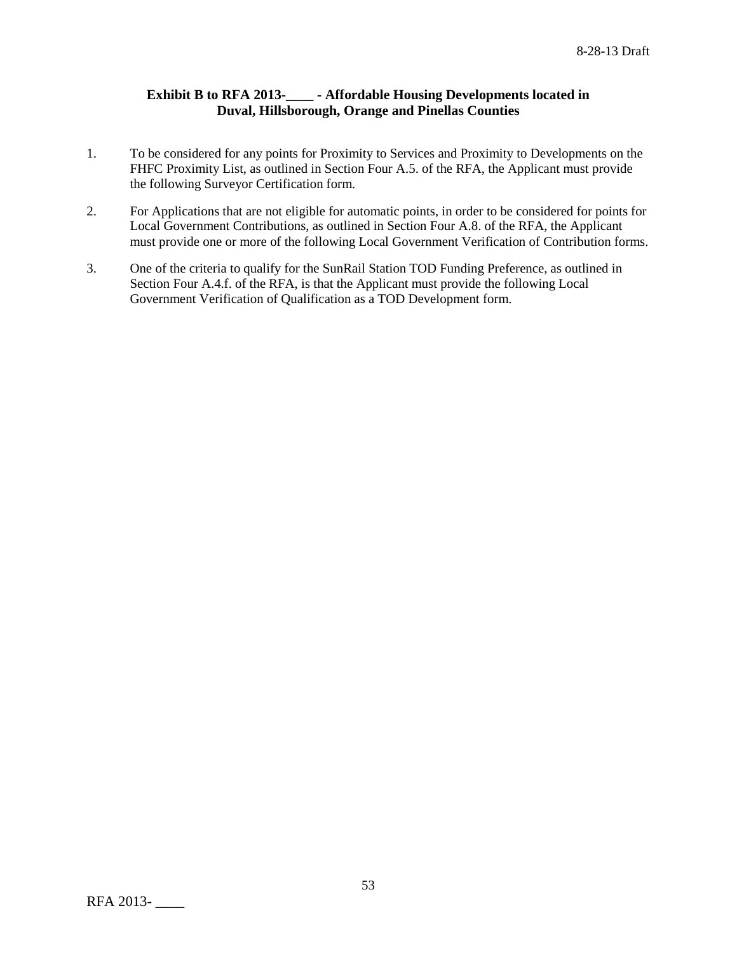# **Exhibit B to RFA 2013-\_\_\_\_ - Affordable Housing Developments located in Duval, Hillsborough, Orange and Pinellas Counties**

- 1. To be considered for any points for Proximity to Services and Proximity to Developments on the FHFC Proximity List, as outlined in Section Four A.5. of the RFA, the Applicant must provide the following Surveyor Certification form.
- 2. For Applications that are not eligible for automatic points, in order to be considered for points for Local Government Contributions, as outlined in Section Four A.8. of the RFA, the Applicant must provide one or more of the following Local Government Verification of Contribution forms.
- 3. One of the criteria to qualify for the SunRail Station TOD Funding Preference, as outlined in Section Four A.4.f. of the RFA, is that the Applicant must provide the following Local Government Verification of Qualification as a TOD Development form.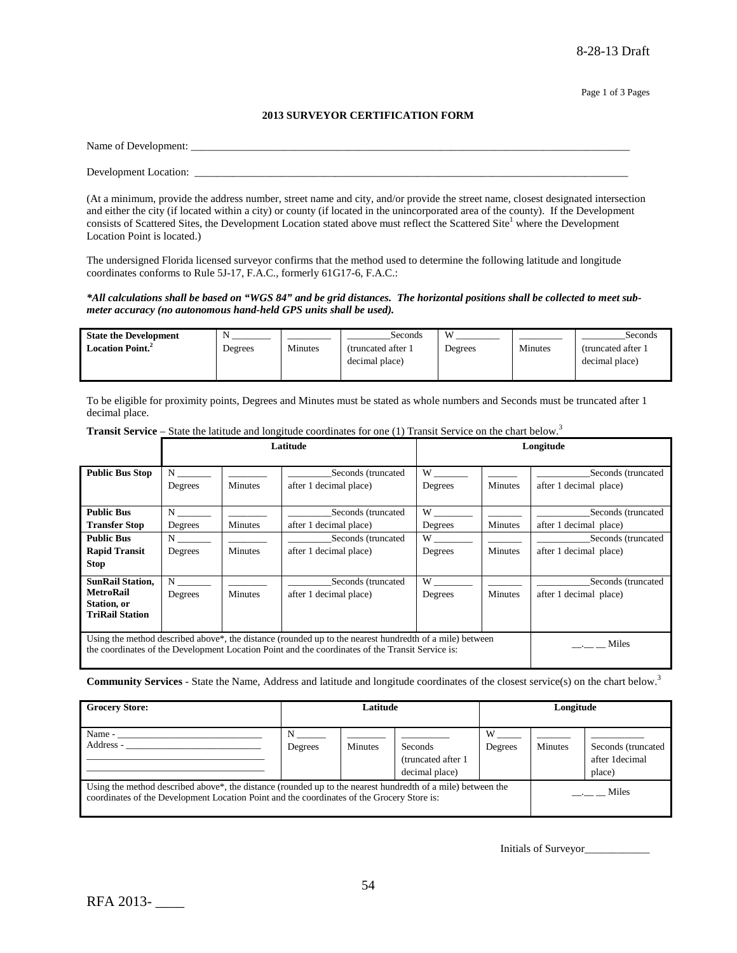#### **2013 SURVEYOR CERTIFICATION FORM**

| Name of Development:  |  |  |
|-----------------------|--|--|
|                       |  |  |
| Development Location: |  |  |

(At a minimum, provide the address number, street name and city, and/or provide the street name, closest designated intersection and either the city (if located within a city) or county (if located in the unincorporated area of the county). If the Development consists of Scattered Sites, the Development Location stated above must reflect the Scattered Site<sup>1</sup> where the Development Location Point is located.)

The undersigned Florida licensed surveyor confirms that the method used to determine the following latitude and longitude coordinates conforms to Rule 5J-17, F.A.C., formerly 61G17-6, F.A.C.:

#### *\*All calculations shall be based on "WGS 84" and be grid distances. The horizontal positions shall be collected to meet submeter accuracy (no autonomous hand-held GPS units shall be used).*

| <b>State the Development</b>        | N       |         | Seconds             | W       |         | Seconds             |
|-------------------------------------|---------|---------|---------------------|---------|---------|---------------------|
| <b>Location Point.</b> <sup>2</sup> | Degrees | Minutes | (truncated after 1) | Degrees | Minutes | (truncated after 1) |
|                                     |         |         | decimal place)      |         |         | decimal place)      |
|                                     |         |         |                     |         |         |                     |

To be eligible for proximity points, Degrees and Minutes must be stated as whole numbers and Seconds must be truncated after 1 decimal place.

|                                       |                     |                | Latitude                                                                                                                                                                                                                 |                                                                                                                                                                                                                                |                | Longitude                                    |
|---------------------------------------|---------------------|----------------|--------------------------------------------------------------------------------------------------------------------------------------------------------------------------------------------------------------------------|--------------------------------------------------------------------------------------------------------------------------------------------------------------------------------------------------------------------------------|----------------|----------------------------------------------|
| <b>Public Bus Stop</b>                | $N \sim$<br>Degrees | <b>Minutes</b> | Seconds (truncated<br>after 1 decimal place)                                                                                                                                                                             | W<br>Degrees                                                                                                                                                                                                                   | Minutes        | Seconds (truncated<br>after 1 decimal place) |
| <b>Public Bus</b>                     | $N \sim$            |                | Seconds (truncated                                                                                                                                                                                                       | W and the set of the set of the set of the set of the set of the set of the set of the set of the set of the set of the set of the set of the set of the set of the set of the set of the set of the set of the set of the set |                | Seconds (truncated                           |
| <b>Transfer Stop</b>                  | Degrees             | <b>Minutes</b> | after 1 decimal place)                                                                                                                                                                                                   | Degrees                                                                                                                                                                                                                        | Minutes        | after 1 decimal place)                       |
| <b>Public Bus</b>                     | $N \sim$            |                | Seconds (truncated                                                                                                                                                                                                       | W                                                                                                                                                                                                                              |                | Seconds (truncated                           |
| <b>Rapid Transit</b>                  | Degrees             | <b>Minutes</b> | after 1 decimal place)                                                                                                                                                                                                   | Degrees                                                                                                                                                                                                                        | Minutes        | after 1 decimal place)                       |
| <b>Stop</b>                           |                     |                |                                                                                                                                                                                                                          |                                                                                                                                                                                                                                |                |                                              |
| <b>SunRail Station,</b>               | N                   |                | Seconds (truncated                                                                                                                                                                                                       | W                                                                                                                                                                                                                              |                | Seconds (truncated                           |
| <b>MetroRail</b>                      | Degrees             | <b>Minutes</b> | after 1 decimal place)                                                                                                                                                                                                   | Degrees                                                                                                                                                                                                                        | <b>Minutes</b> | after 1 decimal place)                       |
| Station, or<br><b>TriRail Station</b> |                     |                |                                                                                                                                                                                                                          |                                                                                                                                                                                                                                |                |                                              |
|                                       |                     |                |                                                                                                                                                                                                                          |                                                                                                                                                                                                                                |                |                                              |
|                                       |                     |                | Using the method described above <sup>*</sup> , the distance (rounded up to the nearest hundredth of a mile) between<br>the coordinates of the Development Location Point and the coordinates of the Transit Service is: |                                                                                                                                                                                                                                |                | Miles                                        |

Transit Service – State the latitude and longitude coordinates for one (1) Transit Service on the chart below.<sup>3</sup>

**Community Services** - State the Name, Address and latitude and longitude coordinates of the closest service(s) on the chart below.3

| <b>Grocery Store:</b>                                                                                                                                                                                     | Latitude     |                |                                                  | Longitude    |         |                                                |
|-----------------------------------------------------------------------------------------------------------------------------------------------------------------------------------------------------------|--------------|----------------|--------------------------------------------------|--------------|---------|------------------------------------------------|
| Name -<br>Address -                                                                                                                                                                                       | N<br>Degrees | <b>Minutes</b> | Seconds<br>(truncated after 1)<br>decimal place) | W<br>Degrees | Minutes | Seconds (truncated<br>after 1decimal<br>place) |
| Using the method described above*, the distance (rounded up to the nearest hundredth of a mile) between the<br>coordinates of the Development Location Point and the coordinates of the Grocery Store is: |              |                |                                                  |              |         | $\frac{1}{2}$ Miles                            |

Initials of Surveyor\_\_\_\_\_\_\_\_\_\_\_\_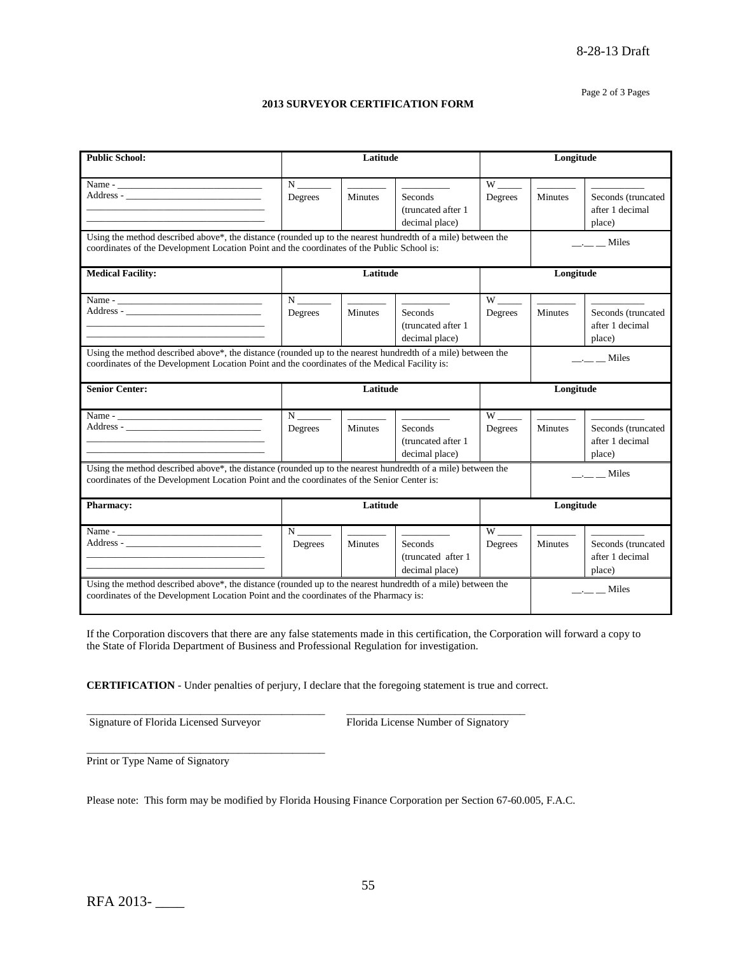#### Page 2 of 3 Pages

#### **2013 SURVEYOR CERTIFICATION FORM**

| <b>Public School:</b>                                                                                                                                                                                        | Latitude                         |                                                                                                                                                                                                                                                                                                                                                                                                                                                                                                                    |                                                                                                                                                                                                                                                                                                                                                                                                                                                                                                             | Longitude                      |                                            |                                       |
|--------------------------------------------------------------------------------------------------------------------------------------------------------------------------------------------------------------|----------------------------------|--------------------------------------------------------------------------------------------------------------------------------------------------------------------------------------------------------------------------------------------------------------------------------------------------------------------------------------------------------------------------------------------------------------------------------------------------------------------------------------------------------------------|-------------------------------------------------------------------------------------------------------------------------------------------------------------------------------------------------------------------------------------------------------------------------------------------------------------------------------------------------------------------------------------------------------------------------------------------------------------------------------------------------------------|--------------------------------|--------------------------------------------|---------------------------------------|
|                                                                                                                                                                                                              |                                  |                                                                                                                                                                                                                                                                                                                                                                                                                                                                                                                    |                                                                                                                                                                                                                                                                                                                                                                                                                                                                                                             |                                |                                            |                                       |
| Address -                                                                                                                                                                                                    | $N \sim$<br>Degrees              | $\begin{tabular}{ll} \multicolumn{2}{c} {\textbf{1}} & \multicolumn{2}{c} {\textbf{2}} & \multicolumn{2}{c} {\textbf{3}} \\ \multicolumn{2}{c} {\textbf{1}} & \multicolumn{2}{c} {\textbf{2}} & \multicolumn{2}{c} {\textbf{4}} \\ \multicolumn{2}{c} {\textbf{1}} & \multicolumn{2}{c} {\textbf{2}} & \multicolumn{2}{c} {\textbf{3}} \\ \multicolumn{2}{c} {\textbf{1}} & \multicolumn{2}{c} {\textbf{2}} & \multicolumn{2}{c} {\textbf{4}} \\ \multicolumn{2}{c} {\textbf{1}} & \multicolumn$<br><b>Minutes</b> | $\frac{1}{2} \left( \frac{1}{2} \right) \left( \frac{1}{2} \right) \left( \frac{1}{2} \right) \left( \frac{1}{2} \right) \left( \frac{1}{2} \right) \left( \frac{1}{2} \right) \left( \frac{1}{2} \right) \left( \frac{1}{2} \right) \left( \frac{1}{2} \right) \left( \frac{1}{2} \right) \left( \frac{1}{2} \right) \left( \frac{1}{2} \right) \left( \frac{1}{2} \right) \left( \frac{1}{2} \right) \left( \frac{1}{2} \right) \left( \frac{1}{2} \right) \left( \frac$<br>Seconds<br>(truncated after 1 | $W$ <sub>----</sub><br>Degrees | <b>Contract Contract</b><br><b>Minutes</b> | Seconds (truncated<br>after 1 decimal |
|                                                                                                                                                                                                              |                                  |                                                                                                                                                                                                                                                                                                                                                                                                                                                                                                                    | decimal place)                                                                                                                                                                                                                                                                                                                                                                                                                                                                                              |                                |                                            | place)                                |
| Using the method described above*, the distance (rounded up to the nearest hundredth of a mile) between the<br>coordinates of the Development Location Point and the coordinates of the Public School is:    |                                  |                                                                                                                                                                                                                                                                                                                                                                                                                                                                                                                    |                                                                                                                                                                                                                                                                                                                                                                                                                                                                                                             |                                |                                            | $\frac{1}{2}$ $\frac{1}{2}$ Miles     |
| <b>Medical Facility:</b>                                                                                                                                                                                     |                                  | Latitude                                                                                                                                                                                                                                                                                                                                                                                                                                                                                                           |                                                                                                                                                                                                                                                                                                                                                                                                                                                                                                             |                                | Longitude                                  |                                       |
|                                                                                                                                                                                                              | N                                |                                                                                                                                                                                                                                                                                                                                                                                                                                                                                                                    |                                                                                                                                                                                                                                                                                                                                                                                                                                                                                                             |                                |                                            |                                       |
|                                                                                                                                                                                                              | Degrees                          | Minutes                                                                                                                                                                                                                                                                                                                                                                                                                                                                                                            | Seconds                                                                                                                                                                                                                                                                                                                                                                                                                                                                                                     | Degrees                        | <b>Minutes</b>                             | Seconds (truncated                    |
| the control of the control of the control of the control of the control of the control of                                                                                                                    |                                  |                                                                                                                                                                                                                                                                                                                                                                                                                                                                                                                    | (truncated after 1)                                                                                                                                                                                                                                                                                                                                                                                                                                                                                         |                                |                                            | after 1 decimal                       |
|                                                                                                                                                                                                              |                                  |                                                                                                                                                                                                                                                                                                                                                                                                                                                                                                                    | decimal place)                                                                                                                                                                                                                                                                                                                                                                                                                                                                                              |                                |                                            | place)                                |
| Using the method described above*, the distance (rounded up to the nearest hundredth of a mile) between the<br>coordinates of the Development Location Point and the coordinates of the Medical Facility is: |                                  |                                                                                                                                                                                                                                                                                                                                                                                                                                                                                                                    |                                                                                                                                                                                                                                                                                                                                                                                                                                                                                                             |                                |                                            | $\frac{1}{2}$ $\frac{1}{2}$ Miles     |
| <b>Senior Center:</b>                                                                                                                                                                                        | Latitude                         |                                                                                                                                                                                                                                                                                                                                                                                                                                                                                                                    |                                                                                                                                                                                                                                                                                                                                                                                                                                                                                                             |                                |                                            |                                       |
|                                                                                                                                                                                                              |                                  |                                                                                                                                                                                                                                                                                                                                                                                                                                                                                                                    |                                                                                                                                                                                                                                                                                                                                                                                                                                                                                                             |                                | Longitude                                  |                                       |
|                                                                                                                                                                                                              |                                  | $\begin{tabular}{ccccc} \multicolumn{2}{c }{\textbf{1} & \textbf{2} & \textbf{3} & \textbf{4} & \textbf{5} & \textbf{5} & \textbf{6} & \textbf{7} & \textbf{8} & \textbf{8} & \textbf{9} & \textbf{10} & \textbf{10} & \textbf{10} & \textbf{10} & \textbf{10} & \textbf{10} & \textbf{10} & \textbf{10} & \textbf{10} & \textbf{10} & \textbf{10} & \textbf{10} & \textbf{10} & \textbf{10} & \textbf{10} & \textbf{$                                                                                             |                                                                                                                                                                                                                                                                                                                                                                                                                                                                                                             |                                |                                            |                                       |
|                                                                                                                                                                                                              | $N$ <sub>______</sub><br>Degrees | <b>Minutes</b>                                                                                                                                                                                                                                                                                                                                                                                                                                                                                                     | Seconds                                                                                                                                                                                                                                                                                                                                                                                                                                                                                                     | Degrees                        | <b>Minutes</b>                             | Seconds (truncated                    |
|                                                                                                                                                                                                              |                                  |                                                                                                                                                                                                                                                                                                                                                                                                                                                                                                                    | (truncated after 1                                                                                                                                                                                                                                                                                                                                                                                                                                                                                          |                                |                                            | after 1 decimal                       |
|                                                                                                                                                                                                              |                                  |                                                                                                                                                                                                                                                                                                                                                                                                                                                                                                                    | decimal place)                                                                                                                                                                                                                                                                                                                                                                                                                                                                                              |                                |                                            | place)                                |
| Using the method described above*, the distance (rounded up to the nearest hundredth of a mile) between the<br>coordinates of the Development Location Point and the coordinates of the Senior Center is:    |                                  |                                                                                                                                                                                                                                                                                                                                                                                                                                                                                                                    |                                                                                                                                                                                                                                                                                                                                                                                                                                                                                                             |                                |                                            | $\frac{1}{1}$ $\frac{1}{1}$ Miles     |
| <b>Pharmacy:</b>                                                                                                                                                                                             |                                  | Latitude                                                                                                                                                                                                                                                                                                                                                                                                                                                                                                           |                                                                                                                                                                                                                                                                                                                                                                                                                                                                                                             |                                | Longitude                                  |                                       |
|                                                                                                                                                                                                              | $N \underline{\hspace{2cm}}$     | $\mathcal{L}(\mathcal{L}^{\mathcal{L}})$ . The set of $\mathcal{L}^{\mathcal{L}}$                                                                                                                                                                                                                                                                                                                                                                                                                                  |                                                                                                                                                                                                                                                                                                                                                                                                                                                                                                             |                                |                                            |                                       |
|                                                                                                                                                                                                              | Degrees                          | Minutes                                                                                                                                                                                                                                                                                                                                                                                                                                                                                                            | Seconds                                                                                                                                                                                                                                                                                                                                                                                                                                                                                                     | Degrees                        | Minutes                                    | Seconds (truncated                    |
|                                                                                                                                                                                                              |                                  |                                                                                                                                                                                                                                                                                                                                                                                                                                                                                                                    | (truncated after 1)                                                                                                                                                                                                                                                                                                                                                                                                                                                                                         |                                |                                            | after 1 decimal                       |
|                                                                                                                                                                                                              |                                  |                                                                                                                                                                                                                                                                                                                                                                                                                                                                                                                    | decimal place)                                                                                                                                                                                                                                                                                                                                                                                                                                                                                              |                                |                                            | place)                                |

If the Corporation discovers that there are any false statements made in this certification, the Corporation will forward a copy to the State of Florida Department of Business and Professional Regulation for investigation.

**CERTIFICATION** - Under penalties of perjury, I declare that the foregoing statement is true and correct.

\_\_\_\_\_\_\_\_\_\_\_\_\_\_\_\_\_\_\_\_\_\_\_\_\_\_\_\_\_\_\_\_\_\_\_\_\_\_\_\_\_\_\_\_ \_\_\_\_\_\_\_\_\_\_\_\_\_\_\_\_\_\_\_\_\_\_\_\_\_\_\_\_\_\_\_\_\_

Signature of Florida Licensed Surveyor Florida License Number of Signatory

\_\_\_\_\_\_\_\_\_\_\_\_\_\_\_\_\_\_\_\_\_\_\_\_\_\_\_\_\_\_\_\_\_\_\_\_\_\_\_\_\_\_\_\_

Print or Type Name of Signatory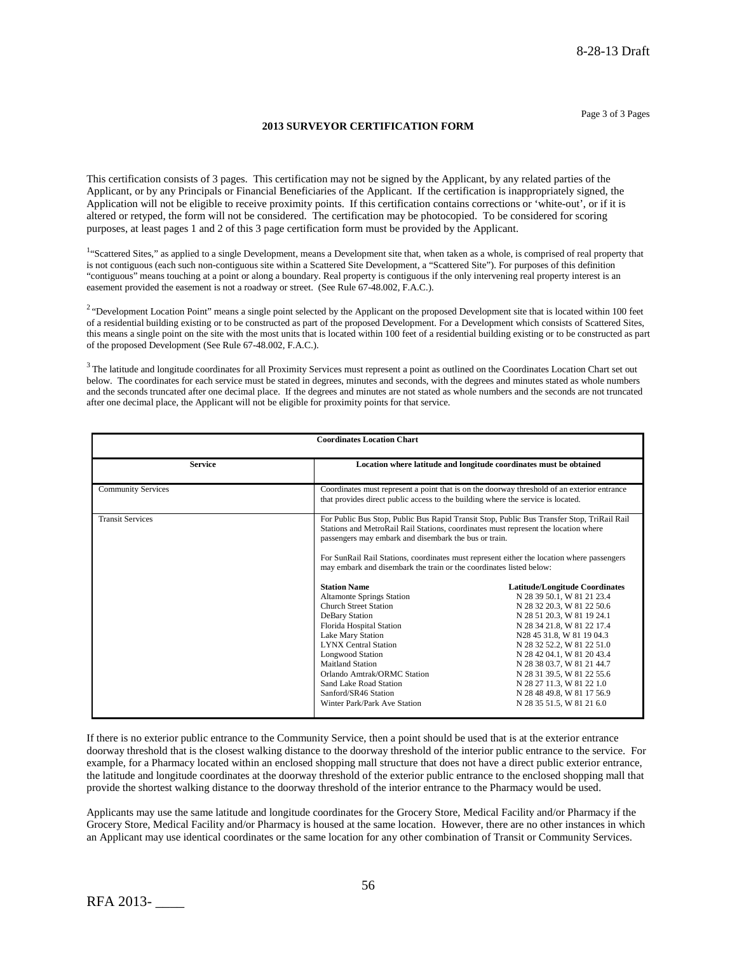#### **2013 SURVEYOR CERTIFICATION FORM**

This certification consists of 3 pages. This certification may not be signed by the Applicant, by any related parties of the Applicant, or by any Principals or Financial Beneficiaries of the Applicant. If the certification is inappropriately signed, the Application will not be eligible to receive proximity points. If this certification contains corrections or 'white-out', or if it is altered or retyped, the form will not be considered. The certification may be photocopied. To be considered for scoring purposes, at least pages 1 and 2 of this 3 page certification form must be provided by the Applicant.

<sup>1</sup>"Scattered Sites," as applied to a single Development, means a Development site that, when taken as a whole, is comprised of real property that is not contiguous (each such non-contiguous site within a Scattered Site Development, a "Scattered Site"). For purposes of this definition "contiguous" means touching at a point or along a boundary. Real property is contiguous if the only intervening real property interest is an easement provided the easement is not a roadway or street. (See Rule 67-48.002, F.A.C.).

<sup>2</sup> "Development Location Point" means a single point selected by the Applicant on the proposed Development site that is located within 100 feet of a residential building existing or to be constructed as part of the proposed Development. For a Development which consists of Scattered Sites, this means a single point on the site with the most units that is located within 100 feet of a residential building existing or to be constructed as part of the proposed Development (See Rule 67-48.002, F.A.C.).

 $3$  The latitude and longitude coordinates for all Proximity Services must represent a point as outlined on the Coordinates Location Chart set out below. The coordinates for each service must be stated in degrees, minutes and seconds, with the degrees and minutes stated as whole numbers and the seconds truncated after one decimal place. If the degrees and minutes are not stated as whole numbers and the seconds are not truncated after one decimal place, the Applicant will not be eligible for proximity points for that service.

| <b>Coordinates Location Chart</b> |                                                                                                                                                                                                                                                                                                                                                                                                                                                                                                                                                                                                                                                                                                                                                                              |                                                                                                                                                                                                                                                                                                                                                                                                            |  |  |
|-----------------------------------|------------------------------------------------------------------------------------------------------------------------------------------------------------------------------------------------------------------------------------------------------------------------------------------------------------------------------------------------------------------------------------------------------------------------------------------------------------------------------------------------------------------------------------------------------------------------------------------------------------------------------------------------------------------------------------------------------------------------------------------------------------------------------|------------------------------------------------------------------------------------------------------------------------------------------------------------------------------------------------------------------------------------------------------------------------------------------------------------------------------------------------------------------------------------------------------------|--|--|
| <b>Service</b>                    | Location where latitude and longitude coordinates must be obtained                                                                                                                                                                                                                                                                                                                                                                                                                                                                                                                                                                                                                                                                                                           |                                                                                                                                                                                                                                                                                                                                                                                                            |  |  |
| <b>Community Services</b>         | Coordinates must represent a point that is on the doorway threshold of an exterior entrance<br>that provides direct public access to the building where the service is located.                                                                                                                                                                                                                                                                                                                                                                                                                                                                                                                                                                                              |                                                                                                                                                                                                                                                                                                                                                                                                            |  |  |
| <b>Transit Services</b>           | For Public Bus Stop, Public Bus Rapid Transit Stop, Public Bus Transfer Stop, TriRail Rail<br>Stations and MetroRail Rail Stations, coordinates must represent the location where<br>passengers may embark and disembark the bus or train.<br>For SunRail Rail Stations, coordinates must represent either the location where passengers<br>may embark and disembark the train or the coordinates listed below:<br><b>Station Name</b><br><b>Altamonte Springs Station</b><br><b>Church Street Station</b><br>DeBary Station<br>Florida Hospital Station<br>Lake Mary Station<br><b>LYNX Central Station</b><br><b>Longwood Station</b><br>Maitland Station<br>Orlando Amtrak/ORMC Station<br>Sand Lake Road Station<br>Sanford/SR46 Station<br>Winter Park/Park Ave Station | <b>Latitude/Longitude Coordinates</b><br>N 28 39 50.1, W 81 21 23.4<br>N 28 32 20.3, W 81 22 50.6<br>N 28 51 20.3, W 81 19 24.1<br>N 28 34 21.8, W 81 22 17.4<br>N28 45 31.8, W 81 19 04.3<br>N 28 32 52.2, W 81 22 51.0<br>N 28 42 04.1, W 81 20 43.4<br>N 28 38 03.7, W 81 21 44.7<br>N 28 31 39.5, W 81 22 55.6<br>N 28 27 11.3, W 81 22 1.0<br>N 28 48 49.8, W 81 17 56.9<br>N 28 35 51.5, W 81 21 6.0 |  |  |

If there is no exterior public entrance to the Community Service, then a point should be used that is at the exterior entrance doorway threshold that is the closest walking distance to the doorway threshold of the interior public entrance to the service. For example, for a Pharmacy located within an enclosed shopping mall structure that does not have a direct public exterior entrance, the latitude and longitude coordinates at the doorway threshold of the exterior public entrance to the enclosed shopping mall that provide the shortest walking distance to the doorway threshold of the interior entrance to the Pharmacy would be used.

Applicants may use the same latitude and longitude coordinates for the Grocery Store, Medical Facility and/or Pharmacy if the Grocery Store, Medical Facility and/or Pharmacy is housed at the same location. However, there are no other instances in which an Applicant may use identical coordinates or the same location for any other combination of Transit or Community Services.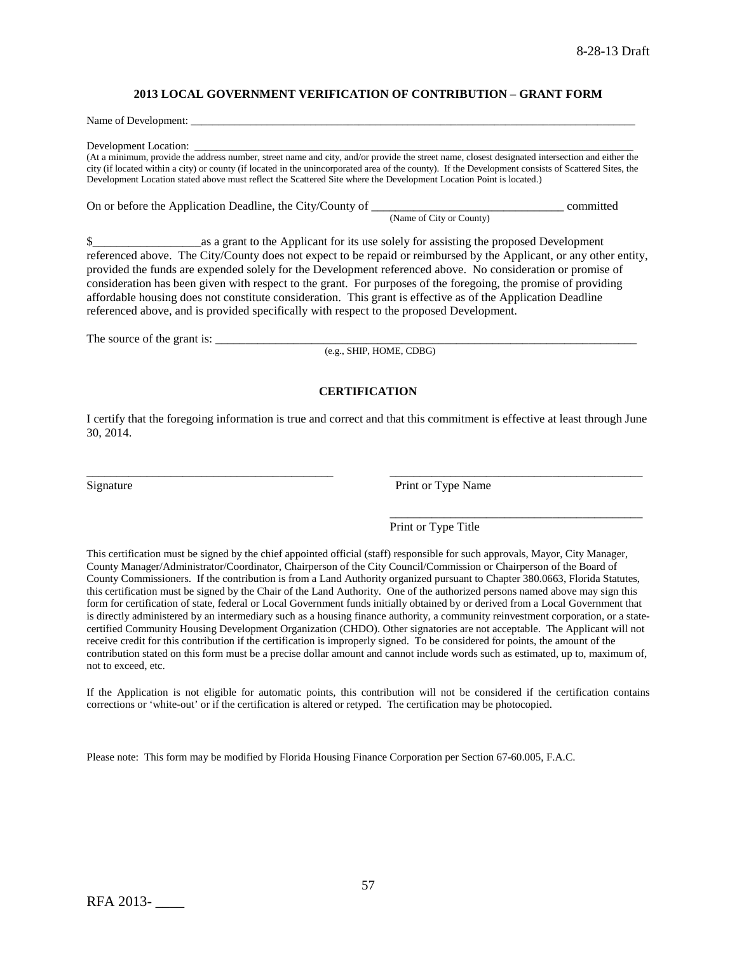### **2013 LOCAL GOVERNMENT VERIFICATION OF CONTRIBUTION – GRANT FORM**

Name of Development:

Development Location:

(At a minimum, provide the address number, street name and city, and/or provide the street name, closest designated intersection and either the city (if located within a city) or county (if located in the unincorporated area of the county). If the Development consists of Scattered Sites, the Development Location stated above must reflect the Scattered Site where the Development Location Point is located.)

On or before the Application Deadline, the City/County of \_\_\_\_\_\_\_\_\_\_\_\_\_\_\_\_\_\_\_\_\_\_\_\_\_\_\_\_\_\_\_\_ committed (Name of City or County)

\$\_\_\_\_\_\_\_\_\_\_\_\_\_\_\_\_\_\_as a grant to the Applicant for its use solely for assisting the proposed Development referenced above. The City/County does not expect to be repaid or reimbursed by the Applicant, or any other entity, provided the funds are expended solely for the Development referenced above. No consideration or promise of consideration has been given with respect to the grant. For purposes of the foregoing, the promise of providing affordable housing does not constitute consideration. This grant is effective as of the Application Deadline referenced above, and is provided specifically with respect to the proposed Development.

The source of the grant is: \_\_\_\_\_\_\_\_\_\_\_\_\_\_\_\_\_\_\_\_\_\_\_\_\_\_\_\_\_\_\_\_\_\_\_\_\_\_\_\_\_\_\_\_\_\_\_\_\_\_\_\_\_\_\_\_\_\_\_\_\_\_\_\_\_\_\_\_\_\_

(e.g., SHIP, HOME, CDBG)

## **CERTIFICATION**

I certify that the foregoing information is true and correct and that this commitment is effective at least through June 30, 2014.

\_\_\_\_\_\_\_\_\_\_\_\_\_\_\_\_\_\_\_\_\_\_\_\_\_\_\_\_\_\_\_\_\_\_\_\_\_\_\_\_\_ \_\_\_\_\_\_\_\_\_\_\_\_\_\_\_\_\_\_\_\_\_\_\_\_\_\_\_\_\_\_\_\_\_\_\_\_\_\_\_\_\_\_

Signature Print or Type Name

\_\_\_\_\_\_\_\_\_\_\_\_\_\_\_\_\_\_\_\_\_\_\_\_\_\_\_\_\_\_\_\_\_\_\_\_\_\_\_\_\_\_

## Print or Type Title

This certification must be signed by the chief appointed official (staff) responsible for such approvals, Mayor, City Manager, County Manager/Administrator/Coordinator, Chairperson of the City Council/Commission or Chairperson of the Board of County Commissioners. If the contribution is from a Land Authority organized pursuant to Chapter 380.0663, Florida Statutes, this certification must be signed by the Chair of the Land Authority. One of the authorized persons named above may sign this form for certification of state, federal or Local Government funds initially obtained by or derived from a Local Government that is directly administered by an intermediary such as a housing finance authority, a community reinvestment corporation, or a statecertified Community Housing Development Organization (CHDO). Other signatories are not acceptable. The Applicant will not receive credit for this contribution if the certification is improperly signed. To be considered for points, the amount of the contribution stated on this form must be a precise dollar amount and cannot include words such as estimated, up to, maximum of, not to exceed, etc.

If the Application is not eligible for automatic points, this contribution will not be considered if the certification contains corrections or 'white-out' or if the certification is altered or retyped. The certification may be photocopied.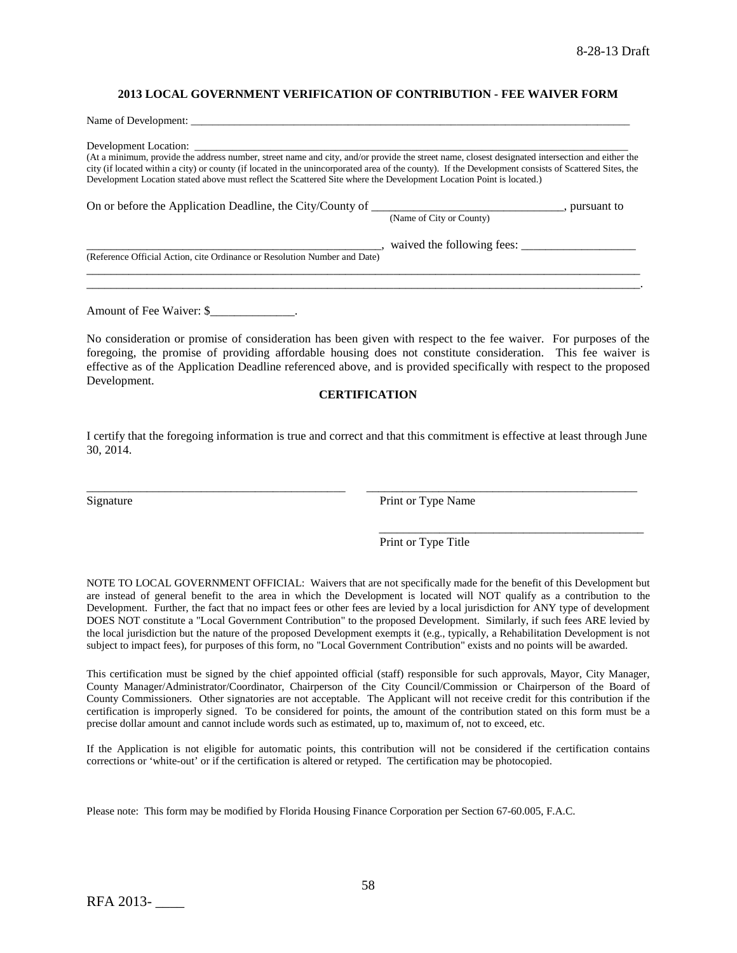### **2013 LOCAL GOVERNMENT VERIFICATION OF CONTRIBUTION - FEE WAIVER FORM**

| Name of Development:                                                                                                                                                                                                                                                                                                                                                                                                           |                              |
|--------------------------------------------------------------------------------------------------------------------------------------------------------------------------------------------------------------------------------------------------------------------------------------------------------------------------------------------------------------------------------------------------------------------------------|------------------------------|
| (At a minimum, provide the address number, street name and city, and/or provide the street name, closest designated intersection and either the<br>city (if located within a city) or county (if located in the unincorporated area of the county). If the Development consists of Scattered Sites, the<br>Development Location stated above must reflect the Scattered Site where the Development Location Point is located.) |                              |
|                                                                                                                                                                                                                                                                                                                                                                                                                                | (Name of City or County)     |
| (Reference Official Action, cite Ordinance or Resolution Number and Date)                                                                                                                                                                                                                                                                                                                                                      | , waived the following fees: |
|                                                                                                                                                                                                                                                                                                                                                                                                                                |                              |

Amount of Fee Waiver: \$

No consideration or promise of consideration has been given with respect to the fee waiver. For purposes of the foregoing, the promise of providing affordable housing does not constitute consideration. This fee waiver is effective as of the Application Deadline referenced above, and is provided specifically with respect to the proposed Development.

#### **CERTIFICATION**

I certify that the foregoing information is true and correct and that this commitment is effective at least through June 30, 2014.

\_\_\_\_\_\_\_\_\_\_\_\_\_\_\_\_\_\_\_\_\_\_\_\_\_\_\_\_\_\_\_\_\_\_\_\_\_\_\_\_\_\_\_ \_\_\_\_\_\_\_\_\_\_\_\_\_\_\_\_\_\_\_\_\_\_\_\_\_\_\_\_\_\_\_\_\_\_\_\_\_\_\_\_\_\_\_\_\_

Signature Print or Type Name

Print or Type Title

\_\_\_\_\_\_\_\_\_\_\_\_\_\_\_\_\_\_\_\_\_\_\_\_\_\_\_\_\_\_\_\_\_\_\_\_\_\_\_\_\_\_\_\_

NOTE TO LOCAL GOVERNMENT OFFICIAL: Waivers that are not specifically made for the benefit of this Development but are instead of general benefit to the area in which the Development is located will NOT qualify as a contribution to the Development. Further, the fact that no impact fees or other fees are levied by a local jurisdiction for ANY type of development DOES NOT constitute a "Local Government Contribution" to the proposed Development. Similarly, if such fees ARE levied by the local jurisdiction but the nature of the proposed Development exempts it (e.g., typically, a Rehabilitation Development is not subject to impact fees), for purposes of this form, no "Local Government Contribution" exists and no points will be awarded.

This certification must be signed by the chief appointed official (staff) responsible for such approvals, Mayor, City Manager, County Manager/Administrator/Coordinator, Chairperson of the City Council/Commission or Chairperson of the Board of County Commissioners. Other signatories are not acceptable. The Applicant will not receive credit for this contribution if the certification is improperly signed. To be considered for points, the amount of the contribution stated on this form must be a precise dollar amount and cannot include words such as estimated, up to, maximum of, not to exceed, etc.

If the Application is not eligible for automatic points, this contribution will not be considered if the certification contains corrections or 'white-out' or if the certification is altered or retyped. The certification may be photocopied.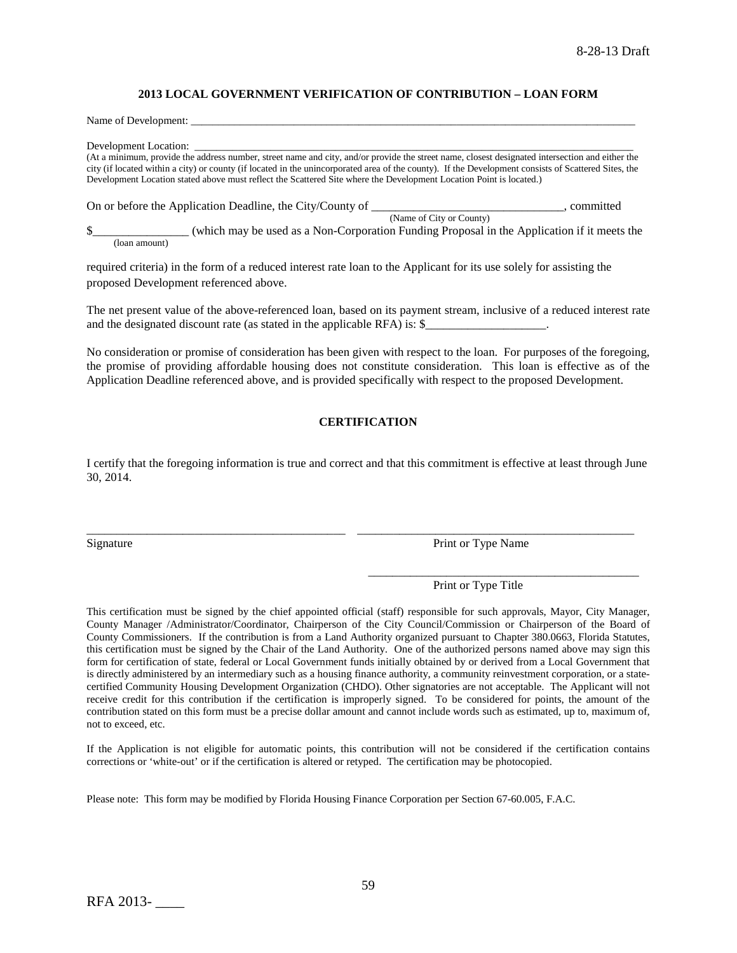### **2013 LOCAL GOVERNMENT VERIFICATION OF CONTRIBUTION – LOAN FORM**

Name of Development:

Development Location:

(At a minimum, provide the address number, street name and city, and/or provide the street name, closest designated intersection and either the city (if located within a city) or county (if located in the unincorporated area of the county). If the Development consists of Scattered Sites, the Development Location stated above must reflect the Scattered Site where the Development Location Point is located.)

On or before the Application Deadline, the City/County of \_\_\_\_\_\_\_\_\_\_\_\_\_\_\_\_\_\_\_\_\_\_, committed (Name of City or County) \$\_\_\_\_\_\_\_\_\_\_\_\_\_\_\_\_ (which may be used as a Non-Corporation Funding Proposal in the Application if it meets the

(loan amount)

required criteria) in the form of a reduced interest rate loan to the Applicant for its use solely for assisting the proposed Development referenced above.

The net present value of the above-referenced loan, based on its payment stream, inclusive of a reduced interest rate and the designated discount rate (as stated in the applicable RFA) is: \$\_\_\_\_\_\_\_\_\_\_\_\_\_\_\_\_\_\_\_\_.

No consideration or promise of consideration has been given with respect to the loan. For purposes of the foregoing, the promise of providing affordable housing does not constitute consideration. This loan is effective as of the Application Deadline referenced above, and is provided specifically with respect to the proposed Development.

### **CERTIFICATION**

I certify that the foregoing information is true and correct and that this commitment is effective at least through June 30, 2014.

\_\_\_\_\_\_\_\_\_\_\_\_\_\_\_\_\_\_\_\_\_\_\_\_\_\_\_\_\_\_\_\_\_\_\_\_\_\_\_\_\_\_\_ \_\_\_\_\_\_\_\_\_\_\_\_\_\_\_\_\_\_\_\_\_\_\_\_\_\_\_\_\_\_\_\_\_\_\_\_\_\_\_\_\_\_\_\_\_\_

Signature Print or Type Name

Print or Type Title

\_\_\_\_\_\_\_\_\_\_\_\_\_\_\_\_\_\_\_\_\_\_\_\_\_\_\_\_\_\_\_\_\_\_\_\_\_\_\_\_\_\_\_\_\_

This certification must be signed by the chief appointed official (staff) responsible for such approvals, Mayor, City Manager, County Manager /Administrator/Coordinator, Chairperson of the City Council/Commission or Chairperson of the Board of County Commissioners. If the contribution is from a Land Authority organized pursuant to Chapter 380.0663, Florida Statutes, this certification must be signed by the Chair of the Land Authority. One of the authorized persons named above may sign this form for certification of state, federal or Local Government funds initially obtained by or derived from a Local Government that is directly administered by an intermediary such as a housing finance authority, a community reinvestment corporation, or a statecertified Community Housing Development Organization (CHDO). Other signatories are not acceptable. The Applicant will not receive credit for this contribution if the certification is improperly signed. To be considered for points, the amount of the contribution stated on this form must be a precise dollar amount and cannot include words such as estimated, up to, maximum of, not to exceed, etc.

If the Application is not eligible for automatic points, this contribution will not be considered if the certification contains corrections or 'white-out' or if the certification is altered or retyped. The certification may be photocopied.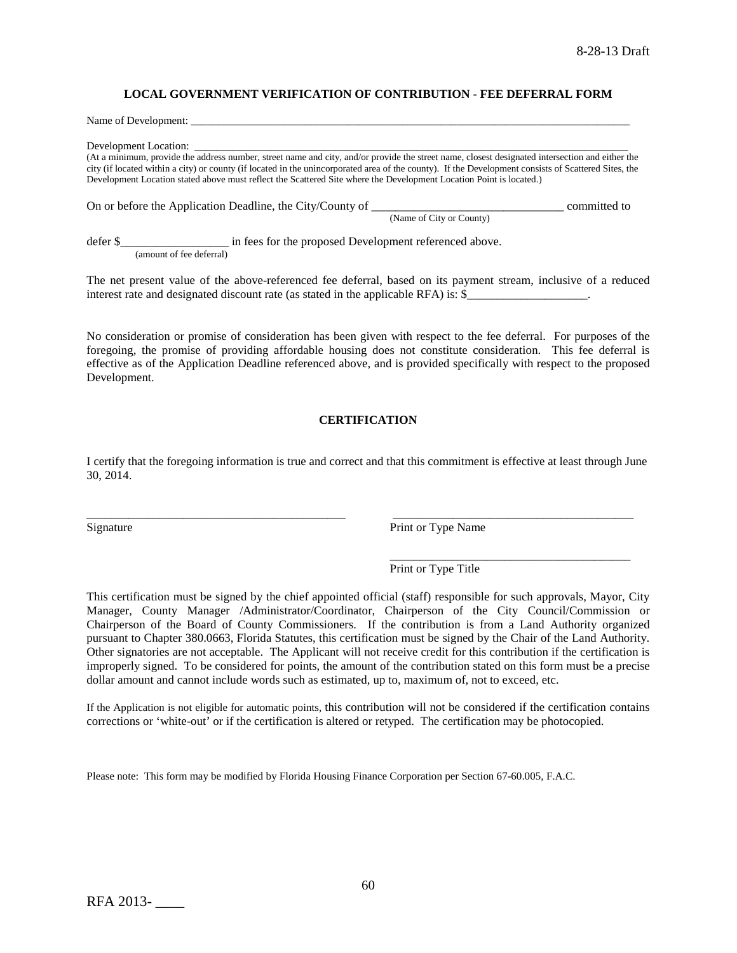### **LOCAL GOVERNMENT VERIFICATION OF CONTRIBUTION - FEE DEFERRAL FORM**

Name of Development:

Development Location:

(At a minimum, provide the address number, street name and city, and/or provide the street name, closest designated intersection and either the city (if located within a city) or county (if located in the unincorporated area of the county). If the Development consists of Scattered Sites, the Development Location stated above must reflect the Scattered Site where the Development Location Point is located.)

On or before the Application Deadline, the City/County of \_\_\_\_\_\_\_\_\_\_\_\_\_\_\_\_\_\_\_\_\_\_\_\_\_\_\_\_\_\_\_\_ committed to (Name of City or County)

defer \$\_\_\_\_\_\_\_\_\_\_\_\_\_\_\_\_\_\_\_\_\_\_ in fees for the proposed Development referenced above. (amount of fee deferral)

The net present value of the above-referenced fee deferral, based on its payment stream, inclusive of a reduced interest rate and designated discount rate (as stated in the applicable RFA) is: \$

No consideration or promise of consideration has been given with respect to the fee deferral. For purposes of the foregoing, the promise of providing affordable housing does not constitute consideration. This fee deferral is effective as of the Application Deadline referenced above, and is provided specifically with respect to the proposed Development.

### **CERTIFICATION**

I certify that the foregoing information is true and correct and that this commitment is effective at least through June 30, 2014.

\_\_\_\_\_\_\_\_\_\_\_\_\_\_\_\_\_\_\_\_\_\_\_\_\_\_\_\_\_\_\_\_\_\_\_\_\_\_\_\_\_\_\_ \_\_\_\_\_\_\_\_\_\_\_\_\_\_\_\_\_\_\_\_\_\_\_\_\_\_\_\_\_\_\_\_\_\_\_\_\_\_\_\_

Signature Print or Type Name

\_\_\_\_\_\_\_\_\_\_\_\_\_\_\_\_\_\_\_\_\_\_\_\_\_\_\_\_\_\_\_\_\_\_\_\_\_\_\_\_ Print or Type Title

This certification must be signed by the chief appointed official (staff) responsible for such approvals, Mayor, City Manager, County Manager /Administrator/Coordinator, Chairperson of the City Council/Commission or Chairperson of the Board of County Commissioners. If the contribution is from a Land Authority organized pursuant to Chapter 380.0663, Florida Statutes, this certification must be signed by the Chair of the Land Authority. Other signatories are not acceptable. The Applicant will not receive credit for this contribution if the certification is improperly signed. To be considered for points, the amount of the contribution stated on this form must be a precise dollar amount and cannot include words such as estimated, up to, maximum of, not to exceed, etc.

If the Application is not eligible for automatic points, this contribution will not be considered if the certification contains corrections or 'white-out' or if the certification is altered or retyped. The certification may be photocopied.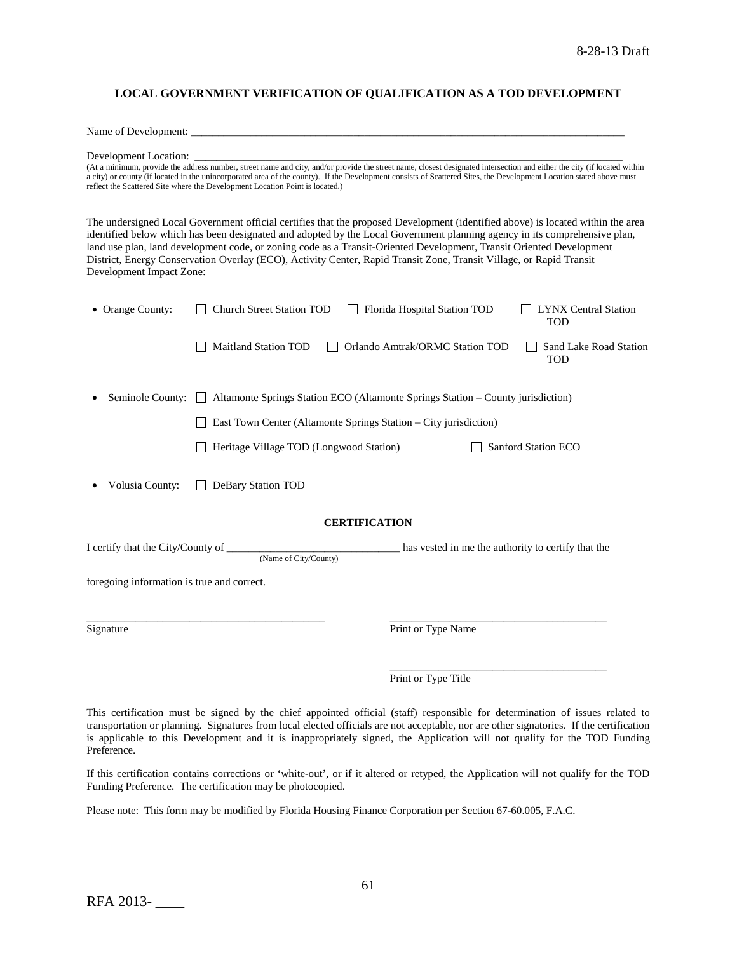### **LOCAL GOVERNMENT VERIFICATION OF QUALIFICATION AS A TOD DEVELOPMENT**

Name of Development:

Development Location: \_\_\_\_\_\_\_\_\_\_\_\_\_\_\_\_\_\_\_\_\_\_\_\_\_\_\_\_\_\_\_\_\_\_\_\_\_\_\_\_\_\_\_\_\_\_\_\_\_\_\_\_\_\_\_\_\_\_\_\_\_\_\_\_\_\_\_\_\_\_\_\_\_\_\_\_\_\_\_

(At a minimum, provide the address number, street name and city, and/or provide the street name, closest designated intersection and either the city (if located within a city) or county (if located in the unincorporated area of the county). If the Development consists of Scattered Sites, the Development Location stated above must reflect the Scattered Site where the Development Location Point is located.)

The undersigned Local Government official certifies that the proposed Development (identified above) is located within the area identified below which has been designated and adopted by the Local Government planning agency in its comprehensive plan, land use plan, land development code, or zoning code as a Transit-Oriented Development, Transit Oriented Development District, Energy Conservation Overlay (ECO), Activity Center, Rapid Transit Zone, Transit Village, or Rapid Transit Development Impact Zone:

| • Orange County:                           | Church Street Station TOD<br>$\mathbf{1}$                                                  | Florida Hospital Station TOD    | <b>LYNX Central Station</b><br><b>TOD</b> |
|--------------------------------------------|--------------------------------------------------------------------------------------------|---------------------------------|-------------------------------------------|
|                                            | <b>Maitland Station TOD</b>                                                                | Orlando Amtrak/ORMC Station TOD | Sand Lake Road Station<br><b>TOD</b>      |
| Seminole County:                           | Altamonte Springs Station ECO (Altamonte Springs Station - County jurisdiction)<br>$\perp$ |                                 |                                           |
|                                            | East Town Center (Altamonte Springs Station – City jurisdiction)                           |                                 |                                           |
|                                            | Heritage Village TOD (Longwood Station)                                                    |                                 | Sanford Station ECO                       |
| Volusia County:                            | DeBary Station TOD                                                                         |                                 |                                           |
|                                            | <b>CERTIFICATION</b>                                                                       |                                 |                                           |
|                                            | (Name of City/County)                                                                      |                                 |                                           |
| foregoing information is true and correct. |                                                                                            |                                 |                                           |
| Signature                                  |                                                                                            | Print or Type Name              |                                           |
|                                            |                                                                                            |                                 |                                           |
|                                            |                                                                                            | Print or Type Title             |                                           |

This certification must be signed by the chief appointed official (staff) responsible for determination of issues related to transportation or planning. Signatures from local elected officials are not acceptable, nor are other signatories. If the certification is applicable to this Development and it is inappropriately signed, the Application will not qualify for the TOD Funding Preference.

If this certification contains corrections or 'white-out', or if it altered or retyped, the Application will not qualify for the TOD Funding Preference. The certification may be photocopied.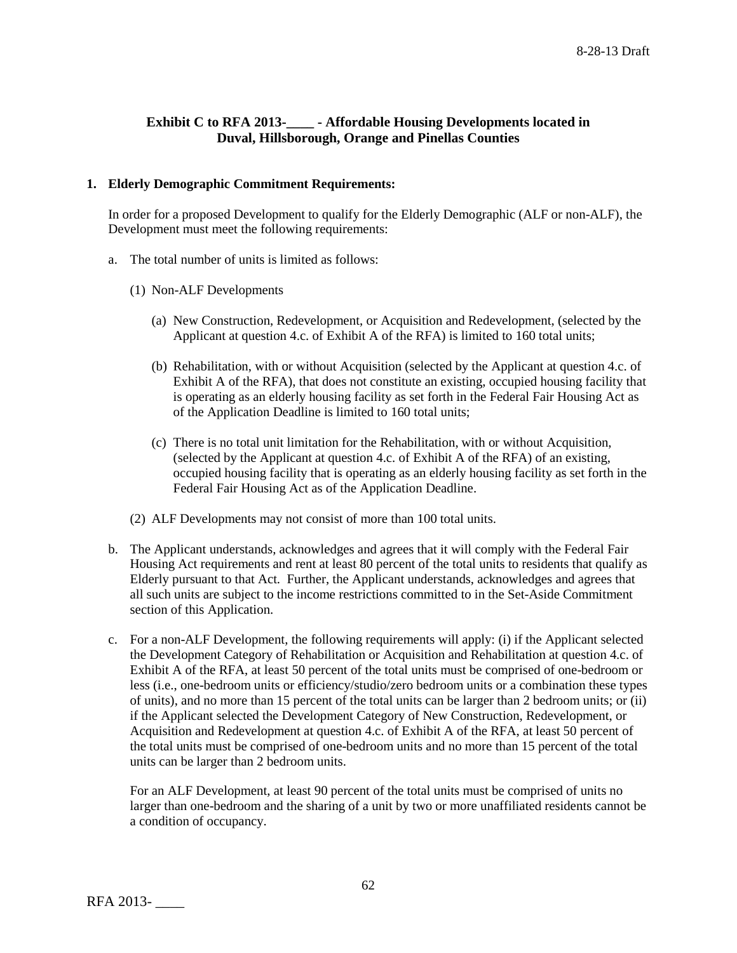# **Exhibit C to RFA 2013-\_\_\_\_ - Affordable Housing Developments located in Duval, Hillsborough, Orange and Pinellas Counties**

## **1. Elderly Demographic Commitment Requirements:**

In order for a proposed Development to qualify for the Elderly Demographic (ALF or non-ALF), the Development must meet the following requirements:

- a. The total number of units is limited as follows:
	- (1) Non-ALF Developments
		- (a) New Construction, Redevelopment, or Acquisition and Redevelopment, (selected by the Applicant at question 4.c. of Exhibit A of the RFA) is limited to 160 total units;
		- (b) Rehabilitation, with or without Acquisition (selected by the Applicant at question 4.c. of Exhibit A of the RFA), that does not constitute an existing, occupied housing facility that is operating as an elderly housing facility as set forth in the Federal Fair Housing Act as of the Application Deadline is limited to 160 total units;
		- (c) There is no total unit limitation for the Rehabilitation, with or without Acquisition, (selected by the Applicant at question 4.c. of Exhibit A of the RFA) of an existing, occupied housing facility that is operating as an elderly housing facility as set forth in the Federal Fair Housing Act as of the Application Deadline.
	- (2) ALF Developments may not consist of more than 100 total units.
- b. The Applicant understands, acknowledges and agrees that it will comply with the Federal Fair Housing Act requirements and rent at least 80 percent of the total units to residents that qualify as Elderly pursuant to that Act. Further, the Applicant understands, acknowledges and agrees that all such units are subject to the income restrictions committed to in the Set-Aside Commitment section of this Application.
- c. For a non-ALF Development, the following requirements will apply: (i) if the Applicant selected the Development Category of Rehabilitation or Acquisition and Rehabilitation at question 4.c. of Exhibit A of the RFA, at least 50 percent of the total units must be comprised of one-bedroom or less (i.e., one-bedroom units or efficiency/studio/zero bedroom units or a combination these types of units), and no more than 15 percent of the total units can be larger than 2 bedroom units; or (ii) if the Applicant selected the Development Category of New Construction, Redevelopment, or Acquisition and Redevelopment at question 4.c. of Exhibit A of the RFA, at least 50 percent of the total units must be comprised of one-bedroom units and no more than 15 percent of the total units can be larger than 2 bedroom units.

For an ALF Development, at least 90 percent of the total units must be comprised of units no larger than one-bedroom and the sharing of a unit by two or more unaffiliated residents cannot be a condition of occupancy.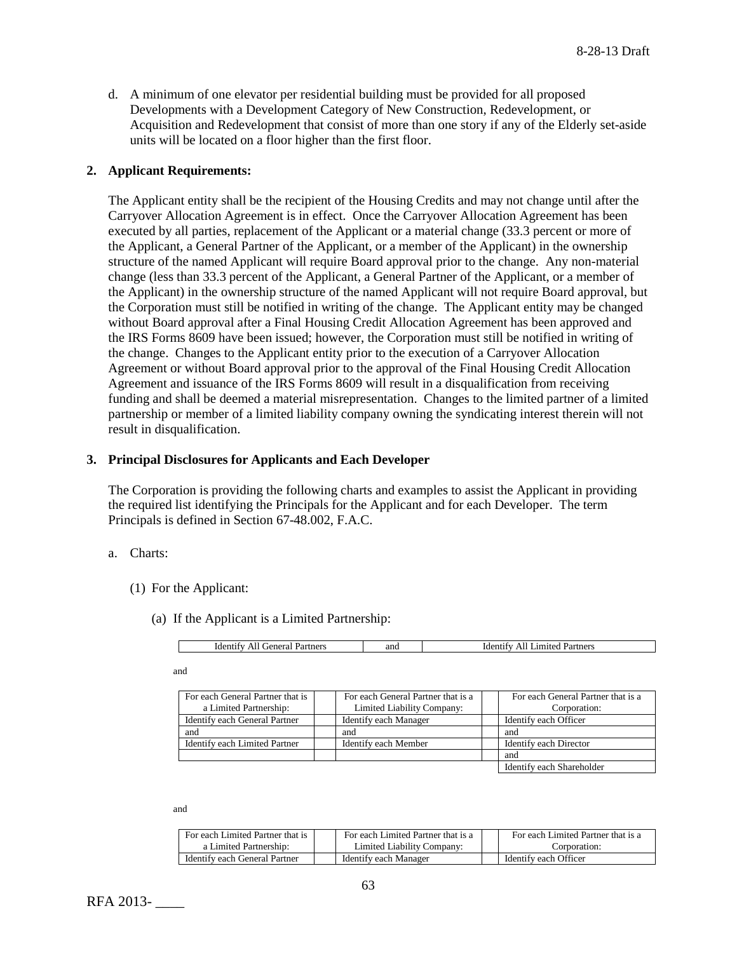d. A minimum of one elevator per residential building must be provided for all proposed Developments with a Development Category of New Construction, Redevelopment, or Acquisition and Redevelopment that consist of more than one story if any of the Elderly set-aside units will be located on a floor higher than the first floor.

## **2. Applicant Requirements:**

The Applicant entity shall be the recipient of the Housing Credits and may not change until after the Carryover Allocation Agreement is in effect. Once the Carryover Allocation Agreement has been executed by all parties, replacement of the Applicant or a material change (33.3 percent or more of the Applicant, a General Partner of the Applicant, or a member of the Applicant) in the ownership structure of the named Applicant will require Board approval prior to the change. Any non-material change (less than 33.3 percent of the Applicant, a General Partner of the Applicant, or a member of the Applicant) in the ownership structure of the named Applicant will not require Board approval, but the Corporation must still be notified in writing of the change. The Applicant entity may be changed without Board approval after a Final Housing Credit Allocation Agreement has been approved and the IRS Forms 8609 have been issued; however, the Corporation must still be notified in writing of the change. Changes to the Applicant entity prior to the execution of a Carryover Allocation Agreement or without Board approval prior to the approval of the Final Housing Credit Allocation Agreement and issuance of the IRS Forms 8609 will result in a disqualification from receiving funding and shall be deemed a material misrepresentation. Changes to the limited partner of a limited partnership or member of a limited liability company owning the syndicating interest therein will not result in disqualification.

## **3. Principal Disclosures for Applicants and Each Developer**

The Corporation is providing the following charts and examples to assist the Applicant in providing the required list identifying the Principals for the Applicant and for each Developer. The term Principals is defined in Section 67-48.002, F.A.C.

- a. Charts:
	- (1) For the Applicant:
		- (a) If the Applicant is a Limited Partnership:

| artners<br>Partners<br>2n<br>0.480<br>- Ider<br>$\sim$<br>"der"<br>۰۴۵۰<br>IJ c<br>11<br>21 I U<br>тенетан<br>- 1<br>anu<br>- 11 |
|----------------------------------------------------------------------------------------------------------------------------------|
|----------------------------------------------------------------------------------------------------------------------------------|

and

| For each General Partner that is | For each General Partner that is a | For each General Partner that is a |
|----------------------------------|------------------------------------|------------------------------------|
| a Limited Partnership:           | Limited Liability Company:         | Corporation:                       |
| Identify each General Partner    | Identify each Manager              | Identify each Officer              |
| and                              | and                                | and                                |
| Identify each Limited Partner    | Identify each Member               | Identify each Director             |
|                                  |                                    | and                                |
|                                  |                                    | Identify each Shareholder          |

and

| For each Limited Partner that is | For each Limited Partner that is a | For each Limited Partner that is a |
|----------------------------------|------------------------------------|------------------------------------|
| a Limited Partnership:           | Limited Liability Company:         | Corporation:                       |
| Identify each General Partner    | Identify each Manager              | Identify each Officer              |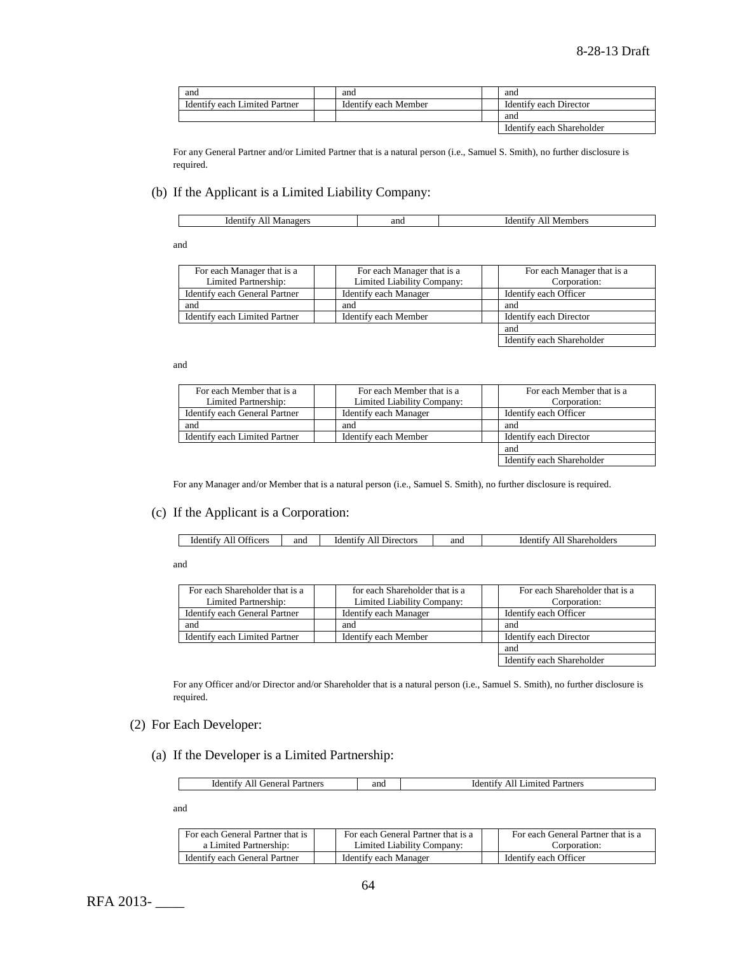| and                           | and                  | and                       |
|-------------------------------|----------------------|---------------------------|
| Identify each Limited Partner | Identify each Member | Identify each Director    |
|                               |                      | and                       |
|                               |                      | Identify each Shareholder |

For any General Partner and/or Limited Partner that is a natural person (i.e., Samuel S. Smith), no further disclosure is required.

### (b) If the Applicant is a Limited Liability Company:

| ano | mber <sup>,</sup> |
|-----|-------------------|
| Id( | $\mathbf{M}$      |
| w   | 17 I 1            |
|     | . .               |
|     |                   |
|     |                   |
|     |                   |

and

| For each Manager that is a    | For each Manager that is a | For each Manager that is a |
|-------------------------------|----------------------------|----------------------------|
| Limited Partnership:          | Limited Liability Company: | Corporation:               |
| Identify each General Partner | Identify each Manager      | Identify each Officer      |
| and                           | and                        | and                        |
| Identify each Limited Partner | Identify each Member       | Identify each Director     |
|                               |                            | and                        |
|                               |                            | Identify each Shareholder  |

and

| For each Member that is a     | For each Member that is a  | For each Member that is a |
|-------------------------------|----------------------------|---------------------------|
| Limited Partnership:          | Limited Liability Company: | Corporation:              |
| Identify each General Partner | Identify each Manager      | Identify each Officer     |
| and                           | and                        | and                       |
| Identify each Limited Partner | Identify each Member       | Identify each Director    |
|                               |                            | and                       |
|                               |                            | Identify each Shareholder |

For any Manager and/or Member that is a natural person (i.e., Samuel S. Smith), no further disclosure is required.

## (c) If the Applicant is a Corporation:

| _____ | .<br><b>Jiticers</b><br>Identify<br>AII | and | <b>Directors</b><br><b>Identity</b><br>41 | and | rdent <sup>r</sup><br>Shareholders<br>AIL |
|-------|-----------------------------------------|-----|-------------------------------------------|-----|-------------------------------------------|
|-------|-----------------------------------------|-----|-------------------------------------------|-----|-------------------------------------------|

and

| For each Shareholder that is a | for each Shareholder that is a | For each Shareholder that is a |
|--------------------------------|--------------------------------|--------------------------------|
| Limited Partnership:           | Limited Liability Company:     | Corporation:                   |
| Identify each General Partner  | Identify each Manager          | Identify each Officer          |
| and                            | and                            | and                            |
| Identify each Limited Partner  | Identify each Member           | Identify each Director         |
|                                |                                | and                            |
|                                |                                | Identify each Shareholder      |

For any Officer and/or Director and/or Shareholder that is a natural person (i.e., Samuel S. Smith), no further disclosure is required.

## (2) For Each Developer:

(a) If the Developer is a Limited Partnership:

| Partners<br>' ieneral<br>Iden<br>tity<br>$\Lambda$<br>``<br>. | and | Partners<br>. .imited |
|---------------------------------------------------------------|-----|-----------------------|

and

| For each General Partner that is | For each General Partner that is a | For each General Partner that is a |
|----------------------------------|------------------------------------|------------------------------------|
| a Limited Partnership:           | Limited Liability Company:         | Corporation:                       |
| Identify each General Partner    | Identify each Manager              | Identify each Officer              |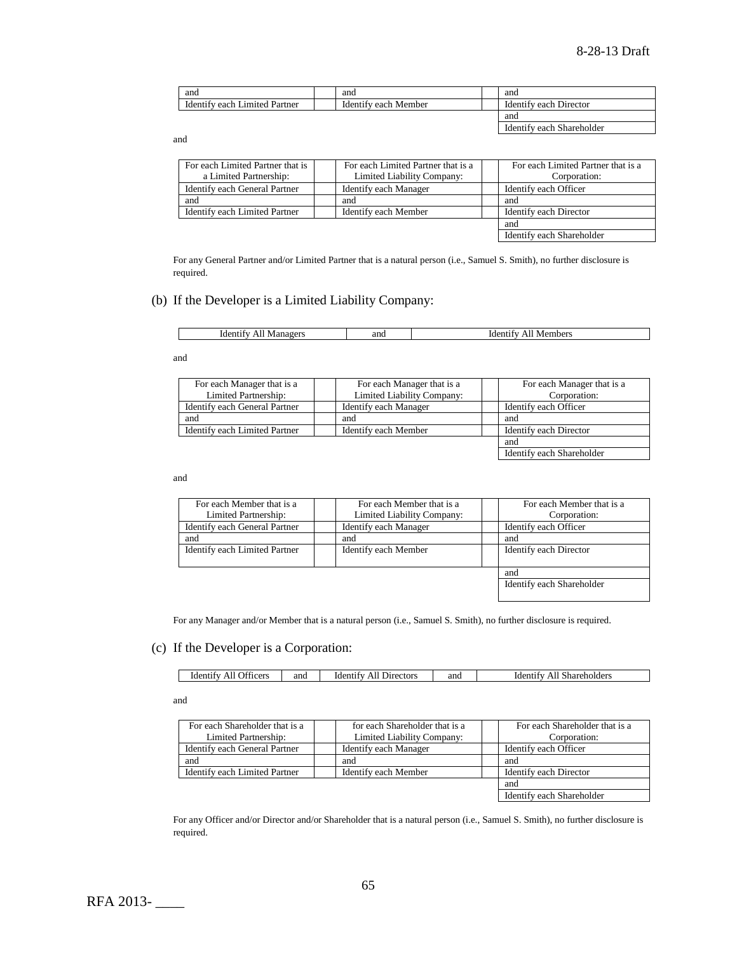| and                                     | and                        | and                                 |
|-----------------------------------------|----------------------------|-------------------------------------|
| amited<br>. Partner<br>each<br>identify | Member<br>Identify<br>each | Director<br>each<br><b>Identify</b> |
|                                         |                            | and                                 |

Identify each Shareholder

Identify each Shareholder

and

| For each Limited Partner that is | For each Limited Partner that is a | For each Limited Partner that is a |
|----------------------------------|------------------------------------|------------------------------------|
| a Limited Partnership:           | Limited Liability Company:         | Corporation:                       |
| Identify each General Partner    | Identify each Manager              | Identify each Officer              |
| and                              | and                                | and                                |
| Identify each Limited Partner    | Identify each Member               | Identify each Director             |
|                                  |                                    | and                                |
|                                  |                                    | Identify each Shareholder          |

For any General Partner and/or Limited Partner that is a natural person (i.e., Samuel S. Smith), no further disclosure is required.

## (b) If the Developer is a Limited Liability Company:

| - Ider<br>w | and | embers<br>M<br>. . |
|-------------|-----|--------------------|
|             |     |                    |

and

| For each Manager that is a    | For each Manager that is a | For each Manager that is a |
|-------------------------------|----------------------------|----------------------------|
| Limited Partnership:          | Limited Liability Company: | Corporation:               |
| Identify each General Partner | Identify each Manager      | Identify each Officer      |
| and                           | and                        | and                        |
| Identify each Limited Partner | Identify each Member       | Identify each Director     |
|                               |                            | and                        |

and

| For each Member that is a<br>Limited Partnership: | For each Member that is a<br>Limited Liability Company: | For each Member that is a<br>Corporation: |
|---------------------------------------------------|---------------------------------------------------------|-------------------------------------------|
| Identify each General Partner                     | Identify each Manager                                   | Identify each Officer                     |
| and                                               | and                                                     | and                                       |
| Identify each Limited Partner                     | Identify each Member                                    | Identify each Director                    |
|                                                   |                                                         | and                                       |
|                                                   |                                                         | Identify each Shareholder                 |

For any Manager and/or Member that is a natural person (i.e., Samuel S. Smith), no further disclosure is required.

## (c) If the Developer is a Corporation:

| . co<br>anc<br><b>Directors</b><br>0.01<br>-ider<br>ווב<br>uder<br>,,,<br>псет.<br>. . | and | $\sim$ 444<br>.der<br>Shareholder.<br>Ali |
|----------------------------------------------------------------------------------------|-----|-------------------------------------------|
|----------------------------------------------------------------------------------------|-----|-------------------------------------------|

and

| For each Shareholder that is a | for each Shareholder that is a | For each Shareholder that is a |
|--------------------------------|--------------------------------|--------------------------------|
| Limited Partnership:           | Limited Liability Company:     | Corporation:                   |
| Identify each General Partner  | Identify each Manager          | Identify each Officer          |
| and                            | and                            | and                            |
| Identify each Limited Partner  | Identify each Member           | Identify each Director         |
|                                |                                | and                            |
|                                |                                | Identify each Shareholder      |

For any Officer and/or Director and/or Shareholder that is a natural person (i.e., Samuel S. Smith), no further disclosure is required.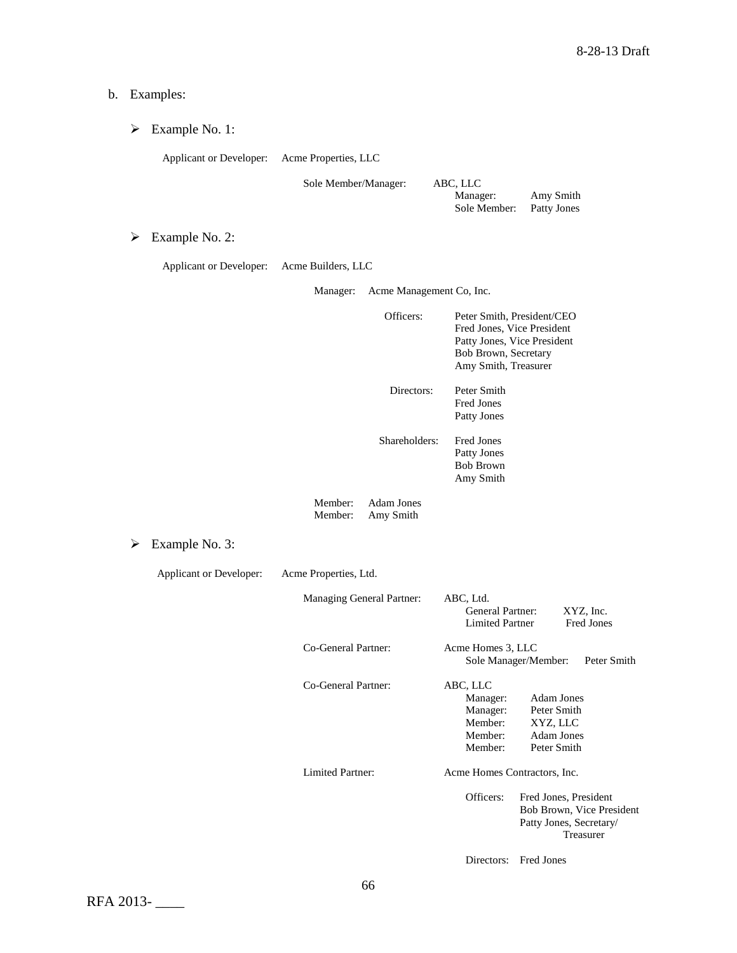#### b. Examples:

|  | Example No. 1: |  |
|--|----------------|--|
|--|----------------|--|

Applicant or Developer: Acme Properties, LLC

Sole Member/Manager: ABC, LLC

Manager: Amy Smith Sole Member: Patty Jones

Directors: Fred Jones

Example No. 2:

| Applicant or Developer: | Acme Builders, LLC |  |
|-------------------------|--------------------|--|
|-------------------------|--------------------|--|

Manager: Acme Management Co, Inc.

| Officers:  | Peter Smith, President/CEO<br>Fred Jones, Vice President<br>Patty Jones, Vice President<br>Bob Brown, Secretary<br>Amy Smith, Treasurer |
|------------|-----------------------------------------------------------------------------------------------------------------------------------------|
| Directors: | Peter Smith                                                                                                                             |

Fred Jones Patty Jones

Shareholders: Fred Jones Patty Jones Bob Brown Amy Smith

Member: Adam Jones<br>Member: Amy Smith Amy Smith

Example No. 3:

Applicant or Developer: Acme Properties, Ltd. Managing General Partner: ABC, Ltd. General Partner: XYZ, Inc.<br>Limited Partner Fred Jones Limited Partner Co-General Partner: Acme Homes 3, LLC Sole Manager/Member: Peter Smith Co-General Partner: ABC, LLC Manager: Adam Jones<br>Manager: Peter Smith Manager: Peter Smith<br>Member: XYZ, LLC XYZ, LLC Member: Adam Jones Member: Peter Smith Limited Partner: Acme Homes Contractors, Inc. Officers: Fred Jones, President Bob Brown, Vice President Patty Jones, Secretary/ Treasurer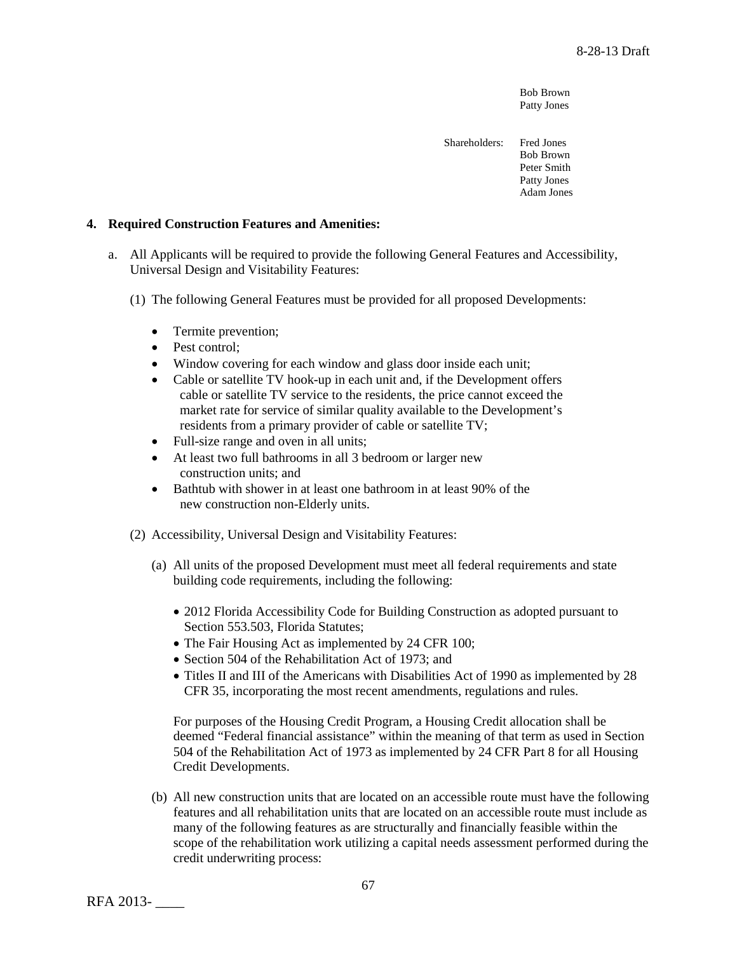Bob Brown Patty Jones

Shareholders: Fred Jones Bob Brown Peter Smith Patty Jones Adam Jones

### **4. Required Construction Features and Amenities:**

- a. All Applicants will be required to provide the following General Features and Accessibility, Universal Design and Visitability Features:
	- (1) The following General Features must be provided for all proposed Developments:
		- Termite prevention;
		- Pest control;
		- Window covering for each window and glass door inside each unit;
		- Cable or satellite TV hook-up in each unit and, if the Development offers cable or satellite TV service to the residents, the price cannot exceed the market rate for service of similar quality available to the Development's residents from a primary provider of cable or satellite TV;
		- Full-size range and oven in all units;
		- At least two full bathrooms in all 3 bedroom or larger new construction units; and
		- Bathtub with shower in at least one bathroom in at least 90% of the new construction non-Elderly units.
	- (2) Accessibility, Universal Design and Visitability Features:
		- (a) All units of the proposed Development must meet all federal requirements and state building code requirements, including the following:
			- 2012 Florida Accessibility Code for Building Construction as adopted pursuant to Section 553.503, Florida Statutes;
			- The Fair Housing Act as implemented by 24 CFR 100;
			- Section 504 of the Rehabilitation Act of 1973; and
			- Titles II and III of the Americans with Disabilities Act of 1990 as implemented by 28 CFR 35, incorporating the most recent amendments, regulations and rules.

For purposes of the Housing Credit Program, a Housing Credit allocation shall be deemed "Federal financial assistance" within the meaning of that term as used in Section 504 of the Rehabilitation Act of 1973 as implemented by 24 CFR Part 8 for all Housing Credit Developments.

(b) All new construction units that are located on an accessible route must have the following features and all rehabilitation units that are located on an accessible route must include as many of the following features as are structurally and financially feasible within the scope of the rehabilitation work utilizing a capital needs assessment performed during the credit underwriting process:

RFA 2013- \_\_\_\_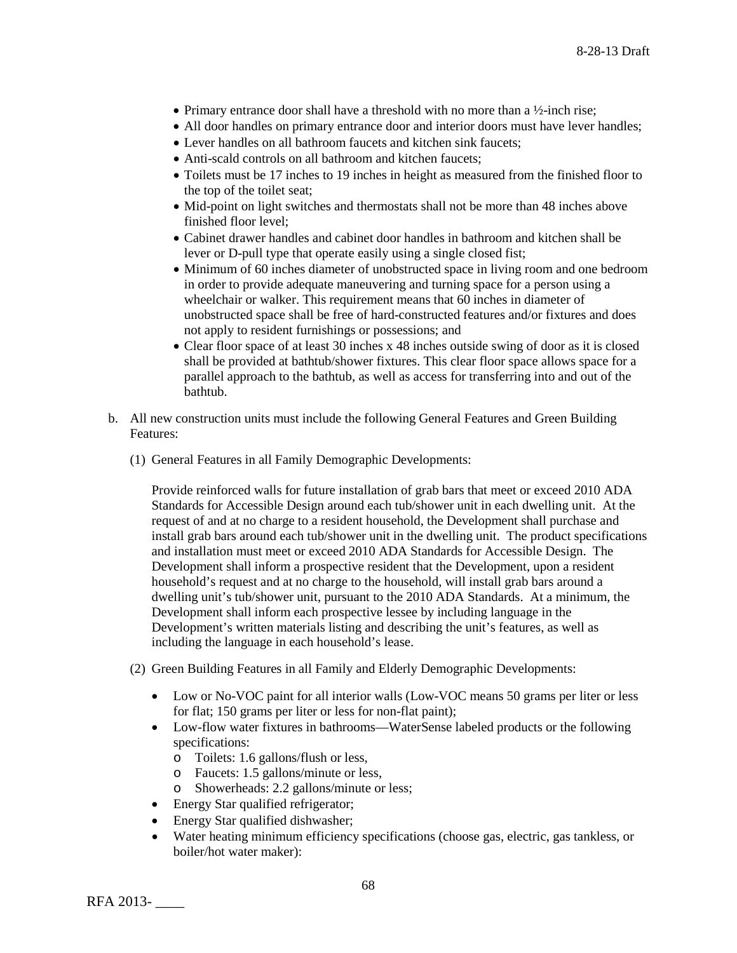- Primary entrance door shall have a threshold with no more than a  $\frac{1}{2}$ -inch rise;
- All door handles on primary entrance door and interior doors must have lever handles;
- Lever handles on all bathroom faucets and kitchen sink faucets:
- Anti-scald controls on all bathroom and kitchen faucets:
- Toilets must be 17 inches to 19 inches in height as measured from the finished floor to the top of the toilet seat;
- Mid-point on light switches and thermostats shall not be more than 48 inches above finished floor level;
- Cabinet drawer handles and cabinet door handles in bathroom and kitchen shall be lever or D-pull type that operate easily using a single closed fist;
- Minimum of 60 inches diameter of unobstructed space in living room and one bedroom in order to provide adequate maneuvering and turning space for a person using a wheelchair or walker. This requirement means that 60 inches in diameter of unobstructed space shall be free of hard-constructed features and/or fixtures and does not apply to resident furnishings or possessions; and
- Clear floor space of at least 30 inches x 48 inches outside swing of door as it is closed shall be provided at bathtub/shower fixtures. This clear floor space allows space for a parallel approach to the bathtub, as well as access for transferring into and out of the bathtub.
- b. All new construction units must include the following General Features and Green Building Features:
	- (1) General Features in all Family Demographic Developments:

Provide reinforced walls for future installation of grab bars that meet or exceed 2010 ADA Standards for Accessible Design around each tub/shower unit in each dwelling unit. At the request of and at no charge to a resident household, the Development shall purchase and install grab bars around each tub/shower unit in the dwelling unit. The product specifications and installation must meet or exceed 2010 ADA Standards for Accessible Design. The Development shall inform a prospective resident that the Development, upon a resident household's request and at no charge to the household, will install grab bars around a dwelling unit's tub/shower unit, pursuant to the 2010 ADA Standards. At a minimum, the Development shall inform each prospective lessee by including language in the Development's written materials listing and describing the unit's features, as well as including the language in each household's lease.

- (2) Green Building Features in all Family and Elderly Demographic Developments:
	- Low or No-VOC paint for all interior walls (Low-VOC means 50 grams per liter or less for flat; 150 grams per liter or less for non-flat paint);
	- Low-flow water fixtures in bathrooms—WaterSense labeled products or the following specifications:
		- o Toilets: 1.6 gallons/flush or less,
		- o Faucets: 1.5 gallons/minute or less,
		- o Showerheads: 2.2 gallons/minute or less;
	- Energy Star qualified refrigerator;
	- Energy Star qualified dishwasher;
	- Water heating minimum efficiency specifications (choose gas, electric, gas tankless, or boiler/hot water maker):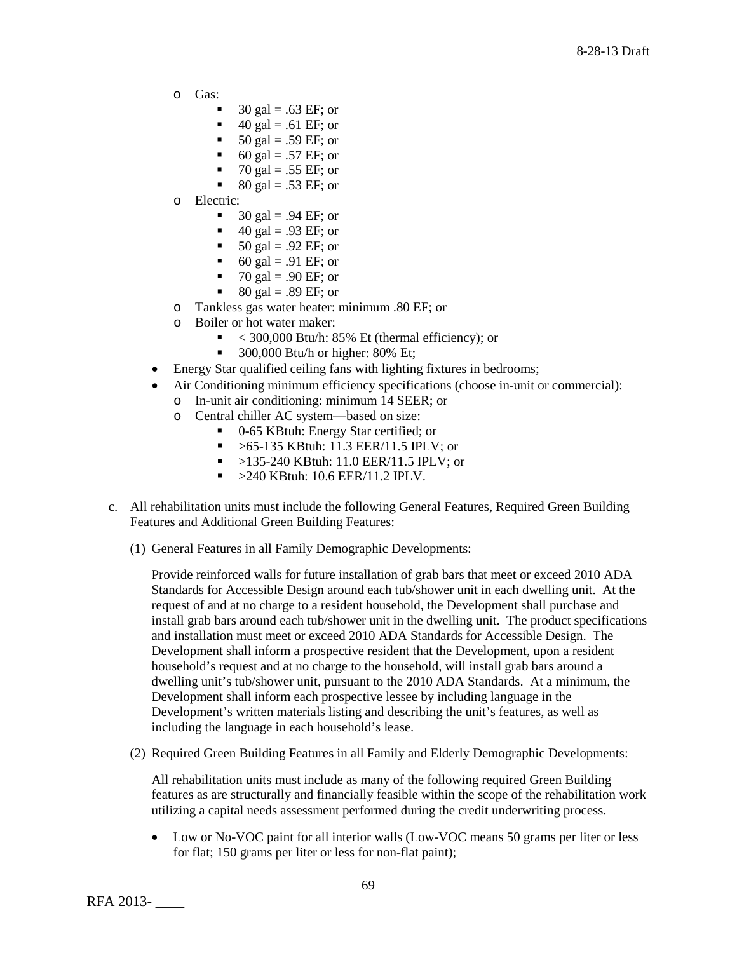- o Gas:
	- 30 gal =  $.63 \text{ EF}$ ; or
	- 40 gal = .61 EF; or
	- 50 gal = .59 EF; or
	- 60 gal = .57 EF; or
	- 70 gal = .55 EF; or<br>80 gal 53 FF; or
	- 80 gal = .53 EF; or
- o Electric:
	- 30 gal = .94 EF; or
	- $\blacksquare$  40 gal = .93 EF; or
	- 50 gal = .92 EF; or
	- 60 gal = .91 EF; or
	- 70 gal = .90 EF; or<br>80 gal = 89 EF; or
	- 80 gal = .89 EF; or
- o Tankless gas water heater: minimum .80 EF; or
- Boiler or hot water maker:
	- $\sim$  300,000 Btu/h: 85% Et (thermal efficiency); or
	- $\blacksquare$  300,000 Btu/h or higher: 80% Et;
- Energy Star qualified ceiling fans with lighting fixtures in bedrooms;
- Air Conditioning minimum efficiency specifications (choose in-unit or commercial):
	- o In-unit air conditioning: minimum 14 SEER; or
	- o Central chiller AC system—based on size:
		- 0-65 KBtuh: Energy Star certified; or
		- $\blacktriangleright$  >65-135 KBtuh: 11.3 EER/11.5 IPLV; or
		- $\blacksquare$  >135-240 KBtuh: 11.0 EER/11.5 IPLV; or
		- $\blacktriangleright$  >240 KBtuh: 10.6 EER/11.2 IPLV.
- c. All rehabilitation units must include the following General Features, Required Green Building Features and Additional Green Building Features:
	- (1) General Features in all Family Demographic Developments:

Provide reinforced walls for future installation of grab bars that meet or exceed 2010 ADA Standards for Accessible Design around each tub/shower unit in each dwelling unit. At the request of and at no charge to a resident household, the Development shall purchase and install grab bars around each tub/shower unit in the dwelling unit. The product specifications and installation must meet or exceed 2010 ADA Standards for Accessible Design. The Development shall inform a prospective resident that the Development, upon a resident household's request and at no charge to the household, will install grab bars around a dwelling unit's tub/shower unit, pursuant to the 2010 ADA Standards. At a minimum, the Development shall inform each prospective lessee by including language in the Development's written materials listing and describing the unit's features, as well as including the language in each household's lease.

(2) Required Green Building Features in all Family and Elderly Demographic Developments:

All rehabilitation units must include as many of the following required Green Building features as are structurally and financially feasible within the scope of the rehabilitation work utilizing a capital needs assessment performed during the credit underwriting process.

• Low or No-VOC paint for all interior walls (Low-VOC means 50 grams per liter or less for flat; 150 grams per liter or less for non-flat paint);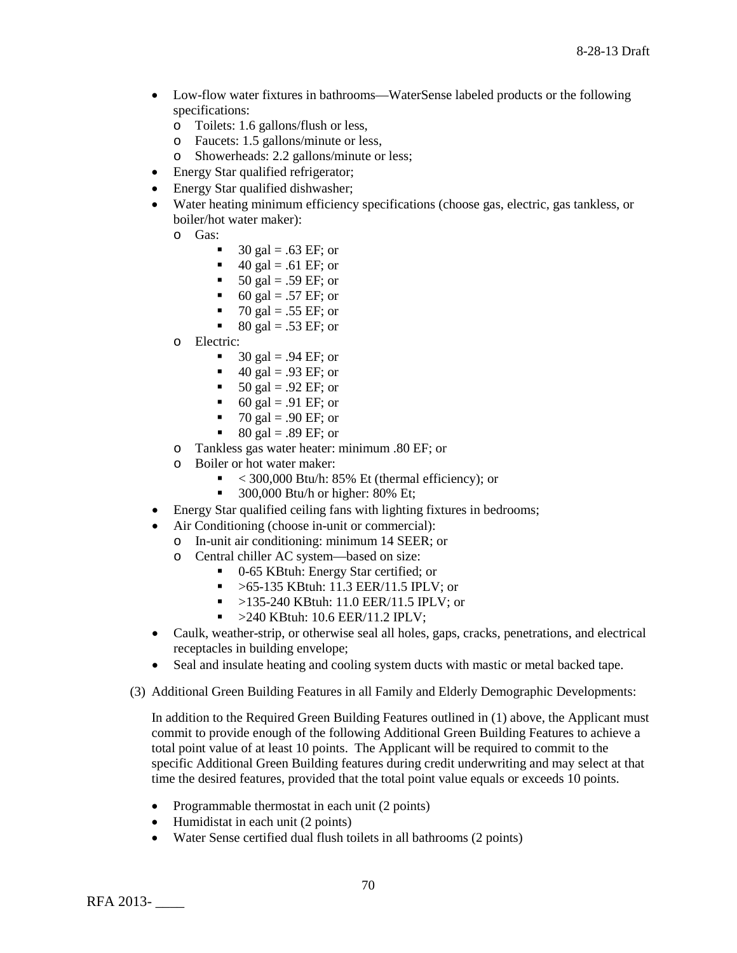- Low-flow water fixtures in bathrooms—WaterSense labeled products or the following specifications:
	- o Toilets: 1.6 gallons/flush or less,
	- o Faucets: 1.5 gallons/minute or less,
	- o Showerheads: 2.2 gallons/minute or less;
- Energy Star qualified refrigerator;
- Energy Star qualified dishwasher;
- Water heating minimum efficiency specifications (choose gas, electric, gas tankless, or boiler/hot water maker):
	- o Gas:
		- 30 gal =  $.63 \text{ EF}$ ; or
		- $\blacksquare$  40 gal = .61 EF; or
		- 50 gal = .59 EF; or
		- 60 gal = .57 EF; or
		- 70 gal = .55 EF; or
		- $80 \text{ gal} = .53 \text{ EF}$ ; or
	- o Electric:
		- $\blacksquare$  30 gal = .94 EF; or
		- $\blacksquare$  40 gal = .93 EF; or
		- $\blacksquare$  50 gal = .92 EF; or
		- 60 gal = .91 EF; or
		- $\blacksquare$  70 gal = .90 EF; or
		- $\bullet$  80 gal = .89 EF; or
	- o Tankless gas water heater: minimum .80 EF; or
	- $\circ$  Boiler or hot water maker:<br> $\leq 300.000$  Btu/h: 8
		- < 300,000 Btu/h: 85% Et (thermal efficiency); or
		- $\blacksquare$  300,000 Btu/h or higher: 80% Et;
- Energy Star qualified ceiling fans with lighting fixtures in bedrooms;
- Air Conditioning (choose in-unit or commercial):
	- o In-unit air conditioning: minimum 14 SEER; or<br>
	o Central chiller AC system—based on size:
	- Central chiller AC system—based on size:
		- 0-65 KBtuh: Energy Star certified; or
			- $\blacktriangleright$  >65-135 KBtuh: 11.3 EER/11.5 IPLV; or
			- $\blacktriangleright$  >135-240 KBtuh: 11.0 EER/11.5 IPLV; or
			- $\sim$  >240 KBtuh: 10.6 EER/11.2 IPLV;
- Caulk, weather-strip, or otherwise seal all holes, gaps, cracks, penetrations, and electrical receptacles in building envelope;
- Seal and insulate heating and cooling system ducts with mastic or metal backed tape.
- (3) Additional Green Building Features in all Family and Elderly Demographic Developments:

In addition to the Required Green Building Features outlined in (1) above, the Applicant must commit to provide enough of the following Additional Green Building Features to achieve a total point value of at least 10 points. The Applicant will be required to commit to the specific Additional Green Building features during credit underwriting and may select at that time the desired features, provided that the total point value equals or exceeds 10 points.

- Programmable thermostat in each unit (2 points)
- Humidistat in each unit (2 points)
- Water Sense certified dual flush toilets in all bathrooms (2 points)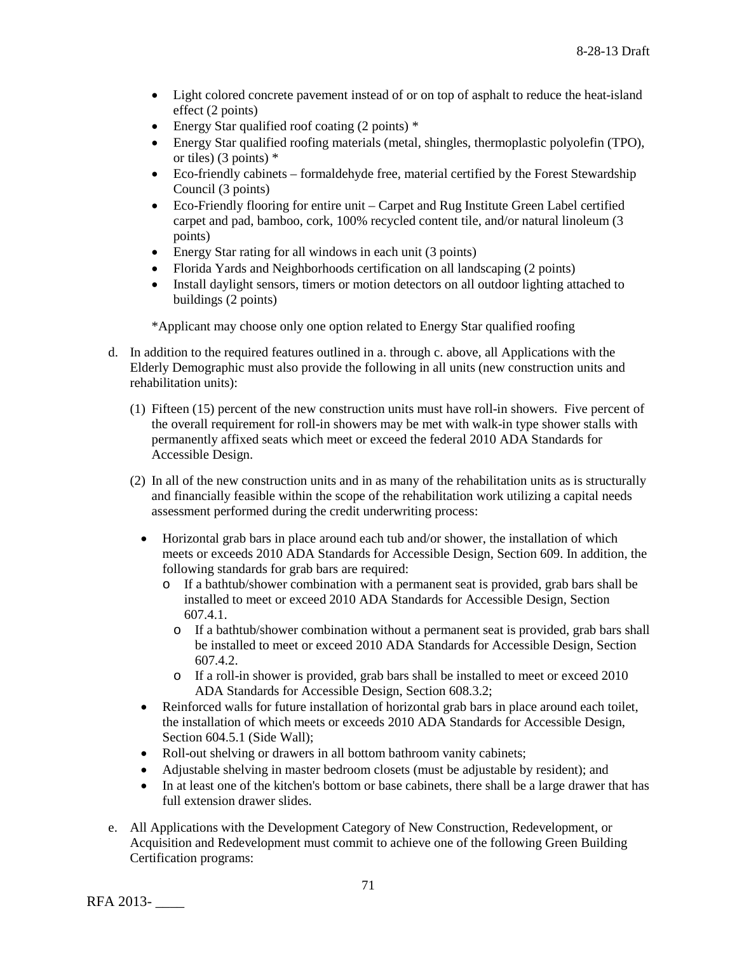- Light colored concrete pavement instead of or on top of asphalt to reduce the heat-island effect (2 points)
- Energy Star qualified roof coating (2 points)  $*$
- Energy Star qualified roofing materials (metal, shingles, thermoplastic polyolefin (TPO), or tiles) (3 points) \*
- Eco-friendly cabinets formaldehyde free, material certified by the Forest Stewardship Council (3 points)
- Eco-Friendly flooring for entire unit Carpet and Rug Institute Green Label certified carpet and pad, bamboo, cork, 100% recycled content tile, and/or natural linoleum (3 points)
- Energy Star rating for all windows in each unit (3 points)
- Florida Yards and Neighborhoods certification on all landscaping (2 points)
- Install daylight sensors, timers or motion detectors on all outdoor lighting attached to buildings (2 points)

\*Applicant may choose only one option related to Energy Star qualified roofing

- d. In addition to the required features outlined in a. through c. above, all Applications with the Elderly Demographic must also provide the following in all units (new construction units and rehabilitation units):
	- (1) Fifteen (15) percent of the new construction units must have roll-in showers. Five percent of the overall requirement for roll-in showers may be met with walk-in type shower stalls with permanently affixed seats which meet or exceed the federal 2010 ADA Standards for Accessible Design.
	- (2) In all of the new construction units and in as many of the rehabilitation units as is structurally and financially feasible within the scope of the rehabilitation work utilizing a capital needs assessment performed during the credit underwriting process:
		- Horizontal grab bars in place around each tub and/or shower, the installation of which meets or exceeds 2010 ADA Standards for Accessible Design, Section 609. In addition, the following standards for grab bars are required:
			- o If a bathtub/shower combination with a permanent seat is provided, grab bars shall be installed to meet or exceed 2010 ADA Standards for Accessible Design, Section 607.4.1.
				- o If a bathtub/shower combination without a permanent seat is provided, grab bars shall be installed to meet or exceed 2010 ADA Standards for Accessible Design, Section 607.4.2.
				- o If a roll-in shower is provided, grab bars shall be installed to meet or exceed 2010 ADA Standards for Accessible Design, Section 608.3.2;
		- Reinforced walls for future installation of horizontal grab bars in place around each toilet, the installation of which meets or exceeds 2010 ADA Standards for Accessible Design, Section 604.5.1 (Side Wall):
		- Roll-out shelving or drawers in all bottom bathroom vanity cabinets;
		- Adjustable shelving in master bedroom closets (must be adjustable by resident); and
		- In at least one of the kitchen's bottom or base cabinets, there shall be a large drawer that has full extension drawer slides.
- e. All Applications with the Development Category of New Construction, Redevelopment, or Acquisition and Redevelopment must commit to achieve one of the following Green Building Certification programs:

RFA 2013- \_\_\_\_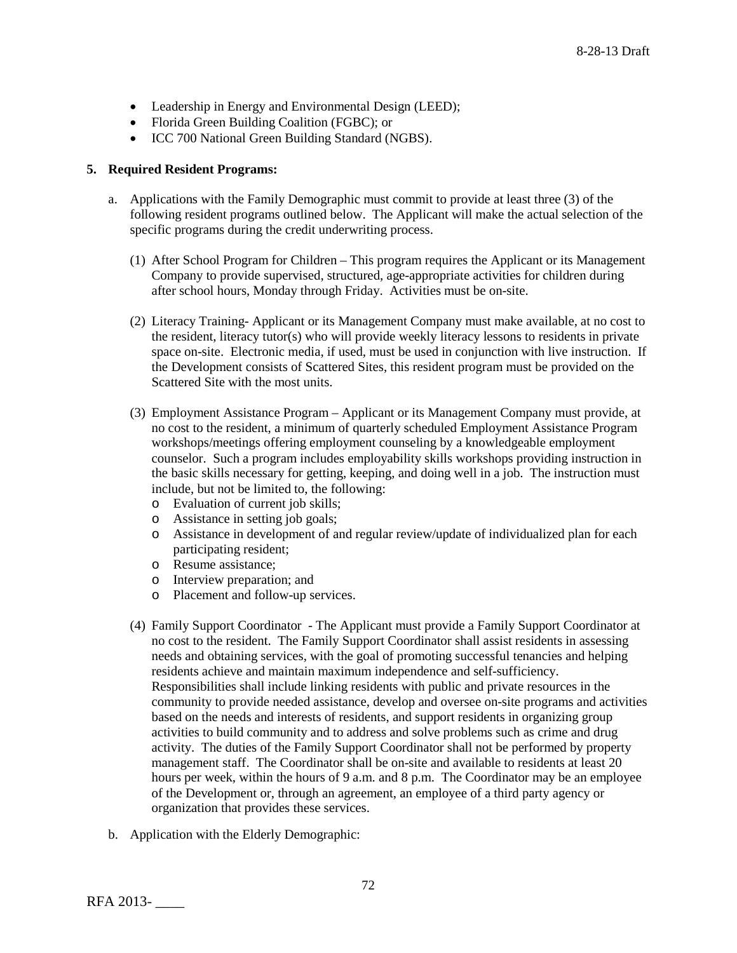- Leadership in Energy and Environmental Design (LEED);
- Florida Green Building Coalition (FGBC); or
- ICC 700 National Green Building Standard (NGBS).

### **5. Required Resident Programs:**

- a. Applications with the Family Demographic must commit to provide at least three (3) of the following resident programs outlined below. The Applicant will make the actual selection of the specific programs during the credit underwriting process.
	- (1) After School Program for Children This program requires the Applicant or its Management Company to provide supervised, structured, age-appropriate activities for children during after school hours, Monday through Friday. Activities must be on-site.
	- (2) Literacy Training- Applicant or its Management Company must make available, at no cost to the resident, literacy tutor(s) who will provide weekly literacy lessons to residents in private space on-site. Electronic media, if used, must be used in conjunction with live instruction. If the Development consists of Scattered Sites, this resident program must be provided on the Scattered Site with the most units.
	- (3) Employment Assistance Program Applicant or its Management Company must provide, at no cost to the resident, a minimum of quarterly scheduled Employment Assistance Program workshops/meetings offering employment counseling by a knowledgeable employment counselor. Such a program includes employability skills workshops providing instruction in the basic skills necessary for getting, keeping, and doing well in a job. The instruction must include, but not be limited to, the following:
		- o Evaluation of current job skills;
		- o Assistance in setting job goals;
		- o Assistance in development of and regular review/update of individualized plan for each participating resident;
		- o Resume assistance;
		- o Interview preparation; and
		- o Placement and follow-up services.
	- (4) Family Support Coordinator The Applicant must provide a Family Support Coordinator at no cost to the resident. The Family Support Coordinator shall assist residents in assessing needs and obtaining services, with the goal of promoting successful tenancies and helping residents achieve and maintain maximum independence and self-sufficiency. Responsibilities shall include linking residents with public and private resources in the community to provide needed assistance, develop and oversee on-site programs and activities based on the needs and interests of residents, and support residents in organizing group activities to build community and to address and solve problems such as crime and drug activity. The duties of the Family Support Coordinator shall not be performed by property management staff. The Coordinator shall be on-site and available to residents at least 20 hours per week, within the hours of 9 a.m. and 8 p.m. The Coordinator may be an employee of the Development or, through an agreement, an employee of a third party agency or organization that provides these services.
- b. Application with the Elderly Demographic: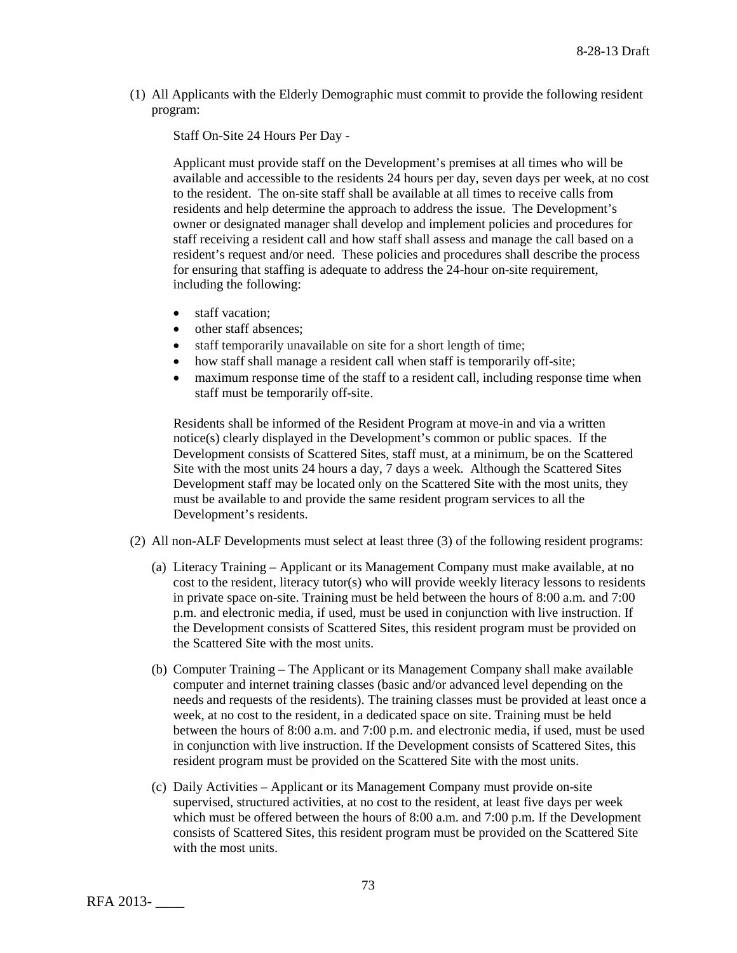(1) All Applicants with the Elderly Demographic must commit to provide the following resident program:

Staff On-Site 24 Hours Per Day -

Applicant must provide staff on the Development's premises at all times who will be available and accessible to the residents 24 hours per day, seven days per week, at no cost to the resident. The on-site staff shall be available at all times to receive calls from residents and help determine the approach to address the issue. The Development's owner or designated manager shall develop and implement policies and procedures for staff receiving a resident call and how staff shall assess and manage the call based on a resident's request and/or need. These policies and procedures shall describe the process for ensuring that staffing is adequate to address the 24-hour on-site requirement, including the following:

- staff vacation;
- other staff absences:
- staff temporarily unavailable on site for a short length of time;
- how staff shall manage a resident call when staff is temporarily off-site;
- maximum response time of the staff to a resident call, including response time when staff must be temporarily off-site.

Residents shall be informed of the Resident Program at move-in and via a written notice(s) clearly displayed in the Development's common or public spaces. If the Development consists of Scattered Sites, staff must, at a minimum, be on the Scattered Site with the most units 24 hours a day, 7 days a week. Although the Scattered Sites Development staff may be located only on the Scattered Site with the most units, they must be available to and provide the same resident program services to all the Development's residents.

- (2) All non-ALF Developments must select at least three (3) of the following resident programs:
	- (a) Literacy Training Applicant or its Management Company must make available, at no cost to the resident, literacy tutor(s) who will provide weekly literacy lessons to residents in private space on-site. Training must be held between the hours of 8:00 a.m. and 7:00 p.m. and electronic media, if used, must be used in conjunction with live instruction. If the Development consists of Scattered Sites, this resident program must be provided on the Scattered Site with the most units.
	- (b) Computer Training The Applicant or its Management Company shall make available computer and internet training classes (basic and/or advanced level depending on the needs and requests of the residents). The training classes must be provided at least once a week, at no cost to the resident, in a dedicated space on site. Training must be held between the hours of 8:00 a.m. and 7:00 p.m. and electronic media, if used, must be used in conjunction with live instruction. If the Development consists of Scattered Sites, this resident program must be provided on the Scattered Site with the most units.
	- (c) Daily Activities Applicant or its Management Company must provide on-site supervised, structured activities, at no cost to the resident, at least five days per week which must be offered between the hours of 8:00 a.m. and 7:00 p.m. If the Development consists of Scattered Sites, this resident program must be provided on the Scattered Site with the most units.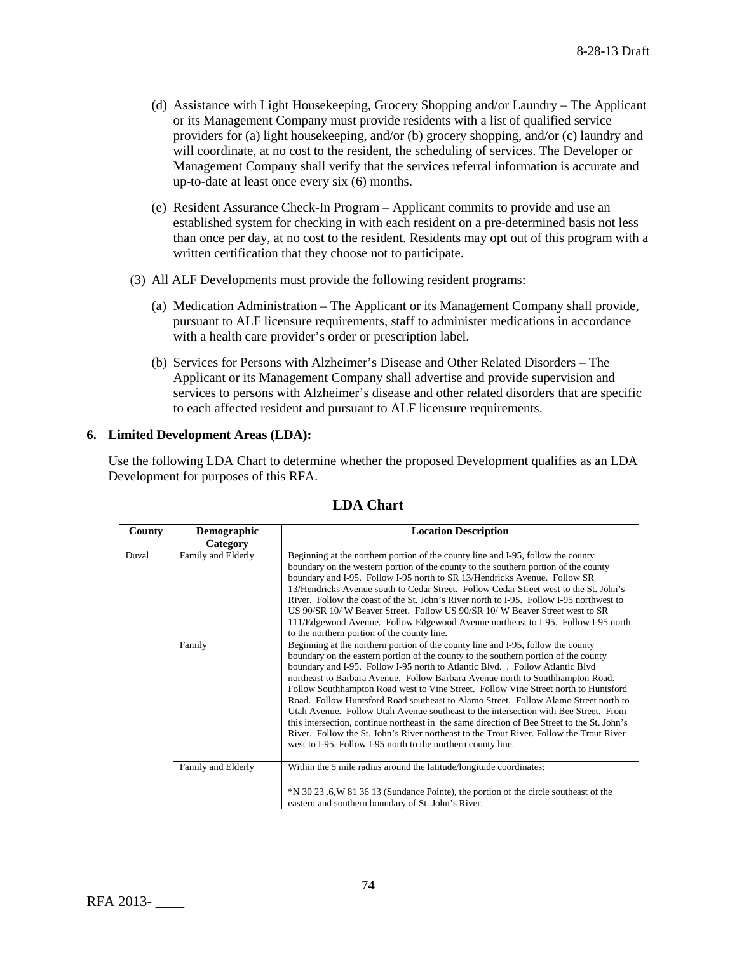- (d) Assistance with Light Housekeeping, Grocery Shopping and/or Laundry The Applicant or its Management Company must provide residents with a list of qualified service providers for (a) light housekeeping, and/or (b) grocery shopping, and/or (c) laundry and will coordinate, at no cost to the resident, the scheduling of services. The Developer or Management Company shall verify that the services referral information is accurate and up-to-date at least once every six (6) months.
- (e) Resident Assurance Check-In Program Applicant commits to provide and use an established system for checking in with each resident on a pre-determined basis not less than once per day, at no cost to the resident. Residents may opt out of this program with a written certification that they choose not to participate.
- (3) All ALF Developments must provide the following resident programs:
	- (a) Medication Administration The Applicant or its Management Company shall provide, pursuant to ALF licensure requirements, staff to administer medications in accordance with a health care provider's order or prescription label.
	- (b) Services for Persons with Alzheimer's Disease and Other Related Disorders The Applicant or its Management Company shall advertise and provide supervision and services to persons with Alzheimer's disease and other related disorders that are specific to each affected resident and pursuant to ALF licensure requirements.

### **6. Limited Development Areas (LDA):**

Use the following LDA Chart to determine whether the proposed Development qualifies as an LDA Development for purposes of this RFA.

| County | Demographic        | <b>Location Description</b>                                                                                                                                                                                                                                                                                                                                                                                                                                                                                                                                                                                                                                                                                                                                                                                                                                               |  |  |  |
|--------|--------------------|---------------------------------------------------------------------------------------------------------------------------------------------------------------------------------------------------------------------------------------------------------------------------------------------------------------------------------------------------------------------------------------------------------------------------------------------------------------------------------------------------------------------------------------------------------------------------------------------------------------------------------------------------------------------------------------------------------------------------------------------------------------------------------------------------------------------------------------------------------------------------|--|--|--|
|        | Category           |                                                                                                                                                                                                                                                                                                                                                                                                                                                                                                                                                                                                                                                                                                                                                                                                                                                                           |  |  |  |
| Duval  | Family and Elderly | Beginning at the northern portion of the county line and I-95, follow the county<br>boundary on the western portion of the county to the southern portion of the county<br>boundary and I-95. Follow I-95 north to SR 13/Hendricks Avenue. Follow SR<br>13/Hendricks Avenue south to Cedar Street. Follow Cedar Street west to the St. John's<br>River. Follow the coast of the St. John's River north to I-95. Follow I-95 northwest to<br>US 90/SR 10/W Beaver Street. Follow US 90/SR 10/W Beaver Street west to SR<br>111/Edgewood Avenue. Follow Edgewood Avenue northeast to I-95. Follow I-95 north<br>to the northern portion of the county line.                                                                                                                                                                                                                 |  |  |  |
|        |                    |                                                                                                                                                                                                                                                                                                                                                                                                                                                                                                                                                                                                                                                                                                                                                                                                                                                                           |  |  |  |
|        | Family             | Beginning at the northern portion of the county line and I-95, follow the county<br>boundary on the eastern portion of the county to the southern portion of the county<br>boundary and I-95. Follow I-95 north to Atlantic Blvd. . Follow Atlantic Blvd<br>northeast to Barbara Avenue. Follow Barbara Avenue north to Southhampton Road.<br>Follow Southhampton Road west to Vine Street. Follow Vine Street north to Huntsford<br>Road. Follow Huntsford Road southeast to Alamo Street. Follow Alamo Street north to<br>Utah Avenue. Follow Utah Avenue southeast to the intersection with Bee Street. From<br>this intersection, continue northeast in the same direction of Bee Street to the St. John's<br>River. Follow the St. John's River northeast to the Trout River. Follow the Trout River<br>west to I-95. Follow I-95 north to the northern county line. |  |  |  |
|        | Family and Elderly | Within the 5 mile radius around the latitude/longitude coordinates:<br>*N 30 23 .6, W 81 36 13 (Sundance Pointe), the portion of the circle southeast of the                                                                                                                                                                                                                                                                                                                                                                                                                                                                                                                                                                                                                                                                                                              |  |  |  |
|        |                    | eastern and southern boundary of St. John's River.                                                                                                                                                                                                                                                                                                                                                                                                                                                                                                                                                                                                                                                                                                                                                                                                                        |  |  |  |

# **LDA Chart**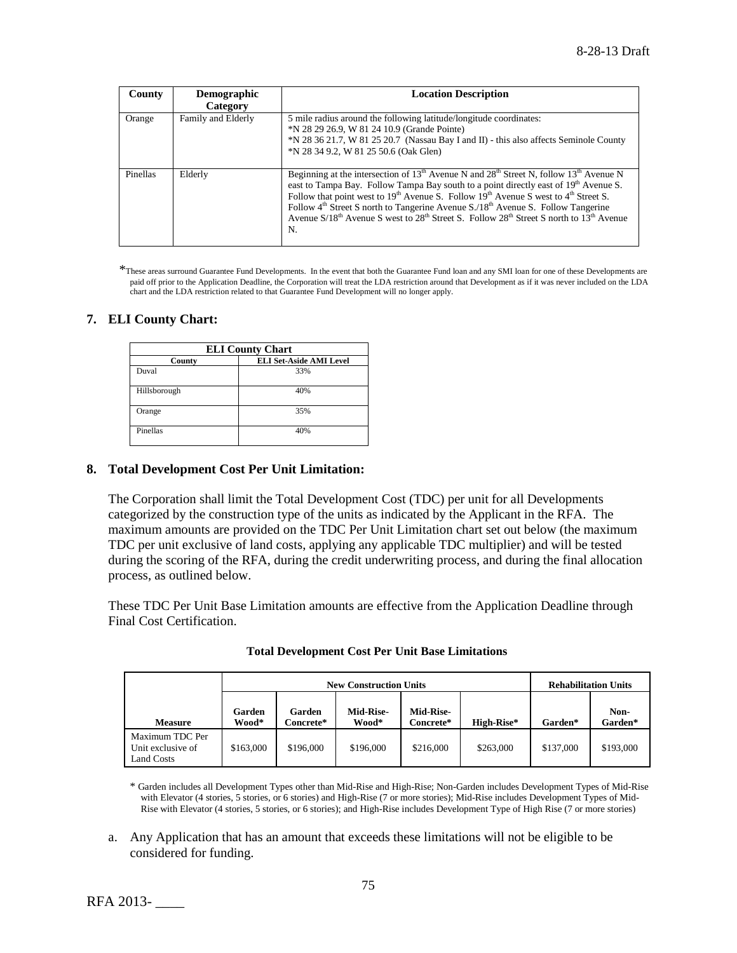| County   | <b>Demographic</b> | <b>Location Description</b>                                                                                                                                                                                                                                                                                                                                                                                                                                                                                                                                                                       |  |  |
|----------|--------------------|---------------------------------------------------------------------------------------------------------------------------------------------------------------------------------------------------------------------------------------------------------------------------------------------------------------------------------------------------------------------------------------------------------------------------------------------------------------------------------------------------------------------------------------------------------------------------------------------------|--|--|
|          | Category           |                                                                                                                                                                                                                                                                                                                                                                                                                                                                                                                                                                                                   |  |  |
| Orange   | Family and Elderly | 5 mile radius around the following latitude/longitude coordinates:<br>*N 28 29 26.9, W 81 24 10.9 (Grande Pointe)<br>*N 28 36 21.7, W 81 25 20.7 (Nassau Bay I and II) - this also affects Seminole County<br>*N 28 34 9.2, W 81 25 50.6 (Oak Glen)                                                                                                                                                                                                                                                                                                                                               |  |  |
| Pinellas | Elderly            | Beginning at the intersection of 13 <sup>th</sup> Avenue N and 28 <sup>th</sup> Street N, follow 13 <sup>th</sup> Avenue N<br>east to Tampa Bay. Follow Tampa Bay south to a point directly east of 19 <sup>th</sup> Avenue S.<br>Follow that point west to 19 <sup>th</sup> Avenue S. Follow $19^{th}$ Avenue S west to 4 <sup>th</sup> Street S.<br>Follow 4 <sup>th</sup> Street S north to Tangerine Avenue S./18 <sup>th</sup> Avenue S. Follow Tangerine<br>Avenue $S/18^{th}$ Avenue S west to 28 <sup>th</sup> Street S. Follow 28 <sup>th</sup> Street S north to $13^{th}$ Avenue<br>N. |  |  |

\*These areas surround Guarantee Fund Developments. In the event that both the Guarantee Fund loan and any SMI loan for one of these Developments are paid off prior to the Application Deadline, the Corporation will treat the LDA restriction around that Development as if it was never included on the LDA chart and the LDA restriction related to that Guarantee Fund Development will no longer apply.

## **7. ELI County Chart:**

| <b>ELI County Chart</b> |                                |  |  |  |  |  |
|-------------------------|--------------------------------|--|--|--|--|--|
| County                  | <b>ELI Set-Aside AMI Level</b> |  |  |  |  |  |
| Duval                   | 33%                            |  |  |  |  |  |
| Hillsborough            | 40%                            |  |  |  |  |  |
| Orange                  | 35%                            |  |  |  |  |  |
| Pinellas                | 40%                            |  |  |  |  |  |

## **8. Total Development Cost Per Unit Limitation:**

The Corporation shall limit the Total Development Cost (TDC) per unit for all Developments categorized by the construction type of the units as indicated by the Applicant in the RFA. The maximum amounts are provided on the TDC Per Unit Limitation chart set out below (the maximum TDC per unit exclusive of land costs, applying any applicable TDC multiplier) and will be tested during the scoring of the RFA, during the credit underwriting process, and during the final allocation process, as outlined below.

These TDC Per Unit Base Limitation amounts are effective from the Application Deadline through Final Cost Certification.

|                                                    | <b>New Construction Units</b> |                             |                           |                        |            | <b>Rehabilitation Units</b> |                 |
|----------------------------------------------------|-------------------------------|-----------------------------|---------------------------|------------------------|------------|-----------------------------|-----------------|
| <b>Measure</b>                                     | Garden<br>Wood*               | Garden<br>C <b>oncrete*</b> | <b>Mid-Rise-</b><br>Wood* | Mid-Rise-<br>Concrete* | High-Rise* | Garden*                     | Non-<br>Garden* |
| Maximum TDC Per<br>Unit exclusive of<br>Land Costs | \$163,000                     | \$196,000                   | \$196,000                 | \$216,000              | \$263,000  | \$137,000                   | \$193,000       |

#### **Total Development Cost Per Unit Base Limitations**

\* Garden includes all Development Types other than Mid-Rise and High-Rise; Non-Garden includes Development Types of Mid-Rise with Elevator (4 stories, 5 stories, or 6 stories) and High-Rise (7 or more stories); Mid-Rise includes Development Types of Mid-Rise with Elevator (4 stories, 5 stories, or 6 stories); and High-Rise includes Development Type of High Rise (7 or more stories)

a. Any Application that has an amount that exceeds these limitations will not be eligible to be considered for funding.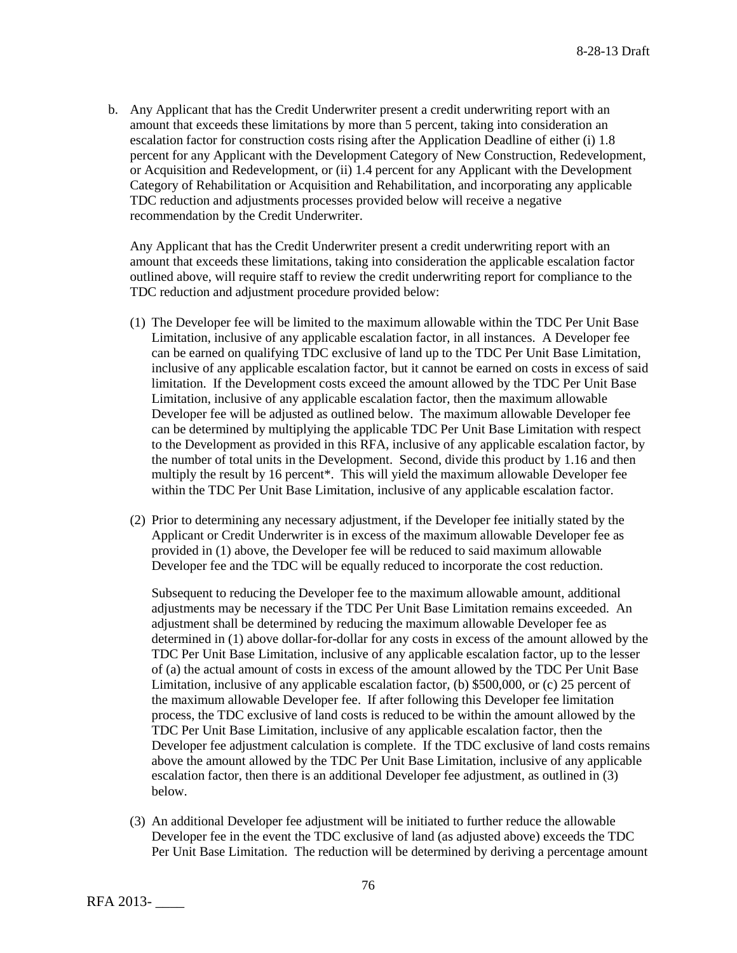b. Any Applicant that has the Credit Underwriter present a credit underwriting report with an amount that exceeds these limitations by more than 5 percent, taking into consideration an escalation factor for construction costs rising after the Application Deadline of either (i) 1.8 percent for any Applicant with the Development Category of New Construction, Redevelopment, or Acquisition and Redevelopment, or (ii) 1.4 percent for any Applicant with the Development Category of Rehabilitation or Acquisition and Rehabilitation, and incorporating any applicable TDC reduction and adjustments processes provided below will receive a negative recommendation by the Credit Underwriter.

Any Applicant that has the Credit Underwriter present a credit underwriting report with an amount that exceeds these limitations, taking into consideration the applicable escalation factor outlined above, will require staff to review the credit underwriting report for compliance to the TDC reduction and adjustment procedure provided below:

- (1) The Developer fee will be limited to the maximum allowable within the TDC Per Unit Base Limitation, inclusive of any applicable escalation factor, in all instances. A Developer fee can be earned on qualifying TDC exclusive of land up to the TDC Per Unit Base Limitation, inclusive of any applicable escalation factor, but it cannot be earned on costs in excess of said limitation. If the Development costs exceed the amount allowed by the TDC Per Unit Base Limitation, inclusive of any applicable escalation factor, then the maximum allowable Developer fee will be adjusted as outlined below. The maximum allowable Developer fee can be determined by multiplying the applicable TDC Per Unit Base Limitation with respect to the Development as provided in this RFA, inclusive of any applicable escalation factor, by the number of total units in the Development. Second, divide this product by 1.16 and then multiply the result by 16 percent\*. This will yield the maximum allowable Developer fee within the TDC Per Unit Base Limitation, inclusive of any applicable escalation factor.
- (2) Prior to determining any necessary adjustment, if the Developer fee initially stated by the Applicant or Credit Underwriter is in excess of the maximum allowable Developer fee as provided in (1) above, the Developer fee will be reduced to said maximum allowable Developer fee and the TDC will be equally reduced to incorporate the cost reduction.

Subsequent to reducing the Developer fee to the maximum allowable amount, additional adjustments may be necessary if the TDC Per Unit Base Limitation remains exceeded. An adjustment shall be determined by reducing the maximum allowable Developer fee as determined in (1) above dollar-for-dollar for any costs in excess of the amount allowed by the TDC Per Unit Base Limitation, inclusive of any applicable escalation factor, up to the lesser of (a) the actual amount of costs in excess of the amount allowed by the TDC Per Unit Base Limitation, inclusive of any applicable escalation factor, (b) \$500,000, or (c) 25 percent of the maximum allowable Developer fee. If after following this Developer fee limitation process, the TDC exclusive of land costs is reduced to be within the amount allowed by the TDC Per Unit Base Limitation, inclusive of any applicable escalation factor, then the Developer fee adjustment calculation is complete. If the TDC exclusive of land costs remains above the amount allowed by the TDC Per Unit Base Limitation, inclusive of any applicable escalation factor, then there is an additional Developer fee adjustment, as outlined in (3) below.

(3) An additional Developer fee adjustment will be initiated to further reduce the allowable Developer fee in the event the TDC exclusive of land (as adjusted above) exceeds the TDC Per Unit Base Limitation. The reduction will be determined by deriving a percentage amount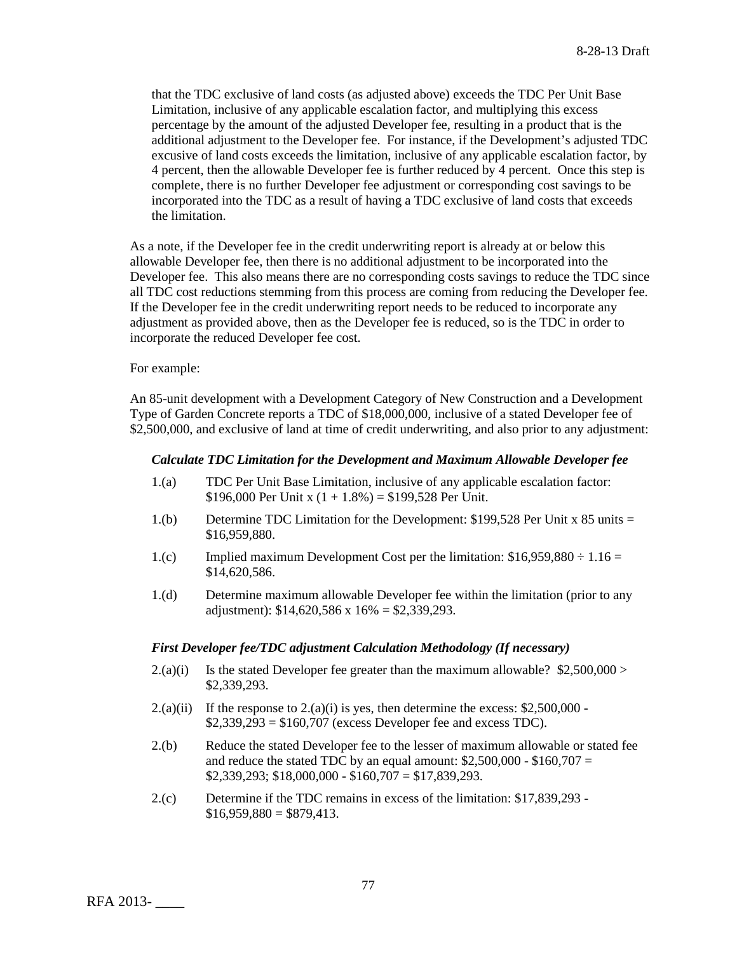that the TDC exclusive of land costs (as adjusted above) exceeds the TDC Per Unit Base Limitation, inclusive of any applicable escalation factor, and multiplying this excess percentage by the amount of the adjusted Developer fee, resulting in a product that is the additional adjustment to the Developer fee. For instance, if the Development's adjusted TDC excusive of land costs exceeds the limitation, inclusive of any applicable escalation factor, by 4 percent, then the allowable Developer fee is further reduced by 4 percent. Once this step is complete, there is no further Developer fee adjustment or corresponding cost savings to be incorporated into the TDC as a result of having a TDC exclusive of land costs that exceeds the limitation.

As a note, if the Developer fee in the credit underwriting report is already at or below this allowable Developer fee, then there is no additional adjustment to be incorporated into the Developer fee. This also means there are no corresponding costs savings to reduce the TDC since all TDC cost reductions stemming from this process are coming from reducing the Developer fee. If the Developer fee in the credit underwriting report needs to be reduced to incorporate any adjustment as provided above, then as the Developer fee is reduced, so is the TDC in order to incorporate the reduced Developer fee cost.

For example:

An 85-unit development with a Development Category of New Construction and a Development Type of Garden Concrete reports a TDC of \$18,000,000, inclusive of a stated Developer fee of \$2,500,000, and exclusive of land at time of credit underwriting, and also prior to any adjustment:

### *Calculate TDC Limitation for the Development and Maximum Allowable Developer fee*

- 1.(a) TDC Per Unit Base Limitation, inclusive of any applicable escalation factor: \$196,000 Per Unit x  $(1 + 1.8\%) = $199,528$  Per Unit.
- 1.(b) Determine TDC Limitation for the Development: \$199,528 Per Unit x 85 units = \$16,959,880.
- 1.(c) Implied maximum Development Cost per the limitation:  $$16,959,880 \div 1.16 =$ \$14,620,586.
- 1.(d) Determine maximum allowable Developer fee within the limitation (prior to any adjustment):  $$14,620,586 \times 16\% = $2,339,293$ .

# *First Developer fee/TDC adjustment Calculation Methodology (If necessary)*

- 2.(a)(i) Is the stated Developer fee greater than the maximum allowable?  $$2,500,000>$ \$2,339,293.
- 2.(a)(ii) If the response to  $2.(a)(i)$  is yes, then determine the excess: \$2,500,000 - $$2,339,293 = $160,707$  (excess Developer fee and excess TDC).
- 2.(b) Reduce the stated Developer fee to the lesser of maximum allowable or stated fee and reduce the stated TDC by an equal amount:  $$2,500,000 - $160,707 =$  $$2,339,293$ ;  $$18,000,000 - $160,707 = $17,839,293$ .
- 2.(c) Determine if the TDC remains in excess of the limitation: \$17,839,293  $$16,959,880 = $879,413$ .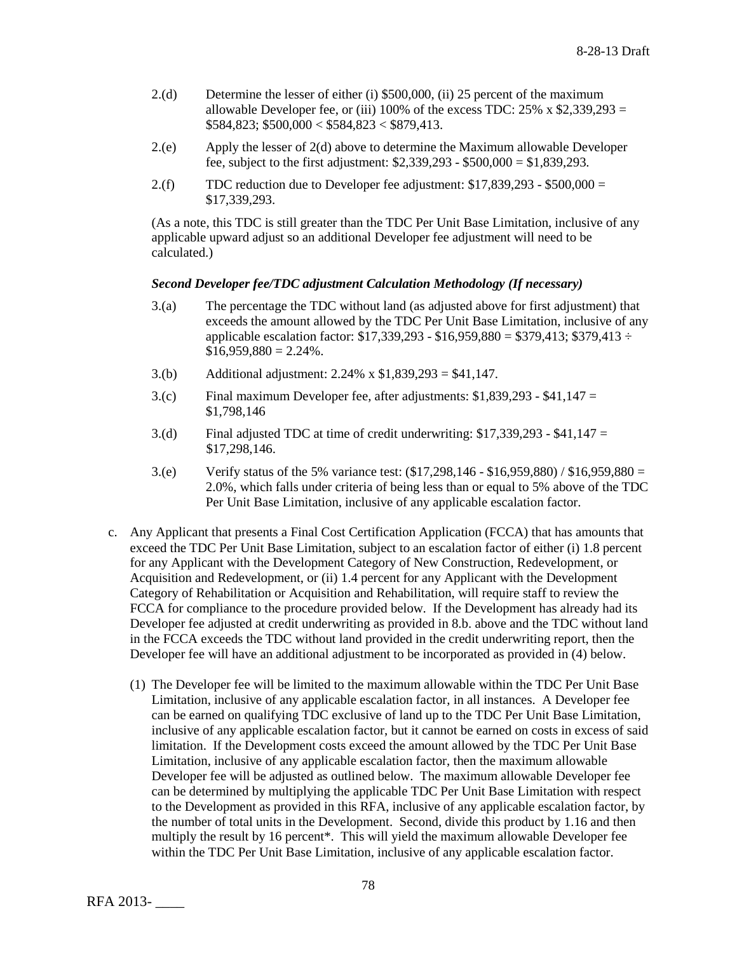- 2.(d) Determine the lesser of either (i) \$500,000, (ii) 25 percent of the maximum allowable Developer fee, or (iii) 100% of the excess TDC:  $25\%$  x \$2,339,293 =  $$584,823$ ;  $$500,000 < $584,823 < $879,413$ .
- 2.(e) Apply the lesser of 2(d) above to determine the Maximum allowable Developer fee, subject to the first adjustment: \$2,339,293 - \$500,000 = \$1,839,293.
- 2.(f) TDC reduction due to Developer fee adjustment:  $$17,839,293 $500,000 =$ \$17,339,293.

(As a note, this TDC is still greater than the TDC Per Unit Base Limitation, inclusive of any applicable upward adjust so an additional Developer fee adjustment will need to be calculated.)

### *Second Developer fee/TDC adjustment Calculation Methodology (If necessary)*

- 3.(a) The percentage the TDC without land (as adjusted above for first adjustment) that exceeds the amount allowed by the TDC Per Unit Base Limitation, inclusive of any applicable escalation factor:  $$17,339,293 - $16,959,880 = $379,413$ ;  $$379,413 \div$  $$16,959,880 = 2.24\%$ .
- 3.(b) Additional adjustment: 2.24% x \$1,839,293 = \$41,147.
- 3.(c) Final maximum Developer fee, after adjustments: \$1,839,293 \$41,147 = \$1,798,146
- 3.(d) Final adjusted TDC at time of credit underwriting:  $$17,339,293 $41,147 =$ \$17,298,146.
- 3.(e) Verify status of the 5% variance test: (\$17,298,146 \$16,959,880) / \$16,959,880 = 2.0%, which falls under criteria of being less than or equal to 5% above of the TDC Per Unit Base Limitation, inclusive of any applicable escalation factor.
- c. Any Applicant that presents a Final Cost Certification Application (FCCA) that has amounts that exceed the TDC Per Unit Base Limitation, subject to an escalation factor of either (i) 1.8 percent for any Applicant with the Development Category of New Construction, Redevelopment, or Acquisition and Redevelopment, or (ii) 1.4 percent for any Applicant with the Development Category of Rehabilitation or Acquisition and Rehabilitation, will require staff to review the FCCA for compliance to the procedure provided below. If the Development has already had its Developer fee adjusted at credit underwriting as provided in 8.b. above and the TDC without land in the FCCA exceeds the TDC without land provided in the credit underwriting report, then the Developer fee will have an additional adjustment to be incorporated as provided in (4) below.
	- (1) The Developer fee will be limited to the maximum allowable within the TDC Per Unit Base Limitation, inclusive of any applicable escalation factor, in all instances. A Developer fee can be earned on qualifying TDC exclusive of land up to the TDC Per Unit Base Limitation, inclusive of any applicable escalation factor, but it cannot be earned on costs in excess of said limitation. If the Development costs exceed the amount allowed by the TDC Per Unit Base Limitation, inclusive of any applicable escalation factor, then the maximum allowable Developer fee will be adjusted as outlined below. The maximum allowable Developer fee can be determined by multiplying the applicable TDC Per Unit Base Limitation with respect to the Development as provided in this RFA, inclusive of any applicable escalation factor, by the number of total units in the Development. Second, divide this product by 1.16 and then multiply the result by 16 percent\*. This will yield the maximum allowable Developer fee within the TDC Per Unit Base Limitation, inclusive of any applicable escalation factor.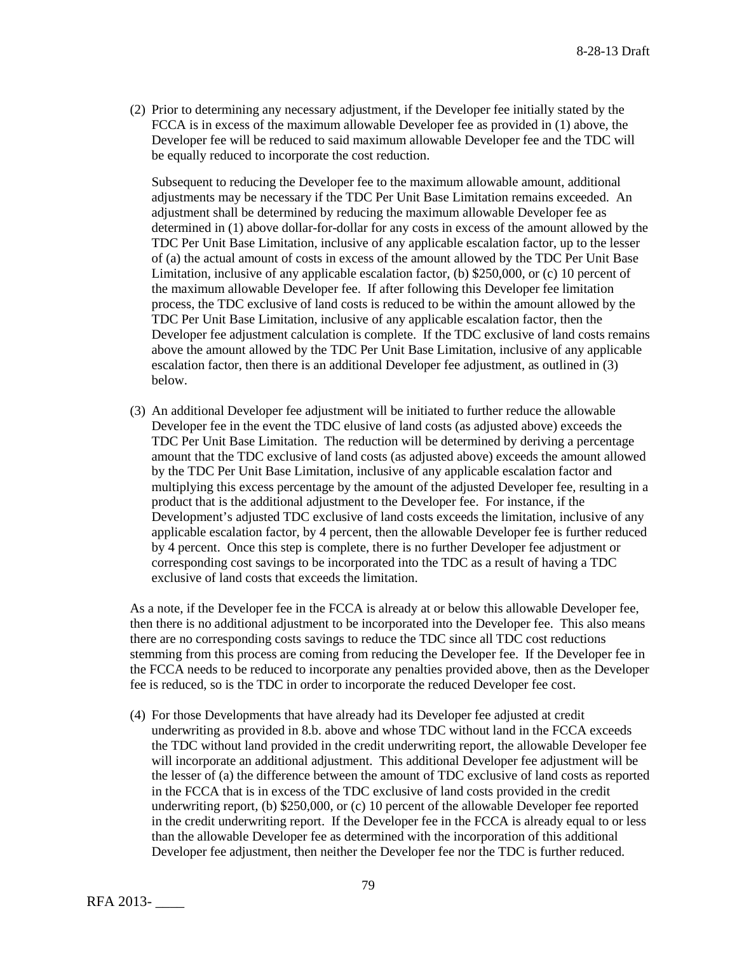(2) Prior to determining any necessary adjustment, if the Developer fee initially stated by the FCCA is in excess of the maximum allowable Developer fee as provided in (1) above, the Developer fee will be reduced to said maximum allowable Developer fee and the TDC will be equally reduced to incorporate the cost reduction.

Subsequent to reducing the Developer fee to the maximum allowable amount, additional adjustments may be necessary if the TDC Per Unit Base Limitation remains exceeded. An adjustment shall be determined by reducing the maximum allowable Developer fee as determined in (1) above dollar-for-dollar for any costs in excess of the amount allowed by the TDC Per Unit Base Limitation, inclusive of any applicable escalation factor, up to the lesser of (a) the actual amount of costs in excess of the amount allowed by the TDC Per Unit Base Limitation, inclusive of any applicable escalation factor, (b) \$250,000, or (c) 10 percent of the maximum allowable Developer fee. If after following this Developer fee limitation process, the TDC exclusive of land costs is reduced to be within the amount allowed by the TDC Per Unit Base Limitation, inclusive of any applicable escalation factor, then the Developer fee adjustment calculation is complete. If the TDC exclusive of land costs remains above the amount allowed by the TDC Per Unit Base Limitation, inclusive of any applicable escalation factor, then there is an additional Developer fee adjustment, as outlined in (3) below.

(3) An additional Developer fee adjustment will be initiated to further reduce the allowable Developer fee in the event the TDC elusive of land costs (as adjusted above) exceeds the TDC Per Unit Base Limitation. The reduction will be determined by deriving a percentage amount that the TDC exclusive of land costs (as adjusted above) exceeds the amount allowed by the TDC Per Unit Base Limitation, inclusive of any applicable escalation factor and multiplying this excess percentage by the amount of the adjusted Developer fee, resulting in a product that is the additional adjustment to the Developer fee. For instance, if the Development's adjusted TDC exclusive of land costs exceeds the limitation, inclusive of any applicable escalation factor, by 4 percent, then the allowable Developer fee is further reduced by 4 percent. Once this step is complete, there is no further Developer fee adjustment or corresponding cost savings to be incorporated into the TDC as a result of having a TDC exclusive of land costs that exceeds the limitation.

As a note, if the Developer fee in the FCCA is already at or below this allowable Developer fee, then there is no additional adjustment to be incorporated into the Developer fee. This also means there are no corresponding costs savings to reduce the TDC since all TDC cost reductions stemming from this process are coming from reducing the Developer fee. If the Developer fee in the FCCA needs to be reduced to incorporate any penalties provided above, then as the Developer fee is reduced, so is the TDC in order to incorporate the reduced Developer fee cost.

(4) For those Developments that have already had its Developer fee adjusted at credit underwriting as provided in 8.b. above and whose TDC without land in the FCCA exceeds the TDC without land provided in the credit underwriting report, the allowable Developer fee will incorporate an additional adjustment. This additional Developer fee adjustment will be the lesser of (a) the difference between the amount of TDC exclusive of land costs as reported in the FCCA that is in excess of the TDC exclusive of land costs provided in the credit underwriting report, (b) \$250,000, or (c) 10 percent of the allowable Developer fee reported in the credit underwriting report. If the Developer fee in the FCCA is already equal to or less than the allowable Developer fee as determined with the incorporation of this additional Developer fee adjustment, then neither the Developer fee nor the TDC is further reduced.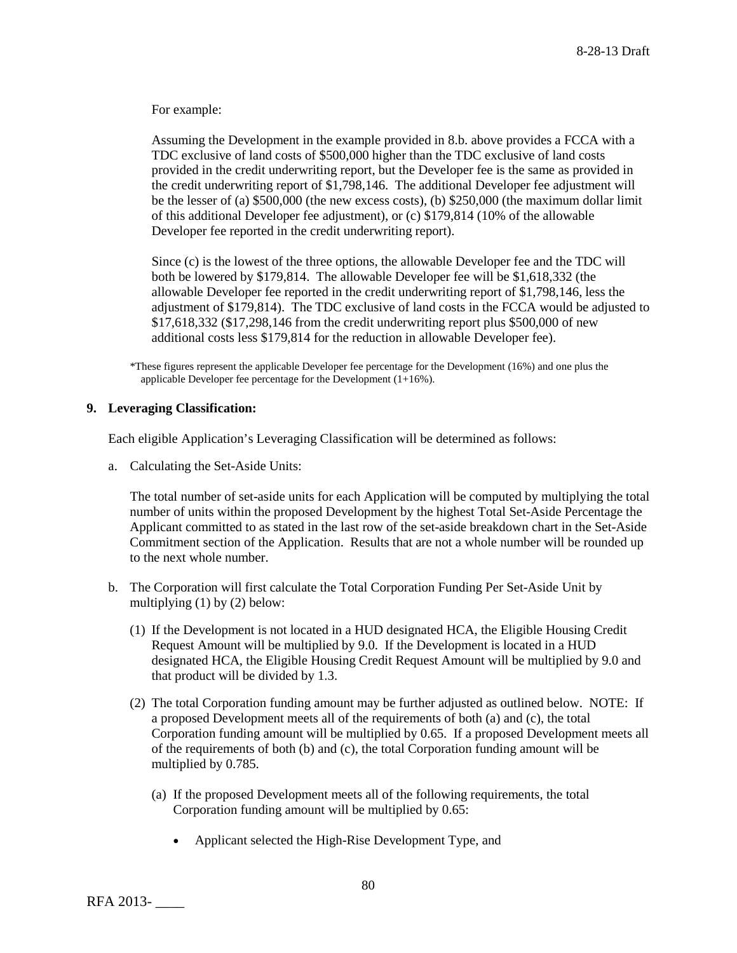For example:

Assuming the Development in the example provided in 8.b. above provides a FCCA with a TDC exclusive of land costs of \$500,000 higher than the TDC exclusive of land costs provided in the credit underwriting report, but the Developer fee is the same as provided in the credit underwriting report of \$1,798,146. The additional Developer fee adjustment will be the lesser of (a) \$500,000 (the new excess costs), (b) \$250,000 (the maximum dollar limit of this additional Developer fee adjustment), or (c) \$179,814 (10% of the allowable Developer fee reported in the credit underwriting report).

Since (c) is the lowest of the three options, the allowable Developer fee and the TDC will both be lowered by \$179,814. The allowable Developer fee will be \$1,618,332 (the allowable Developer fee reported in the credit underwriting report of \$1,798,146, less the adjustment of \$179,814). The TDC exclusive of land costs in the FCCA would be adjusted to \$17,618,332 (\$17,298,146 from the credit underwriting report plus \$500,000 of new additional costs less \$179,814 for the reduction in allowable Developer fee).

\*These figures represent the applicable Developer fee percentage for the Development (16%) and one plus the applicable Developer fee percentage for the Development  $(1+16\%)$ .

# **9. Leveraging Classification:**

Each eligible Application's Leveraging Classification will be determined as follows:

a. Calculating the Set-Aside Units:

The total number of set-aside units for each Application will be computed by multiplying the total number of units within the proposed Development by the highest Total Set-Aside Percentage the Applicant committed to as stated in the last row of the set-aside breakdown chart in the Set-Aside Commitment section of the Application. Results that are not a whole number will be rounded up to the next whole number.

- b. The Corporation will first calculate the Total Corporation Funding Per Set-Aside Unit by multiplying (1) by (2) below:
	- (1) If the Development is not located in a HUD designated HCA, the Eligible Housing Credit Request Amount will be multiplied by 9.0. If the Development is located in a HUD designated HCA, the Eligible Housing Credit Request Amount will be multiplied by 9.0 and that product will be divided by 1.3.
	- (2) The total Corporation funding amount may be further adjusted as outlined below. NOTE: If a proposed Development meets all of the requirements of both (a) and (c), the total Corporation funding amount will be multiplied by 0.65. If a proposed Development meets all of the requirements of both (b) and (c), the total Corporation funding amount will be multiplied by 0.785.
		- (a) If the proposed Development meets all of the following requirements, the total Corporation funding amount will be multiplied by 0.65:
			- Applicant selected the High-Rise Development Type, and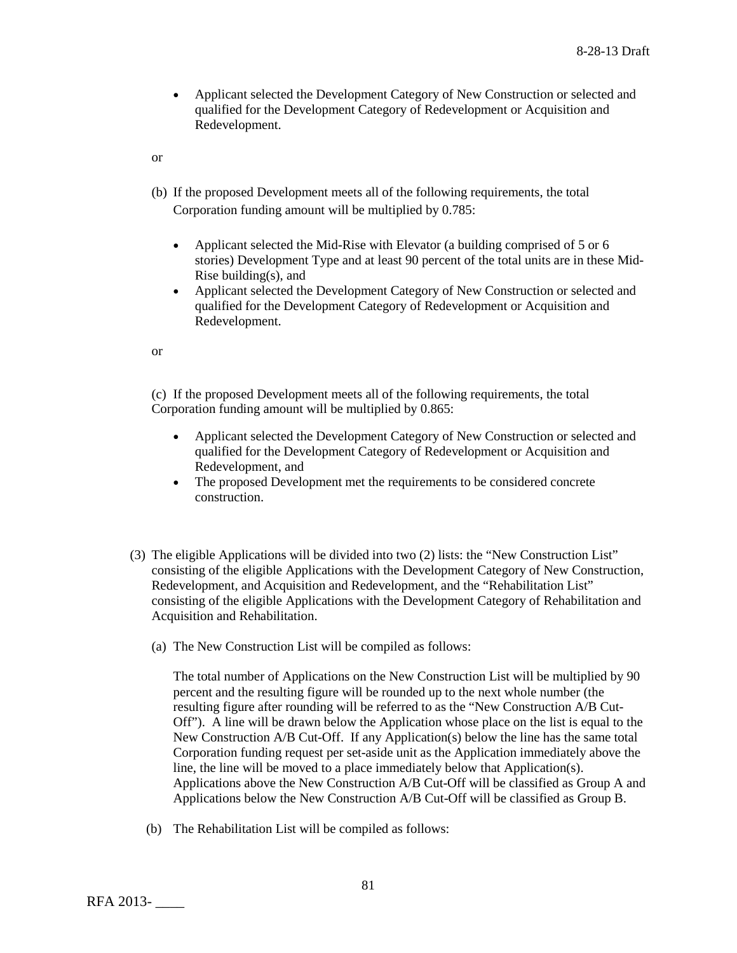• Applicant selected the Development Category of New Construction or selected and qualified for the Development Category of Redevelopment or Acquisition and Redevelopment.

or

- (b) If the proposed Development meets all of the following requirements, the total Corporation funding amount will be multiplied by 0.785:
	- Applicant selected the Mid-Rise with Elevator (a building comprised of 5 or 6 stories) Development Type and at least 90 percent of the total units are in these Mid-Rise building(s), and
	- Applicant selected the Development Category of New Construction or selected and qualified for the Development Category of Redevelopment or Acquisition and Redevelopment.

or

(c) If the proposed Development meets all of the following requirements, the total Corporation funding amount will be multiplied by 0.865:

- Applicant selected the Development Category of New Construction or selected and qualified for the Development Category of Redevelopment or Acquisition and Redevelopment, and
- The proposed Development met the requirements to be considered concrete construction.
- (3) The eligible Applications will be divided into two (2) lists: the "New Construction List" consisting of the eligible Applications with the Development Category of New Construction, Redevelopment, and Acquisition and Redevelopment, and the "Rehabilitation List" consisting of the eligible Applications with the Development Category of Rehabilitation and Acquisition and Rehabilitation.
	- (a) The New Construction List will be compiled as follows:

The total number of Applications on the New Construction List will be multiplied by 90 percent and the resulting figure will be rounded up to the next whole number (the resulting figure after rounding will be referred to as the "New Construction A/B Cut-Off"). A line will be drawn below the Application whose place on the list is equal to the New Construction A/B Cut-Off. If any Application(s) below the line has the same total Corporation funding request per set-aside unit as the Application immediately above the line, the line will be moved to a place immediately below that Application(s). Applications above the New Construction A/B Cut-Off will be classified as Group A and Applications below the New Construction A/B Cut-Off will be classified as Group B.

(b) The Rehabilitation List will be compiled as follows: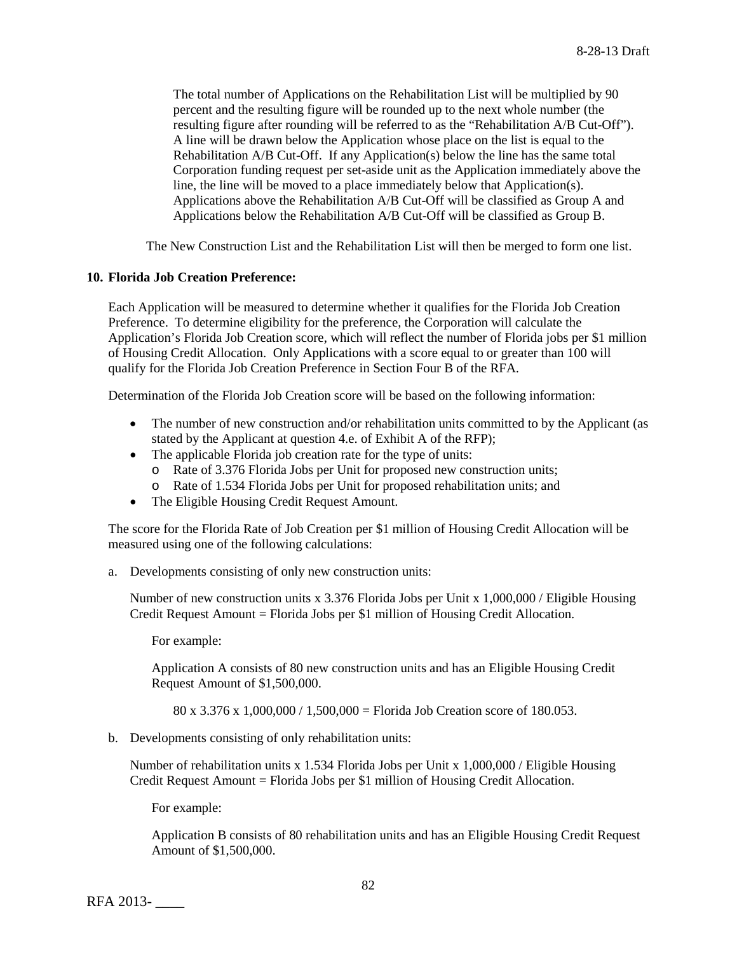The total number of Applications on the Rehabilitation List will be multiplied by 90 percent and the resulting figure will be rounded up to the next whole number (the resulting figure after rounding will be referred to as the "Rehabilitation A/B Cut-Off"). A line will be drawn below the Application whose place on the list is equal to the Rehabilitation A/B Cut-Off. If any Application(s) below the line has the same total Corporation funding request per set-aside unit as the Application immediately above the line, the line will be moved to a place immediately below that Application(s). Applications above the Rehabilitation A/B Cut-Off will be classified as Group A and Applications below the Rehabilitation A/B Cut-Off will be classified as Group B.

The New Construction List and the Rehabilitation List will then be merged to form one list.

## **10. Florida Job Creation Preference:**

Each Application will be measured to determine whether it qualifies for the Florida Job Creation Preference. To determine eligibility for the preference, the Corporation will calculate the Application's Florida Job Creation score, which will reflect the number of Florida jobs per \$1 million of Housing Credit Allocation. Only Applications with a score equal to or greater than 100 will qualify for the Florida Job Creation Preference in Section Four B of the RFA.

Determination of the Florida Job Creation score will be based on the following information:

- The number of new construction and/or rehabilitation units committed to by the Applicant (as stated by the Applicant at question 4.e. of Exhibit A of the RFP);
- The applicable Florida job creation rate for the type of units:
	- o Rate of 3.376 Florida Jobs per Unit for proposed new construction units;
	- o Rate of 1.534 Florida Jobs per Unit for proposed rehabilitation units; and
- The Eligible Housing Credit Request Amount.

The score for the Florida Rate of Job Creation per \$1 million of Housing Credit Allocation will be measured using one of the following calculations:

a. Developments consisting of only new construction units:

Number of new construction units x 3.376 Florida Jobs per Unit x 1,000,000 / Eligible Housing Credit Request Amount = Florida Jobs per \$1 million of Housing Credit Allocation.

For example:

Application A consists of 80 new construction units and has an Eligible Housing Credit Request Amount of \$1,500,000.

80 x 3.376 x 1,000,000 / 1,500,000 = Florida Job Creation score of 180.053.

b. Developments consisting of only rehabilitation units:

Number of rehabilitation units x 1.534 Florida Jobs per Unit x 1,000,000 / Eligible Housing Credit Request Amount = Florida Jobs per \$1 million of Housing Credit Allocation.

For example:

Application B consists of 80 rehabilitation units and has an Eligible Housing Credit Request Amount of \$1,500,000.

RFA 2013- \_\_\_\_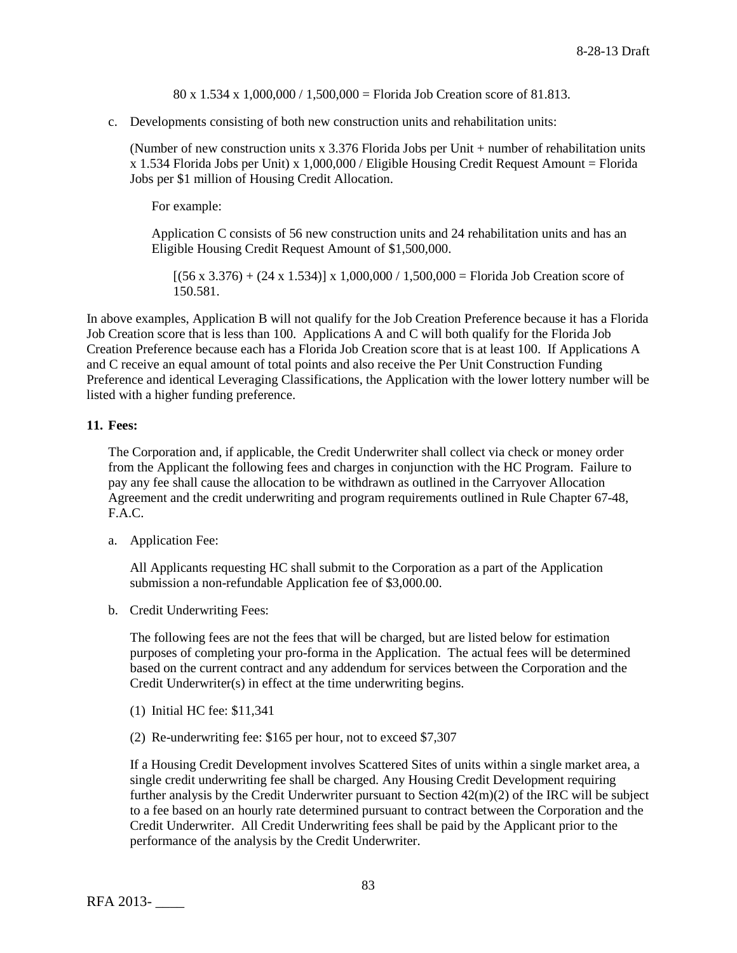80 x 1.534 x 1,000,000 / 1,500,000 = Florida Job Creation score of 81.813.

c. Developments consisting of both new construction units and rehabilitation units:

(Number of new construction units x 3.376 Florida Jobs per Unit + number of rehabilitation units  $x$  1.534 Florida Jobs per Unit) x 1,000,000 / Eligible Housing Credit Request Amount = Florida Jobs per \$1 million of Housing Credit Allocation.

For example:

Application C consists of 56 new construction units and 24 rehabilitation units and has an Eligible Housing Credit Request Amount of \$1,500,000.

 $[(56 \times 3.376) + (24 \times 1.534)] \times 1,000,000 / 1,500,000 =$  Florida Job Creation score of 150.581.

In above examples, Application B will not qualify for the Job Creation Preference because it has a Florida Job Creation score that is less than 100. Applications A and C will both qualify for the Florida Job Creation Preference because each has a Florida Job Creation score that is at least 100. If Applications A and C receive an equal amount of total points and also receive the Per Unit Construction Funding Preference and identical Leveraging Classifications, the Application with the lower lottery number will be listed with a higher funding preference.

# **11. Fees:**

The Corporation and, if applicable, the Credit Underwriter shall collect via check or money order from the Applicant the following fees and charges in conjunction with the HC Program. Failure to pay any fee shall cause the allocation to be withdrawn as outlined in the Carryover Allocation Agreement and the credit underwriting and program requirements outlined in Rule Chapter 67-48, F.A.C.

a. Application Fee:

All Applicants requesting HC shall submit to the Corporation as a part of the Application submission a non-refundable Application fee of \$3,000.00.

b. Credit Underwriting Fees:

The following fees are not the fees that will be charged, but are listed below for estimation purposes of completing your pro-forma in the Application. The actual fees will be determined based on the current contract and any addendum for services between the Corporation and the Credit Underwriter(s) in effect at the time underwriting begins.

- (1) Initial HC fee: \$11,341
- (2) Re-underwriting fee: \$165 per hour, not to exceed \$7,307

If a Housing Credit Development involves Scattered Sites of units within a single market area, a single credit underwriting fee shall be charged. Any Housing Credit Development requiring further analysis by the Credit Underwriter pursuant to Section 42(m)(2) of the IRC will be subject to a fee based on an hourly rate determined pursuant to contract between the Corporation and the Credit Underwriter. All Credit Underwriting fees shall be paid by the Applicant prior to the performance of the analysis by the Credit Underwriter.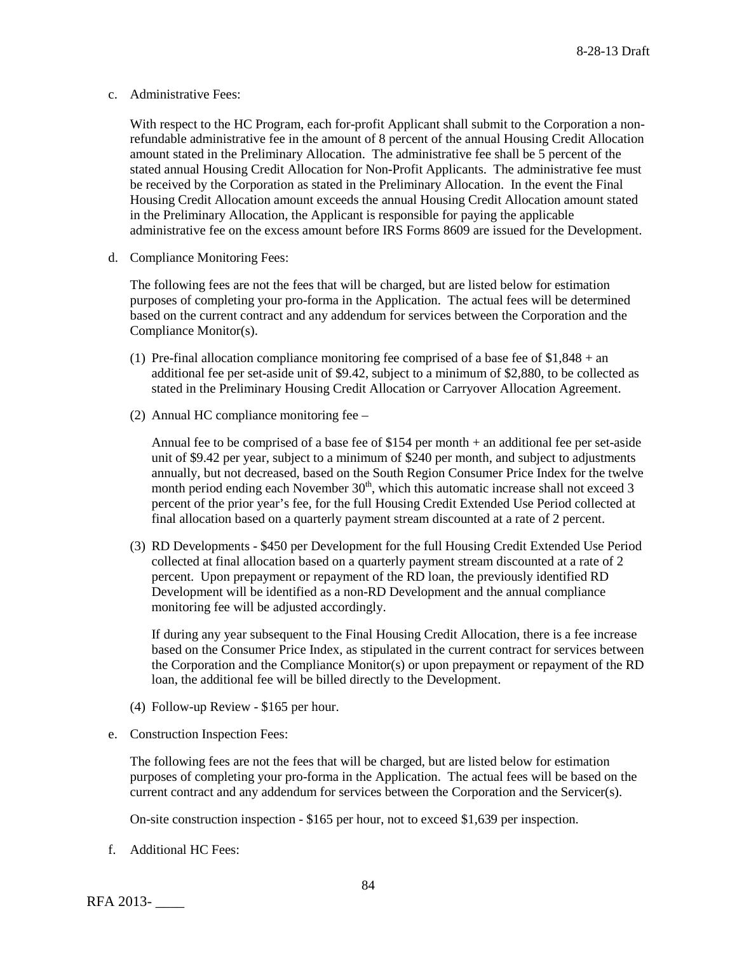c. Administrative Fees:

With respect to the HC Program, each for-profit Applicant shall submit to the Corporation a nonrefundable administrative fee in the amount of 8 percent of the annual Housing Credit Allocation amount stated in the Preliminary Allocation. The administrative fee shall be 5 percent of the stated annual Housing Credit Allocation for Non-Profit Applicants. The administrative fee must be received by the Corporation as stated in the Preliminary Allocation. In the event the Final Housing Credit Allocation amount exceeds the annual Housing Credit Allocation amount stated in the Preliminary Allocation, the Applicant is responsible for paying the applicable administrative fee on the excess amount before IRS Forms 8609 are issued for the Development.

d. Compliance Monitoring Fees:

The following fees are not the fees that will be charged, but are listed below for estimation purposes of completing your pro-forma in the Application. The actual fees will be determined based on the current contract and any addendum for services between the Corporation and the Compliance Monitor(s).

- (1) Pre-final allocation compliance monitoring fee comprised of a base fee of  $$1,848 + an$ additional fee per set-aside unit of \$9.42, subject to a minimum of \$2,880, to be collected as stated in the Preliminary Housing Credit Allocation or Carryover Allocation Agreement.
- (2) Annual HC compliance monitoring fee –

Annual fee to be comprised of a base fee of \$154 per month + an additional fee per set-aside unit of \$9.42 per year, subject to a minimum of \$240 per month, and subject to adjustments annually, but not decreased, based on the South Region Consumer Price Index for the twelve month period ending each November  $30<sup>th</sup>$ , which this automatic increase shall not exceed 3 percent of the prior year's fee, for the full Housing Credit Extended Use Period collected at final allocation based on a quarterly payment stream discounted at a rate of 2 percent.

(3) RD Developments - \$450 per Development for the full Housing Credit Extended Use Period collected at final allocation based on a quarterly payment stream discounted at a rate of 2 percent. Upon prepayment or repayment of the RD loan, the previously identified RD Development will be identified as a non-RD Development and the annual compliance monitoring fee will be adjusted accordingly.

If during any year subsequent to the Final Housing Credit Allocation, there is a fee increase based on the Consumer Price Index, as stipulated in the current contract for services between the Corporation and the Compliance Monitor(s) or upon prepayment or repayment of the RD loan, the additional fee will be billed directly to the Development.

- (4) Follow-up Review \$165 per hour.
- e. Construction Inspection Fees:

The following fees are not the fees that will be charged, but are listed below for estimation purposes of completing your pro-forma in the Application. The actual fees will be based on the current contract and any addendum for services between the Corporation and the Servicer(s).

On-site construction inspection - \$165 per hour, not to exceed \$1,639 per inspection.

f. Additional HC Fees:

RFA 2013- \_\_\_\_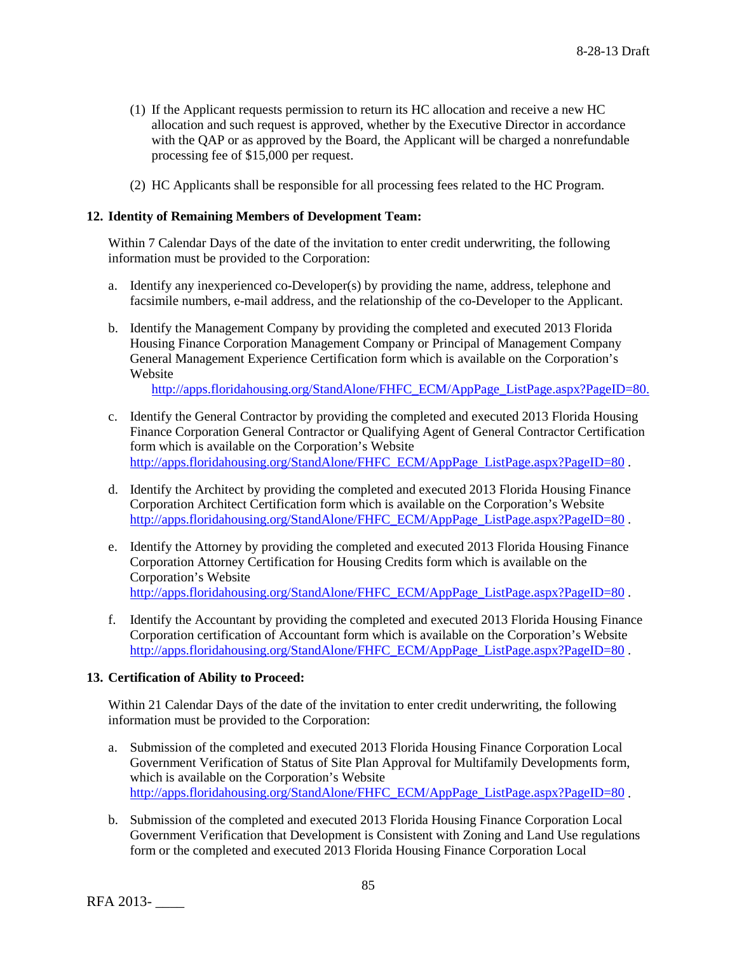- (1) If the Applicant requests permission to return its HC allocation and receive a new HC allocation and such request is approved, whether by the Executive Director in accordance with the QAP or as approved by the Board, the Applicant will be charged a nonrefundable processing fee of \$15,000 per request.
- (2) HC Applicants shall be responsible for all processing fees related to the HC Program.

## **12. Identity of Remaining Members of Development Team:**

Within 7 Calendar Days of the date of the invitation to enter credit underwriting, the following information must be provided to the Corporation:

- a. Identify any inexperienced co-Developer(s) by providing the name, address, telephone and facsimile numbers, e-mail address, and the relationship of the co-Developer to the Applicant.
- b. Identify the Management Company by providing the completed and executed 2013 Florida Housing Finance Corporation Management Company or Principal of Management Company General Management Experience Certification form which is available on the Corporation's Website

[http://apps.floridahousing.org/StandAlone/FHFC\\_ECM/AppPage\\_ListPage.aspx?PageID=80.](http://apps.floridahousing.org/StandAlone/FHFC_ECM/AppPage_ListPage.aspx?PageID=80.)

- c. Identify the General Contractor by providing the completed and executed 2013 Florida Housing Finance Corporation General Contractor or Qualifying Agent of General Contractor Certification form which is available on the Corporation's Website [http://apps.floridahousing.org/StandAlone/FHFC\\_ECM/AppPage\\_ListPage.aspx?PageID=80](http://apps.floridahousing.org/StandAlone/FHFC_ECM/AppPage_ListPage.aspx?PageID=80).
- d. Identify the Architect by providing the completed and executed 2013 Florida Housing Finance Corporation Architect Certification form which is available on the Corporation's Website [http://apps.floridahousing.org/StandAlone/FHFC\\_ECM/AppPage\\_ListPage.aspx?PageID=80](http://apps.floridahousing.org/StandAlone/FHFC_ECM/AppPage_ListPage.aspx?PageID=80) .
- e. Identify the Attorney by providing the completed and executed 2013 Florida Housing Finance Corporation Attorney Certification for Housing Credits form which is available on the Corporation's Website [http://apps.floridahousing.org/StandAlone/FHFC\\_ECM/AppPage\\_ListPage.aspx?PageID=80](http://apps.floridahousing.org/StandAlone/FHFC_ECM/AppPage_ListPage.aspx?PageID=80) .
- f. Identify the Accountant by providing the completed and executed 2013 Florida Housing Finance Corporation certification of Accountant form which is available on the Corporation's Website [http://apps.floridahousing.org/StandAlone/FHFC\\_ECM/AppPage\\_ListPage.aspx?PageID=80](http://apps.floridahousing.org/StandAlone/FHFC_ECM/AppPage_ListPage.aspx?PageID=80).

### **13. Certification of Ability to Proceed:**

Within 21 Calendar Days of the date of the invitation to enter credit underwriting, the following information must be provided to the Corporation:

- a. Submission of the completed and executed 2013 Florida Housing Finance Corporation Local Government Verification of Status of Site Plan Approval for Multifamily Developments form, which is available on the Corporation's Website [http://apps.floridahousing.org/StandAlone/FHFC\\_ECM/AppPage\\_ListPage.aspx?PageID=80](http://apps.floridahousing.org/StandAlone/FHFC_ECM/AppPage_ListPage.aspx?PageID=80).
- b. Submission of the completed and executed 2013 Florida Housing Finance Corporation Local Government Verification that Development is Consistent with Zoning and Land Use regulations form or the completed and executed 2013 Florida Housing Finance Corporation Local

RFA 2013- \_\_\_\_